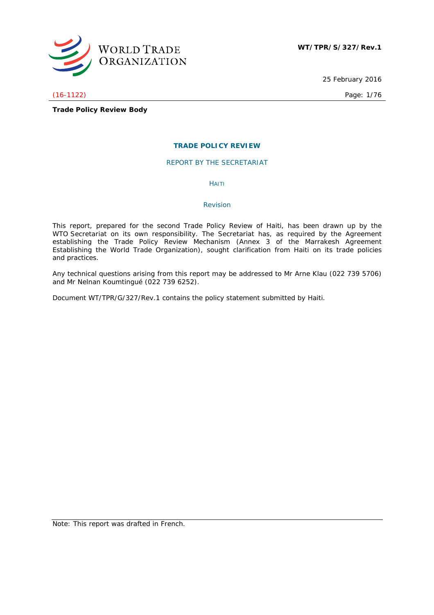

25 February 2016

# (16-1122) Page: 1/76

**Trade Policy Review Body**

# **TRADE POLICY REVIEW**

REPORT BY THE SECRETARIAT

HAITI

#### *Revision*

This report, prepared for the second Trade Policy Review of Haiti, has been drawn up by the WTO Secretariat on its own responsibility. The Secretariat has, as required by the Agreement establishing the Trade Policy Review Mechanism (Annex 3 of the Marrakesh Agreement Establishing the World Trade Organization), sought clarification from Haiti on its trade policies and practices.

Any technical questions arising from this report may be addressed to Mr Arne Klau (022 739 5706) and Mr Nelnan Koumtingué (022 739 6252).

Document WT/TPR/G/327/Rev.1 contains the policy statement submitted by Haiti.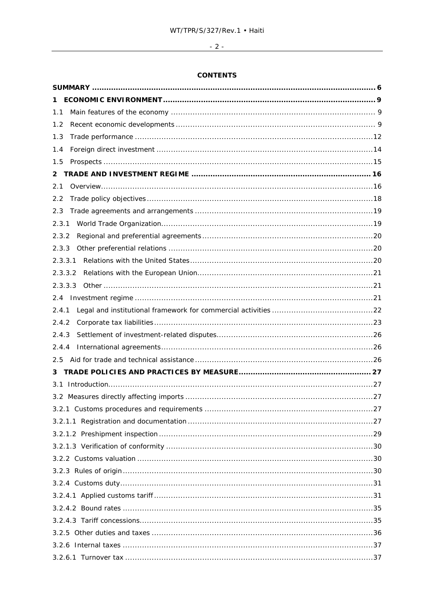# $\overline{\phantom{a}122}$

# **CONTENTS**

| 1.1     |
|---------|
| 1.2     |
| 1.3     |
| 1.4     |
| 1.5     |
| 2       |
| 2.1     |
| 2.2     |
| 2.3     |
| 2.3.1   |
| 2.3.2   |
| 2.3.3   |
| 2.3.3.1 |
| 2.3.3.2 |
| 2.3.3.3 |
|         |
| 2.4.1   |
| 2.4.2   |
| 2.4.3   |
| 2.4.4   |
|         |
| 3       |
|         |
|         |
|         |
|         |
|         |
|         |
|         |
|         |
|         |
|         |
|         |
|         |
|         |
|         |
|         |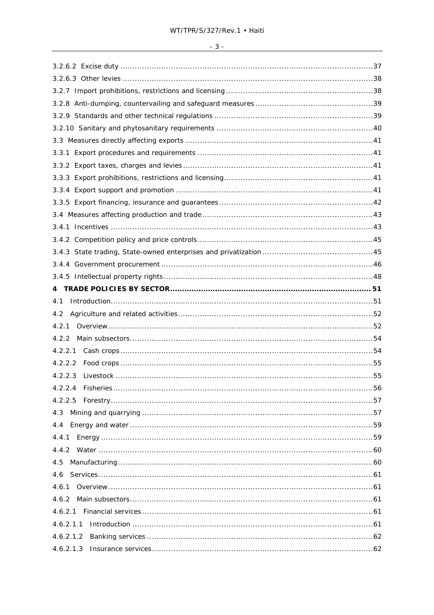| ٦ |  |
|---|--|

| 4.1       |
|-----------|
| 4.2       |
|           |
| 4.2.2     |
|           |
|           |
|           |
|           |
|           |
| 4.3       |
| 4.4       |
| 4.4.1     |
|           |
| 4.5       |
|           |
| 4.6.1     |
|           |
|           |
| 4.6.2.1.1 |
| 4.6.2.1.2 |
| 4.6.2.1.3 |
|           |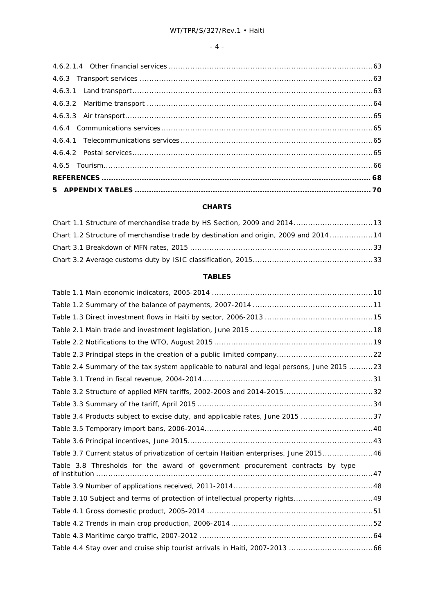# **CHARTS**

| Chart 1.1 Structure of merchandise trade by HS Section, 2009 and 201413             |  |
|-------------------------------------------------------------------------------------|--|
| Chart 1.2 Structure of merchandise trade by destination and origin, 2009 and 201414 |  |
|                                                                                     |  |
|                                                                                     |  |

# **TABLES**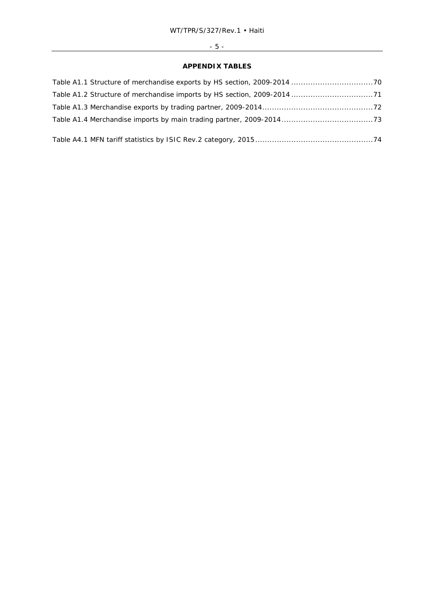# - 5 -

# **APPENDIX TABLES**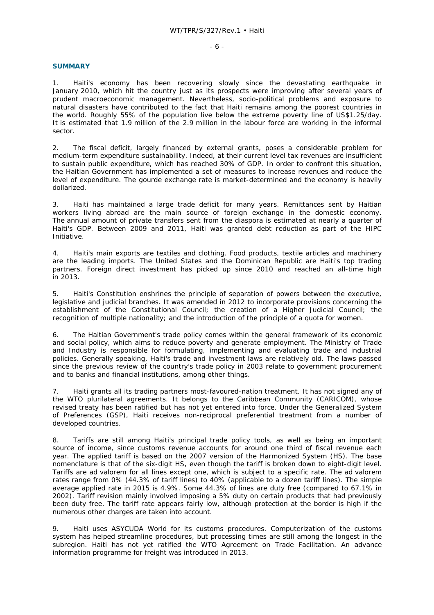#### **SUMMARY**

1. Haiti's economy has been recovering slowly since the devastating earthquake in January 2010, which hit the country just as its prospects were improving after several years of prudent macroeconomic management. Nevertheless, socio-political problems and exposure to natural disasters have contributed to the fact that Haiti remains among the poorest countries in the world. Roughly 55% of the population live below the extreme poverty line of US\$1.25/day. It is estimated that 1.9 million of the 2.9 million in the labour force are working in the informal sector.

2. The fiscal deficit, largely financed by external grants, poses a considerable problem for medium-term expenditure sustainability. Indeed, at their current level tax revenues are insufficient to sustain public expenditure, which has reached 30% of GDP. In order to confront this situation, the Haitian Government has implemented a set of measures to increase revenues and reduce the level of expenditure. The gourde exchange rate is market-determined and the economy is heavily dollarized.

3. Haiti has maintained a large trade deficit for many years. Remittances sent by Haitian workers living abroad are the main source of foreign exchange in the domestic economy. The annual amount of private transfers sent from the diaspora is estimated at nearly a quarter of Haiti's GDP. Between 2009 and 2011, Haiti was granted debt reduction as part of the HIPC Initiative.

4. Haiti's main exports are textiles and clothing. Food products, textile articles and machinery are the leading imports. The United States and the Dominican Republic are Haiti's top trading partners. Foreign direct investment has picked up since 2010 and reached an all-time high in 2013.

5. Haiti's Constitution enshrines the principle of separation of powers between the executive, legislative and judicial branches. It was amended in 2012 to incorporate provisions concerning the establishment of the Constitutional Council; the creation of a Higher Judicial Council; the recognition of multiple nationality; and the introduction of the principle of a quota for women.

6. The Haitian Government's trade policy comes within the general framework of its economic and social policy, which aims to reduce poverty and generate employment. The Ministry of Trade and Industry is responsible for formulating, implementing and evaluating trade and industrial policies. Generally speaking, Haiti's trade and investment laws are relatively old. The laws passed since the previous review of the country's trade policy in 2003 relate to government procurement and to banks and financial institutions, among other things.

7. Haiti grants all its trading partners most-favoured-nation treatment. It has not signed any of the WTO plurilateral agreements. It belongs to the Caribbean Community (CARICOM), whose revised treaty has been ratified but has not yet entered into force. Under the Generalized System of Preferences (GSP), Haiti receives non-reciprocal preferential treatment from a number of developed countries.

8. Tariffs are still among Haiti's principal trade policy tools, as well as being an important source of income, since customs revenue accounts for around one third of fiscal revenue each year. The applied tariff is based on the 2007 version of the Harmonized System (HS). The base nomenclature is that of the six-digit HS, even though the tariff is broken down to eight-digit level. Tariffs are *ad valorem* for all lines except one, which is subject to a specific rate. The *ad valorem* rates range from 0% (44.3% of tariff lines) to 40% (applicable to a dozen tariff lines). The simple average applied rate in 2015 is 4.9%. Some 44.3% of lines are duty free (compared to 67.1% in 2002). Tariff revision mainly involved imposing a 5% duty on certain products that had previously been duty free. The tariff rate appears fairly low, although protection at the border is high if the numerous other charges are taken into account.

9. Haiti uses ASYCUDA World for its customs procedures. Computerization of the customs system has helped streamline procedures, but processing times are still among the longest in the subregion. Haiti has not yet ratified the WTO Agreement on Trade Facilitation. An advance information programme for freight was introduced in 2013.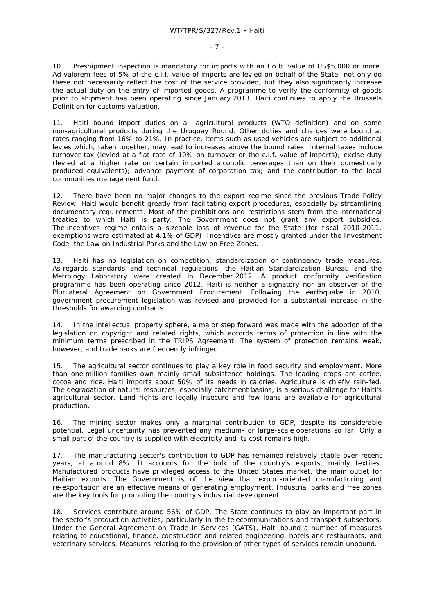10. Preshipment inspection is mandatory for imports with an f.o.b. value of US\$5,000 or more. *Ad valorem* fees of 5% of the c.i.f. value of imports are levied on behalf of the State; not only do these not necessarily reflect the cost of the service provided, but they also significantly increase the actual duty on the entry of imported goods. A programme to verify the conformity of goods prior to shipment has been operating since January 2013. Haiti continues to apply the Brussels Definition for customs valuation.

11. Haiti bound import duties on all agricultural products (WTO definition) and on some non-agricultural products during the Uruguay Round. Other duties and charges were bound at rates ranging from 16% to 21%. In practice, items such as used vehicles are subject to additional levies which, taken together, may lead to increases above the bound rates. Internal taxes include turnover tax (levied at a flat rate of 10% on turnover or the c.i.f. value of imports); excise duty (levied at a higher rate on certain imported alcoholic beverages than on their domestically produced equivalents); advance payment of corporation tax; and the contribution to the local communities management fund.

12. There have been no major changes to the export regime since the previous Trade Policy Review. Haiti would benefit greatly from facilitating export procedures, especially by streamlining documentary requirements. Most of the prohibitions and restrictions stem from the international treaties to which Haiti is party. The Government does not grant any export subsidies. The incentives regime entails a sizeable loss of revenue for the State (for fiscal 2010-2011, exemptions were estimated at 4.1% of GDP). Incentives are mostly granted under the Investment Code, the Law on Industrial Parks and the Law on Free Zones.

13. Haiti has no legislation on competition, standardization or contingency trade measures. As regards standards and technical regulations, the Haitian Standardization Bureau and the Metrology Laboratory were created in December 2012. A product conformity verification programme has been operating since 2012. Haiti is neither a signatory nor an observer of the Plurilateral Agreement on Government Procurement. Following the earthquake in 2010, government procurement legislation was revised and provided for a substantial increase in the thresholds for awarding contracts.

14. In the intellectual property sphere, a major step forward was made with the adoption of the legislation on copyright and related rights, which accords terms of protection in line with the minimum terms prescribed in the TRIPS Agreement. The system of protection remains weak, however, and trademarks are frequently infringed.

15. The agricultural sector continues to play a key role in food security and employment. More than one million families own mainly small subsistence holdings. The leading crops are coffee, cocoa and rice. Haiti imports about 50% of its needs in calories. Agriculture is chiefly rain-fed. The degradation of natural resources, especially catchment basins, is a serious challenge for Haiti's agricultural sector. Land rights are legally insecure and few loans are available for agricultural production.

16. The mining sector makes only a marginal contribution to GDP, despite its considerable potential. Legal uncertainty has prevented any medium- or large-scale operations so far. Only a small part of the country is supplied with electricity and its cost remains high.

17. The manufacturing sector's contribution to GDP has remained relatively stable over recent years, at around 8%. It accounts for the bulk of the country's exports, mainly textiles. Manufactured products have privileged access to the United States market, the main outlet for Haitian exports. The Government is of the view that export-oriented manufacturing and re-exportation are an effective means of generating employment. Industrial parks and free zones are the key tools for promoting the country's industrial development.

18. Services contribute around 56% of GDP. The State continues to play an important part in the sector's production activities, particularly in the telecommunications and transport subsectors. Under the General Agreement on Trade in Services (GATS), Haiti bound a number of measures relating to educational, finance, construction and related engineering, hotels and restaurants, and veterinary services. Measures relating to the provision of other types of services remain unbound.

- 7 -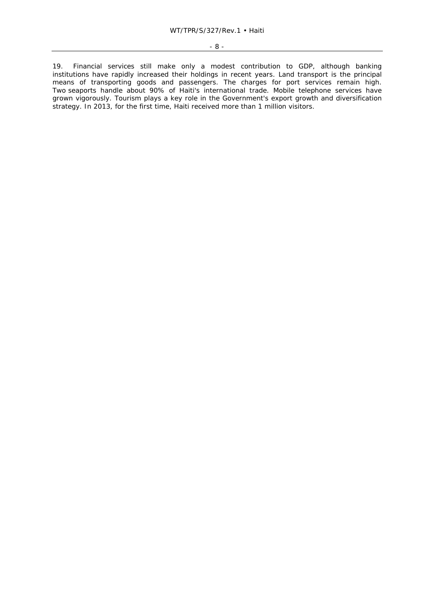19. Financial services still make only a modest contribution to GDP, although banking institutions have rapidly increased their holdings in recent years. Land transport is the principal means of transporting goods and passengers. The charges for port services remain high. Two seaports handle about 90% of Haiti's international trade. Mobile telephone services have grown vigorously. Tourism plays a key role in the Government's export growth and diversification strategy. In 2013, for the first time, Haiti received more than 1 million visitors.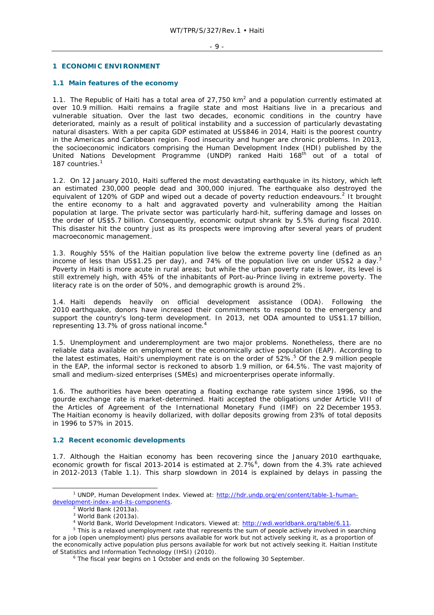#### **1 ECONOMIC ENVIRONMENT**

#### **1.1 Main features of the economy**

1.1. The Republic of Haiti has a total area of 27,750 km<sup>2</sup> and a population currently estimated at over 10.9 million. Haiti remains a fragile state and most Haitians live in a precarious and vulnerable situation. Over the last two decades, economic conditions in the country have deteriorated, mainly as a result of political instability and a succession of particularly devastating natural disasters. With a per capita GDP estimated at US\$846 in 2014, Haiti is the poorest country in the Americas and Caribbean region. Food insecurity and hunger are chronic problems. In 2013, the socioeconomic indicators comprising the Human Development Index (HDI) published by the United Nations Development Programme (UNDP) ranked Haiti 168<sup>th</sup> out of a total of 187 countries.<sup>1</sup>

1.2. On 12 January 2010, Haiti suffered the most devastating earthquake in its history, which left an estimated 230,000 people dead and 300,000 injured. The earthquake also destroyed the equivalent of 120% of GDP and wiped out a decade of poverty reduction endeavours.<sup>2</sup> It brought the entire economy to a halt and aggravated poverty and vulnerability among the Haitian population at large. The private sector was particularly hard-hit, suffering damage and losses on the order of US\$5.7 billion. Consequently, economic output shrank by 5.5% during fiscal 2010. This disaster hit the country just as its prospects were improving after several years of prudent macroeconomic management.

1.3. Roughly 55% of the Haitian population live below the extreme poverty line (defined as an income of less than US\$1.25 per day), and 74% of the population live on under US\$2 a day.<sup>3</sup> Poverty in Haiti is more acute in rural areas; but while the urban poverty rate is lower, its level is still extremely high, with 45% of the inhabitants of Port-au-Prince living in extreme poverty. The literacy rate is on the order of 50%, and demographic growth is around 2%.

1.4. Haiti depends heavily on official development assistance (ODA). Following the 2010 earthquake, donors have increased their commitments to respond to the emergency and support the country's long-term development. In 2013, net ODA amounted to US\$1.17 billion, representing 13.7% of gross national income.4

1.5. Unemployment and underemployment are two major problems. Nonetheless, there are no reliable data available on employment or the economically active population (EAP). According to the latest estimates, Haiti's unemployment rate is on the order of 52%.<sup>5</sup> Of the 2.9 million people in the EAP, the informal sector is reckoned to absorb 1.9 million, or 64.5%. The vast majority of small and medium-sized enterprises (SMEs) and microenterprises operate informally.

1.6. The authorities have been operating a floating exchange rate system since 1996, so the gourde exchange rate is market-determined. Haiti accepted the obligations under Article VIII of the Articles of Agreement of the International Monetary Fund (IMF) on 22 December 1953. The Haitian economy is heavily dollarized, with dollar deposits growing from 23% of total deposits in 1996 to 57% in 2015.

#### **1.2 Recent economic developments**

1.7. Although the Haitian economy has been recovering since the January 2010 earthquake, economic growth for fiscal 2013-2014 is estimated at 2.7%<sup>6</sup>, down from the 4.3% rate achieved in 2012-2013 (Table 1.1). This sharp slowdown in 2014 is explained by delays in passing the

 $\frac{1}{1}$  UNDP, *Human Development Index*. Viewed at: http://hdr.undp.org/en/content/table-1-humandevelopment-index-and-its-components.

World Bank (2013a).

 $3$  World Bank (2013a).

<sup>&</sup>lt;sup>4</sup> World Bank, *World Development Indicators*. Viewed at: http://wdi.worldbank.org/table/6.11.<br><sup>5</sup> This is a relaxed unomployment rate that represents the sum of people actively involved in so

<sup>&</sup>lt;sup>5</sup> This is a relaxed unemployment rate that represents the sum of people actively involved in searching for a job (open unemployment) plus persons available for work but not actively seeking it, as a proportion of the economically active population plus persons available for work but not actively seeking it. Haitian Institute of Statistics and Information Technology (IHSI) (2010).

The fiscal year begins on 1 October and ends on the following 30 September.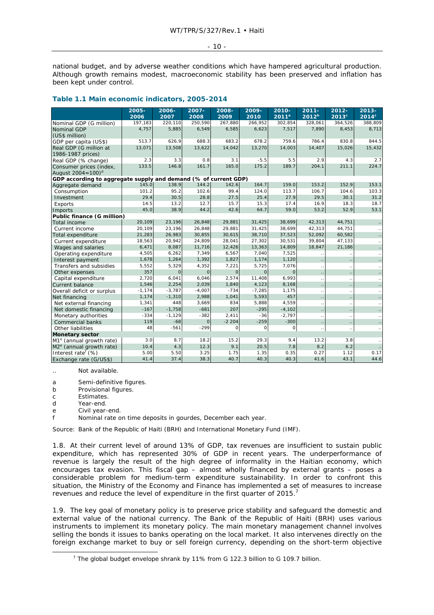#### - 10 -

national budget, and by adverse weather conditions which have hampered agricultural production. Although growth remains modest, macroeconomic stability has been preserved and inflation has been kept under control.

#### **Table 1.1 Main economic indicators, 2005-2014**

|                                                                 | $2005 -$  | 2006-    | 2007-        | 2008-    | 2009-       | $2010 -$     | $2011 -$     | $2012 -$             | $2013 -$       |
|-----------------------------------------------------------------|-----------|----------|--------------|----------|-------------|--------------|--------------|----------------------|----------------|
|                                                                 | 2006      | 2007     | 2008         | 2009     | 2010        | $2011^a$     | $2012^{b}$   | $2013^{\circ}$       | $2014^{\circ}$ |
| Nominal GDP (G million)                                         | 197,183   | 220,110  | 250,590      | 267,880  | 266,952     | 302,854      | 328,061      | 364,526              | 388,809        |
| Nominal GDP                                                     | 4,757     | 5,885    | 6,549        | 6,585    | 6,623       | 7,517        | 7,890        | 8,453                | 8,713          |
| (US\$ million)                                                  |           |          |              |          |             |              |              |                      |                |
| GDP per capita (US\$)                                           | 513.7     | 626.9    | 688.3        | 683.2    | 678.2       | 759.6        | 786.4        | 830.8                | 844.5          |
| Real GDP (G million at                                          | 13,071    | 13,508   | 13,622       | 14,042   | 13,270      | 14,003       | 14,407       | 15,026               | 15,432         |
| 1986-1987 prices)                                               |           |          |              |          |             |              |              |                      |                |
| Real GDP (% change)                                             | 2.3       | 3.3      | 0.8          | 3.1      | $-5.5$      | 5.5          | 2.9          | 4.3                  | 2.7            |
| Consumer prices (index,                                         | 133.5     | 146.8    | 161.7        | 165.0    | 175.2       | 189.7        | 204.1        | 211.1                | 224.7          |
| August $2004 = 100$ <sup>d</sup>                                |           |          |              |          |             |              |              |                      |                |
| GDP according to aggregate supply and demand (% of current GDP) | 145.0     | 138.9    | 144.2        | 142.6    | 164.7       | 159.0        | 153.2        | 152.9                | 153.1          |
| Aggregate demand<br>Consumption                                 | 101.2     | 95.2     | 102.6        | 99.4     | 124.0       | 113.7        | 106.7        | 104.6                | 103.3          |
| Investment                                                      | 29.4      | 30.5     | 28.8         | 27.5     | 25.4        | 27.9         | 29.5         | 30.1                 | 31.2           |
| Exports                                                         | 14.5      | 13.2     | 12.7         | 15.7     | 15.3        | 17.4         | 16.9         | 18.3                 | 18.7           |
| Imports                                                         | 45.0      | 38.9     | 44.2         | 42.6     | 64.7        | 59.0         | 53.2         | 52.9                 | 53.1           |
| Public finance (G million)                                      |           |          |              |          |             |              |              |                      |                |
| Total income                                                    | 20,109    | 23,196   | 26,848       | 29,881   | 31,425      | 38,699       | 42,313       | 44,751               |                |
| Current income                                                  | 20,109    | 23,196   | 26,848       | 29,881   | 31,425      | 38,699       | 42,313       | 44,751               |                |
| Total expenditure                                               | 21,283    | 26,983   | 30,855       | 30,615   | 38,710      | 37,523       | 52,092       | 60,582               |                |
| Current expenditure                                             | 18,563    | 20,942   | 24,809       | 28,041   | 27,302      | 30,531       | 39,804       | 47,133               |                |
| Wages and salaries                                              | 6,471     | 8,087    | 11,716       | 12,426   | 13,363      | 14,809       | 18,847       | 21,186               |                |
| Operating expenditure                                           | 4,505     | 6,262    | 7,349        | 6,567    | 7,040       | 7,525        |              |                      |                |
| Interest payment                                                | 1,678     | 1,264    | 1,392        | 1,827    | 1,174       | 1,120        |              |                      |                |
| Transfers and subsidies                                         | 5,552     | 5,329    | 4,352        | 7,221    | 5,725       | 7,076        |              |                      |                |
| Other expenses                                                  | 357       | $\circ$  | $\mathbf{O}$ | $\circ$  | $\mathbf 0$ | $\mathbf{O}$ |              | $\ldots$             |                |
| Capital expenditure                                             | 2,720     | 6,041    | 6,046        | 2,574    | 11,408      | 6,993        |              | $\ddot{\phantom{0}}$ |                |
| <b>Current balance</b>                                          | 1,546     | 2,254    | 2,039        | 1,840    | 4,123       | 8,168        |              | $\sim$               |                |
| Overall deficit or surplus                                      | $-1, 174$ | $-3,787$ | $-4,007$     | $-734$   | $-7,285$    | 1.175        |              |                      |                |
| Net financing                                                   | 1,174     | $-1,310$ | 2,988        | 1,041    | 5,593       | 457          |              |                      |                |
| Net external financing                                          | 1,341     | 448      | 3,669        | 834      | 5,888       | 4,559        | $\mathbf{r}$ | $\ddotsc$            |                |
| Net domestic financing                                          | $-167$    | $-1,758$ | $-681$       | 207      | $-295$      | $-4,102$     |              | $\sim$               |                |
| Monetary authorities                                            | $-334$    | $-1,129$ | $-382$       | 2,411    | $-36$       | $-2,797$     |              | $\ddotsc$            |                |
| Commercial banks                                                | 119       | $-68$    | $\mathbf{O}$ | $-2204$  | $-259$      | $-300$       |              |                      |                |
| Other liabilities                                               | 48        | $-561$   | $-299$       | $\Omega$ | 0           | $\Omega$     | .,           | $\ldots$             |                |
| <b>Monetary sector</b>                                          |           |          |              |          |             |              |              |                      |                |
| M <sub>1</sub> <sup>e</sup> (annual growth rate)                | 3.0       | 8.7      | 18.2         | 15.2     | 29.3        | 9.4          | 13.2         | 3.8                  |                |
| $M2e$ (annual growth rate)                                      | 10.4      | 4.3      | 12.3         | 9.1      | 20.5        | 7.8          | 8.2          | 6.2                  |                |
| Interest rate <sup>f</sup> (%)                                  | 5.00      | 5.50     | 3.25         | 1.75     | 1.35        | 0.35         | 0.27         | 1.12                 | 0.17           |
| Exchange rate (G/US\$)                                          | 41.4      | 37.4     | 38.3         | 40.7     | 40.3        | 40.3         | 41.6         | 43.1                 | 44.6           |

.. Not available.

a Semi-definitive figures.

b Provisional figures.

c Estimates.

d Year-end.

e Civil year-end.

f Nominal rate on time deposits in gourdes, December each year.

Source: Bank of the Republic of Haiti (BRH) and International Monetary Fund (IMF).

1.8. At their current level of around 13% of GDP, tax revenues are insufficient to sustain public expenditure, which has represented 30% of GDP in recent years. The underperformance of revenue is largely the result of the high degree of informality in the Haitian economy, which encourages tax evasion. This fiscal gap – almost wholly financed by external grants – poses a considerable problem for medium-term expenditure sustainability. In order to confront this situation, the Ministry of the Economy and Finance has implemented a set of measures to increase revenues and reduce the level of expenditure in the first quarter of 2015.<sup>7</sup>

1.9. The key goal of monetary policy is to preserve price stability and safeguard the domestic and external value of the national currency. The Bank of the Republic of Haiti (BRH) uses various instruments to implement its monetary policy. The main monetary management channel involves selling the bonds it issues to banks operating on the local market. It also intervenes directly on the foreign exchange market to buy or sell foreign currency, depending on the short-term objective

 $\overline{7}$ <sup>7</sup> The global budget envelope shrank by 11% from G 122.3 billion to G 109.7 billion.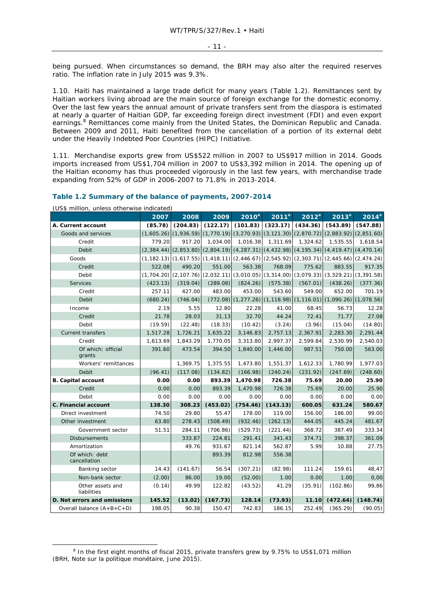being pursued. When circumstances so demand, the BRH may also alter the required reserves ratio. The inflation rate in July 2015 was 9.3%.

1.10. Haiti has maintained a large trade deficit for many years (Table 1.2). Remittances sent by Haitian workers living abroad are the main source of foreign exchange for the domestic economy. Over the last few years the annual amount of private transfers sent from the diaspora is estimated at nearly a quarter of Haitian GDP, far exceeding foreign direct investment (FDI) and even export earnings.<sup>8</sup> Remittances come mainly from the United States, the Dominican Republic and Canada. Between 2009 and 2011, Haiti benefited from the cancellation of a portion of its external debt under the Heavily Indebted Poor Countries (HIPC) Initiative.

1.11. Merchandise exports grew from US\$522 million in 2007 to US\$917 million in 2014. Goods imports increased from US\$1,704 million in 2007 to US\$3,392 million in 2014. The opening up of the Haitian economy has thus proceeded vigorously in the last few years, with merchandise trade expanding from 52% of GDP in 2006-2007 to 71.8% in 2013-2014.

#### **Table 1.2 Summary of the balance of payments, 2007-2014**

(US\$ million, unless otherwise indicated)

|                                 | 2007       | 2008     | 2009     | $2010^a$ | 2011 <sup>a</sup> | $2012^a$ | 2013 <sup>a</sup>                                                                                       | $2014^a$ |
|---------------------------------|------------|----------|----------|----------|-------------------|----------|---------------------------------------------------------------------------------------------------------|----------|
| A. Current account              | (85.78)    | (204.83) | (122.17) | (101.83) | (323.17)          | (434.36) | (543.89)                                                                                                | (547.88) |
| Goods and services              | (1,605.26) |          |          |          |                   |          | $(1,936.59)$ $(1,770.19)$ $(3,270.93)$ $(3,121.30)$ $(2,870.72)$ $(2,883.92)$ $(2,851.60)$              |          |
| Credit                          | 779.20     | 917.20   | 1,034.00 | 1,016.38 | 1,311.69          | 1,324.62 | 1,535.55                                                                                                | 1,618.54 |
| Debit                           |            |          |          |          |                   |          | $(2,384.44)$ $(2,853.80)$ $(2,804.19)$ $(4,287.31)$ $(4,432.98)$ $(4,195.34)$ $(4,419.47)$ $(4,470.14)$ |          |
| Goods                           |            |          |          |          |                   |          | $(1,182.13)$ $(1,617.55)$ $(1,418.11)$ $(2,446.67)$ $(2,545.92)$ $(2,303.71)$ $(2,445.66)$ $(2,474.24)$ |          |
| Credit                          | 522.08     | 490.20   | 551.00   | 563.38   | 768.09            | 775.62   | 883.55                                                                                                  | 917.35   |
| Debit                           |            |          |          |          |                   |          | $(1,704.20)$ $(2,107.76)$ $(2,032.11)$ $(3,010.05)$ $(3,314.00)$ $(3,079.33)$ $(3,329.21)$ $(3,391.58)$ |          |
| Services                        | (423.13)   | (319.04) | (289.08) | (824.26) | (575.38)          | (567.01) | (438.26)                                                                                                | (377.36) |
| Credit                          | 257.11     | 427.00   | 483.00   | 453.00   | 543.60            | 549.00   | 652.00                                                                                                  | 701.19   |
| Debit                           | (680.24)   | (746.04) |          |          |                   |          | $(1,090.26)$ $(1,277.26)$ $(1,118.98)$ $(1,116.01)$ $(1,090.26)$ $(1,078.56)$                           |          |
| Income                          | 2.19       | 5.55     | 12.80    | 22.28    | 41.00             | 68.45    | 56.73                                                                                                   | 12.28    |
| Credit                          | 21.78      | 28.03    | 31.13    | 32.70    | 44.24             | 72.41    | 71.77                                                                                                   | 27.08    |
| Debit                           | (19.59)    | (22.48)  | (18.33)  | (10.42)  | (3.24)            | (3.96)   | (15.04)                                                                                                 | (14.80)  |
| <b>Current transfers</b>        | 1,517.28   | 1,726.21 | 1,635.22 | 3,146.83 | 2,757.13          | 2,367.91 | 2,283.30                                                                                                | 2,291.44 |
| Credit                          | 1,613.69   | 1,843.29 | 1,770.05 | 3,313.80 | 2,997.37          | 2,599.84 | 2,530.99                                                                                                | 2,540.03 |
| Of which: official<br>grants    | 391.60     | 473.54   | 394.50   | 1,840.00 | 1,446.00          | 987.51   | 750.00                                                                                                  | 563.00   |
| Workers' remittances            |            | 1,369.75 | 1,375.55 | 1,473.80 | 1,551.37          | 1,612.33 | 1,780.99                                                                                                | 1,977.03 |
| Debit                           | (96.41)    | (117.08) | (134.82) | (166.98) | (240.24)          | (231.92) | (247.69)                                                                                                | (248.60) |
| <b>B.</b> Capital account       | 0.00       | 0.00     | 893.39   | 1,470.98 | 726.38            | 75.69    | 20.00                                                                                                   | 25.90    |
| Credit                          | 0.00       | 0.00     | 893.39   | 1,470.98 | 726.38            | 75.69    | 20.00                                                                                                   | 25.90    |
| Debit                           | 0.00       | 0.00     | 0.00     | 0.00     | 0.00              | 0.00     | 0.00                                                                                                    | 0.00     |
| C. Financial account            | 138.30     | 308.23   | (453.02) | (754.46) | (143.13)          | 600.05   | 631.24                                                                                                  | 580.67   |
| Direct investment               | 74.50      | 29.80    | 55.47    | 178.00   | 119.00            | 156.00   | 186.00                                                                                                  | 99.00    |
| Other investment                | 63.80      | 278.43   | (508.49) | (932.46) | (262.13)          | 444.05   | 445.24                                                                                                  | 481.67   |
| Government sector               | 51.51      | 284.11   | (706.86) | (529.73) | (221.44)          | 368.72   | 387.49                                                                                                  | 333.34   |
| <b>Disbursements</b>            |            | 333.87   | 224.81   | 291.41   | 341.43            | 374.71   | 398.37                                                                                                  | 361.09   |
| Amortization                    |            | 49.76    | 931.67   | 821.14   | 562.87            | 5.99     | 10.88                                                                                                   | 27.75    |
| Of which: debt<br>cancellation  |            |          | 893.39   | 812.98   | 556.38            |          |                                                                                                         |          |
| Banking sector                  | 14.43      | (141.67) | 56.54    | (307.21) | (82.98)           | 111.24   | 159.61                                                                                                  | 48,47    |
| Non-bank sector                 | (2.00)     | 86.00    | 19.00    | (52.00)  | 1.00              | 0.00     | 1.00                                                                                                    | 0,00     |
| Other assets and<br>liabilities | (0.14)     | 49.99    | 122.82   | (43.52)  | 41.29             | (35.91)  | (102.86)                                                                                                | 99,86    |
| D. Net errors and omissions     | 145.52     | (13.02)  | (167.73) | 128.14   | (73.93)           | 11.10    | (472.64)                                                                                                | (148.74) |
| Overall balance $(A+B+C+D)$     | 198.05     | 90.38    | 150.47   | 742.83   | 186.15            | 252.49   | (365.29)                                                                                                | (90.05)  |

 $\frac{1}{8}$  $8$  In the first eight months of fiscal 2015, private transfers grew by 9.75% to US\$1,071 million (BRH, *Note sur la politique monétaire*, June 2015).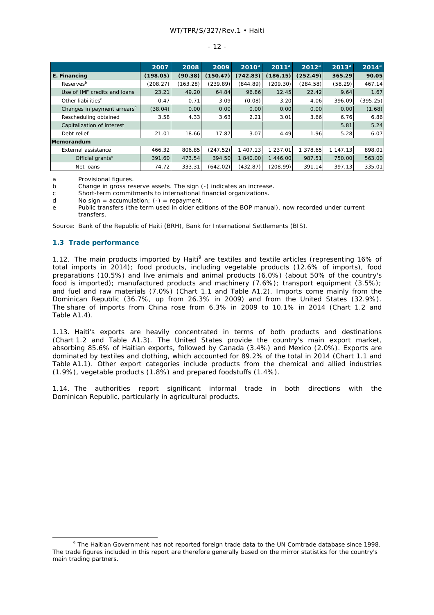#### - 12 -

|                                         | 2007     | 2008     | 2009     | $2010^a$ | $2011^a$ | $2012^a$ | $2013^a$ | $2014^a$ |
|-----------------------------------------|----------|----------|----------|----------|----------|----------|----------|----------|
| E. Financing                            | (198.05) | (90.38)  | (150.47) | (742.83) | (186.15) | (252.49) | 365.29   | 90.05    |
| Reserves <sup>b</sup>                   | (208.27) | (163.28) | (239.89) | (844.89) | (209.30) | (284.58) | (58.29)  | 467.14   |
| Use of IMF credits and loans            | 23.21    | 49.20    | 64.84    | 96.86    | 12.45    | 22.42    | 9.64     | 1.67     |
| Other liabilities <sup>c</sup>          | 0.47     | 0.71     | 3.09     | (0.08)   | 3.20     | 4.06     | 396.09   | (395.25) |
| Changes in payment arrears <sup>d</sup> | (38.04)  | 0.00     | 0.00     | 0.00     | 0.00     | 0.00     | 0.00     | (1.68)   |
| Rescheduling obtained                   | 3.58     | 4.33     | 3.63     | 2.21     | 3.01     | 3.66     | 6.76     | 6.86     |
| Capitalization of interest              |          |          |          |          |          |          | 5.81     | 5.24     |
| Debt relief                             | 21.01    | 18.66    | 17.87    | 3.07     | 4.49     | 1.96     | 5.28     | 6.07     |
| Memorandum                              |          |          |          |          |          |          |          |          |
| External assistance                     | 466.32   | 806.85   | (247.52) | 1 407.13 | 1 237.01 | 1 378.65 | 1 147.13 | 898.01   |
| Official grants <sup>e</sup>            | 391.60   | 473.54   | 394.50   | 1 840.00 | 1 446.00 | 987.51   | 750.00   | 563.00   |
| Net loans                               | 74.72    | 333.31   | (642.02) | (432.87) | (208.99) | 391.14   | 397.13   | 335.01   |

a Provisional figures.

b Change in gross reserve assets. The sign (-) indicates an increase.

c Short-term commitments to international financial organizations.

d No sign = accumulation;  $(-)$  = repayment.

e Public transfers (the term used in older editions of the BOP manual), now recorded under current transfers.

Source: Bank of the Republic of Haiti (BRH), Bank for International Settlements (BIS).

#### **1.3 Trade performance**

1.12. The main products imported by Haiti<sup>9</sup> are textiles and textile articles (representing 16% of total imports in 2014); food products, including vegetable products (12.6% of imports), food preparations (10.5%) and live animals and animal products (6.0%) (about 50% of the country's food is imported); manufactured products and machinery (7.6%); transport equipment (3.5%); and fuel and raw materials (7.0%) (Chart 1.1 and Table A1.2). Imports come mainly from the Dominican Republic (36.7%, up from 26.3% in 2009) and from the United States (32.9%). The share of imports from China rose from 6.3% in 2009 to 10.1% in 2014 (Chart 1.2 and Table A1.4).

1.13. Haiti's exports are heavily concentrated in terms of both products and destinations (Chart 1.2 and Table A1.3). The United States provide the country's main export market, absorbing 85.6% of Haitian exports, followed by Canada (3.4%) and Mexico (2.0%). Exports are dominated by textiles and clothing, which accounted for 89.2% of the total in 2014 (Chart 1.1 and Table A1.1). Other export categories include products from the chemical and allied industries (1.9%), vegetable products (1.8%) and prepared foodstuffs (1.4%).

1.14. The authorities report significant informal trade in both directions with the Dominican Republic, particularly in agricultural products.

 $\frac{1}{\sqrt{9}}$  The Haitian Government has not reported foreign trade data to the UN Comtrade database since 1998. The trade figures included in this report are therefore generally based on the mirror statistics for the country's main trading partners.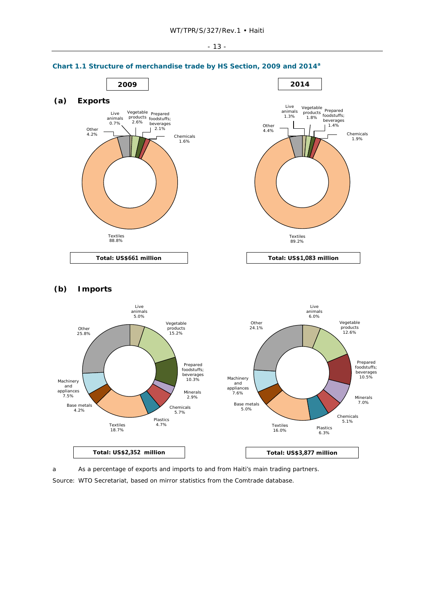

## **(b) Imports**



a As a percentage of exports and imports to and from Haiti's main trading partners.

Source: WTO Secretariat, based on mirror statistics from the Comtrade database.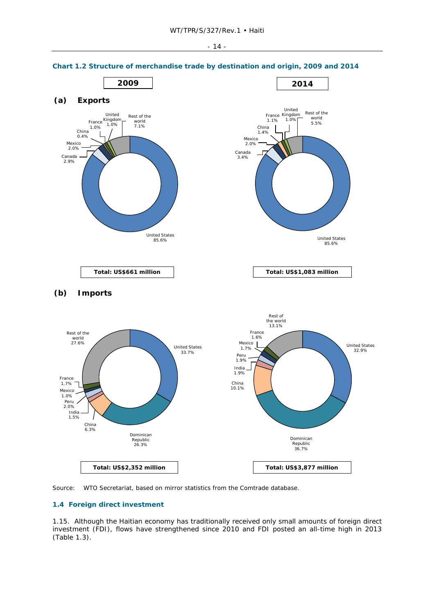

# **Chart 1.2 Structure of merchandise trade by destination and origin, 2009 and 2014**



## **1.4 Foreign direct investment**

1.15. Although the Haitian economy has traditionally received only small amounts of foreign direct investment (FDI), flows have strengthened since 2010 and FDI posted an all-time high in 2013 (Table 1.3).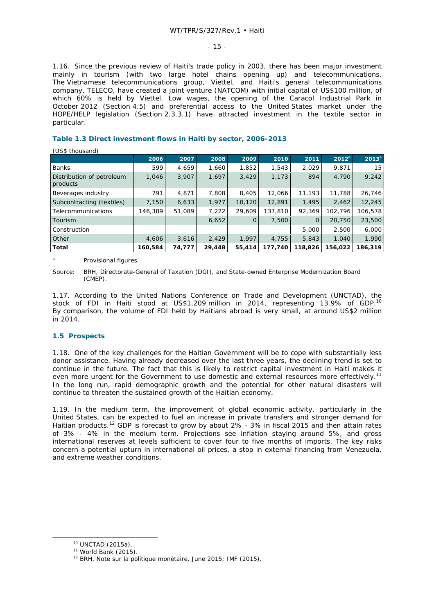- 15 -

1.16. Since the previous review of Haiti's trade policy in 2003, there has been major investment mainly in tourism (with two large hotel chains opening up) and telecommunications. The Vietnamese telecommunications group, Viettel, and Haiti's general telecommunications company, TELECO, have created a joint venture (NATCOM) with initial capital of US\$100 million, of which 60% is held by Viettel. Low wages, the opening of the Caracol Industrial Park in October 2012 (Section 4.5) and preferential access to the United States market under the HOPE/HELP legislation (Section 2.3.3.1) have attracted investment in the textile sector in particular.

# **Table 1.3 Direct investment flows in Haiti by sector, 2006-2013**

 $(1155 thoucsand)$ 

| $10.04$ thousand,                     |         |        |        |             |         |                |          |          |
|---------------------------------------|---------|--------|--------|-------------|---------|----------------|----------|----------|
|                                       | 2006    | 2007   | 2008   | 2009        | 2010    | 2011           | $2012^a$ | $2013^a$ |
| <b>Banks</b>                          | 599     | 4,659  | 1,660  | 1,852       | 1,543   | 2,029          | 9,871    | 15       |
| Distribution of petroleum<br>products | 1,046   | 3,907  | 1,697  | 3,429       | 1,173   | 894            | 4,790    | 9,242    |
| Beverages industry                    | 791     | 4,871  | 7,808  | 8,405       | 12,066  | 11,193         | 11,788   | 26,746   |
| Subcontracting (textiles)             | 7,150   | 6,633  | 1,977  | 10, 120     | 12,891  | 1,495          | 2,462    | 12,245   |
| Telecommunications                    | 146,389 | 51,089 | 7,222  | 29,609      | 137,810 | 92,369         | 102,796  | 106,578  |
| Tourism                               |         |        | 6,652  | $\mathbf 0$ | 7,500   | $\overline{0}$ | 20,750   | 23,500   |
| Construction                          |         |        |        |             |         | 5,000          | 2,500    | 6,000    |
| Other                                 | 4,606   | 3,616  | 2,429  | 1,997       | 4,755   | 5,843          | 1,040    | 1,990    |
| Total                                 | 160,584 | 74,777 | 29,448 | 55,414      | 177,740 | 118,826        | 156,022  | 186,319  |

Provisional figures.

*Source:* BRH, Directorate-General of Taxation (DGI), and State-owned Enterprise Modernization Board (CMEP).

1.17. According to the United Nations Conference on Trade and Development (UNCTAD), the stock of FDI in Haiti stood at US\$1,209 million in 2014, representing 13.9% of GDP.10 By comparison, the volume of FDI held by Haitians abroad is very small, at around US\$2 million in 2014.

# **1.5 Prospects**

1.18. One of the key challenges for the Haitian Government will be to cope with substantially less donor assistance. Having already decreased over the last three years, the declining trend is set to continue in the future. The fact that this is likely to restrict capital investment in Haiti makes it even more urgent for the Government to use domestic and external resources more effectively.<sup>11</sup> In the long run, rapid demographic growth and the potential for other natural disasters will continue to threaten the sustained growth of the Haitian economy.

1.19. In the medium term, the improvement of global economic activity, particularly in the United States, can be expected to fuel an increase in private transfers and stronger demand for Haitian products.<sup>12</sup> GDP is forecast to grow by about  $2\%$  -  $3\%$  in fiscal 2015 and then attain rates of 3% - 4% in the medium term. Projections see inflation staying around 5%, and gross international reserves at levels sufficient to cover four to five months of imports. The key risks concern a potential upturn in international oil prices, a stop in external financing from Venezuela, and extreme weather conditions.

<sup>&</sup>lt;sup>10</sup> UNCTAD (2015a).<br><sup>11</sup> World Bank (2015).<br><sup>12</sup> BRH, *Note sur la politique monétaire*, June 2015; IMF (2015).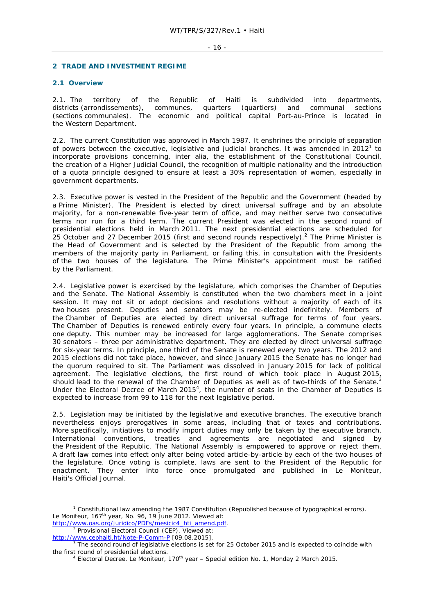#### - 16 -

#### **2 TRADE AND INVESTMENT REGIME**

#### **2.1 Overview**

2.1. The territory of the Republic of Haiti is subdivided into departments, districts (arrondissements), communes, quarters (quartiers) and communal sections (sections communales). The economic and political capital Port-au-Prince is located in the Western Department.

2.2. The current Constitution was approved in March 1987. It enshrines the principle of separation of powers between the executive, legislative and judicial branches. It was amended in  $2012<sup>1</sup>$  to incorporate provisions concerning, *inter alia*, the establishment of the Constitutional Council, the creation of a Higher Judicial Council, the recognition of multiple nationality and the introduction of a quota principle designed to ensure at least a 30% representation of women, especially in government departments.

2.3. Executive power is vested in the President of the Republic and the Government (headed by a Prime Minister). The President is elected by direct universal suffrage and by an absolute majority, for a non-renewable five-year term of office, and may neither serve two consecutive terms nor run for a third term. The current President was elected in the second round of presidential elections held in March 2011. The next presidential elections are scheduled for 25 October and 27 December 2015 (first and second rounds respectively). $^2$  The Prime Minister is the Head of Government and is selected by the President of the Republic from among the members of the majority party in Parliament, or failing this, in consultation with the Presidents of the two houses of the legislature. The Prime Minister's appointment must be ratified by the Parliament.

2.4. Legislative power is exercised by the legislature, which comprises the Chamber of Deputies and the Senate. The National Assembly is constituted when the two chambers meet in a joint session. It may not sit or adopt decisions and resolutions without a majority of each of its two houses present. Deputies and senators may be re-elected indefinitely. Members of the Chamber of Deputies are elected by direct universal suffrage for terms of four years. The Chamber of Deputies is renewed entirely every four years. In principle, a commune elects one deputy. This number may be increased for large agglomerations. The Senate comprises 30 senators – three per administrative department. They are elected by direct universal suffrage for six-year terms. In principle, one third of the Senate is renewed every two years. The 2012 and 2015 elections did not take place, however, and since January 2015 the Senate has no longer had the quorum required to sit. The Parliament was dissolved in January 2015 for lack of political the quorum required to sit. The ramantem was dissolved in square,  $j = 1$ .<br>agreement. The legislative elections, the first round of which took place in August 2015, should lead to the renewal of the Chamber of Deputies as well as of two-thirds of the Senate.<sup>3</sup> Under the Electoral Decree of March 2015<sup>4</sup>, the number of seats in the Chamber of Deputies is expected to increase from 99 to 118 for the next legislative period.

2.5. Legislation may be initiated by the legislative and executive branches. The executive branch nevertheless enjoys prerogatives in some areas, including that of taxes and contributions. More specifically, initiatives to modify import duties may only be taken by the executive branch. International conventions, treaties and agreements are negotiated and signed by the President of the Republic. The National Assembly is empowered to approve or reject them. A draft law comes into effect only after being voted article-by-article by each of the two houses of the legislature. Once voting is complete, laws are sent to the President of the Republic for enactment. They enter into force once promulgated and published in *Le Moniteur*, Haiti's Official Journal.

http://www.oas.org/juridico/PDFs/mesicic4\_hti\_amend.pdf.<br><sup>2</sup> Provisional Electoral Council (CED), Viewed at: <sup>2</sup> Provisional Electoral Council (CEP). Viewed at:

 $\frac{1}{1}$ <sup>1</sup> Constitutional law amending the 1987 Constitution (Republished because of typographical errors). *Le Moniteur*, 167th year, No. 96, 19 June 2012. Viewed at:

http://www.cephaiti.ht/Note-P-Comm-P [09.08.2015].

<sup>&</sup>lt;sup>3</sup> The second round of legislative elections is set for 25 October 2015 and is expected to coincide with the first round of presidential elections. 4

<sup>&</sup>lt;sup>4</sup> Electoral Decree. *Le Moniteur*, 170<sup>th</sup> year - Special edition No. 1, Monday 2 March 2015.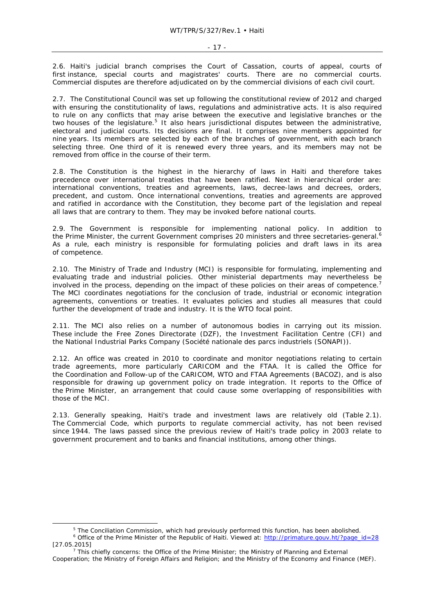2.6. Haiti's judicial branch comprises the Court of Cassation, courts of appeal, courts of first instance, special courts and magistrates' courts. There are no commercial courts. Commercial disputes are therefore adjudicated on by the commercial divisions of each civil court.

2.7. The Constitutional Council was set up following the constitutional review of 2012 and charged with ensuring the constitutionality of laws, regulations and administrative acts. It is also required to rule on any conflicts that may arise between the executive and legislative branches or the two houses of the legislature.<sup>5</sup> It also hears jurisdictional disputes between the administrative, electoral and judicial courts. Its decisions are final. It comprises nine members appointed for nine years. Its members are selected by each of the branches of government, with each branch selecting three. One third of it is renewed every three years, and its members may not be removed from office in the course of their term.

2.8. The Constitution is the highest in the hierarchy of laws in Haiti and therefore takes precedence over international treaties that have been ratified. Next in hierarchical order are: international conventions, treaties and agreements, laws, decree-laws and decrees, orders, precedent, and custom. Once international conventions, treaties and agreements are approved and ratified in accordance with the Constitution, they become part of the legislation and repeal all laws that are contrary to them. They may be invoked before national courts.

2.9. The Government is responsible for implementing national policy. In addition to the Prime Minister, the current Government comprises 20 ministers and three secretaries-general.<sup>6</sup> As a rule, each ministry is responsible for formulating policies and draft laws in its area of competence.

2.10. The Ministry of Trade and Industry (MCI) is responsible for formulating, implementing and evaluating trade and industrial policies. Other ministerial departments may nevertheless be involved in the process, depending on the impact of these policies on their areas of competence.<sup>7</sup> The MCI coordinates negotiations for the conclusion of trade, industrial or economic integration agreements, conventions or treaties. It evaluates policies and studies all measures that could further the development of trade and industry. It is the WTO focal point.

2.11. The MCI also relies on a number of autonomous bodies in carrying out its mission. These include the Free Zones Directorate (DZF), the Investment Facilitation Centre (CFI) and the National Industrial Parks Company (*Société nationale des parcs industriels* (SONAPI)).

2.12. An office was created in 2010 to coordinate and monitor negotiations relating to certain trade agreements, more particularly CARICOM and the FTAA. It is called the Office for the Coordination and Follow-up of the CARICOM, WTO and FTAA Agreements (BACOZ), and is also responsible for drawing up government policy on trade integration. It reports to the Office of the Prime Minister, an arrangement that could cause some overlapping of responsibilities with those of the MCI.

2.13. Generally speaking, Haiti's trade and investment laws are relatively old (Table 2.1). The Commercial Code, which purports to regulate commercial activity, has not been revised since 1944. The laws passed since the previous review of Haiti's trade policy in 2003 relate to government procurement and to banks and financial institutions, among other things.

 $\frac{1}{5}$ <sup>5</sup> The Conciliation Commission, which had previously performed this function, has been abolished. <sup>6</sup> Office of the Prime Minister of the Republic of Haiti. Viewed at: http://primature.gouv.ht/?page\_id=28

 $[27.05.2015]$ 

 $\frac{7}{7}$  This chiefly concerns: the Office of the Prime Minister; the Ministry of Planning and External Cooperation; the Ministry of Foreign Affairs and Religion; and the Ministry of the Economy and Finance (MEF).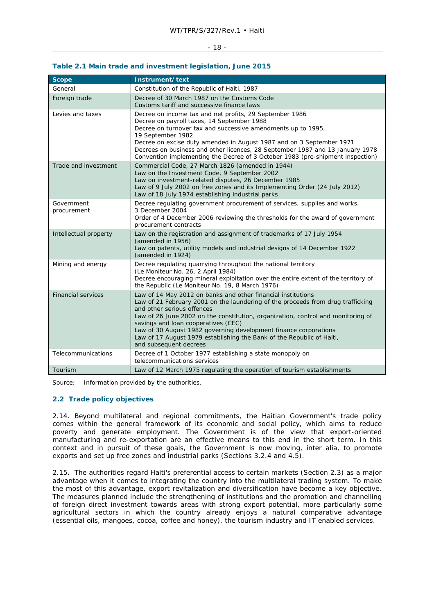#### - 18 -

#### **Table 2.1 Main trade and investment legislation, June 2015**

| <b>Scope</b>              | Instrument/text                                                                                                                                                                                                                                                                                                                                                                                                                                                                 |
|---------------------------|---------------------------------------------------------------------------------------------------------------------------------------------------------------------------------------------------------------------------------------------------------------------------------------------------------------------------------------------------------------------------------------------------------------------------------------------------------------------------------|
| General                   | Constitution of the Republic of Haiti, 1987                                                                                                                                                                                                                                                                                                                                                                                                                                     |
| Foreign trade             | Decree of 30 March 1987 on the Customs Code<br>Customs tariff and successive finance laws                                                                                                                                                                                                                                                                                                                                                                                       |
| Levies and taxes          | Decree on income tax and net profits, 29 September 1986<br>Decree on payroll taxes, 14 September 1988<br>Decree on turnover tax and successive amendments up to 1995,<br>19 September 1982<br>Decree on excise duty amended in August 1987 and on 3 September 1971<br>Decrees on business and other licences, 28 September 1987 and 13 January 1978<br>Convention implementing the Decree of 3 October 1983 (pre-shipment inspection)                                           |
| Trade and investment      | Commercial Code, 27 March 1826 (amended in 1944)<br>Law on the Investment Code, 9 September 2002<br>Law on investment-related disputes, 26 December 1985<br>Law of 9 July 2002 on free zones and its Implementing Order (24 July 2012)<br>Law of 18 July 1974 establishing industrial parks                                                                                                                                                                                     |
| Government<br>procurement | Decree regulating government procurement of services, supplies and works,<br>3 December 2004<br>Order of 4 December 2006 reviewing the thresholds for the award of government<br>procurement contracts                                                                                                                                                                                                                                                                          |
| Intellectual property     | Law on the registration and assignment of trademarks of 17 July 1954<br>(amended in 1956)<br>Law on patents, utility models and industrial designs of 14 December 1922<br>(amended in 1924)                                                                                                                                                                                                                                                                                     |
| Mining and energy         | Decree regulating quarrying throughout the national territory<br>(Le Moniteur No. 26, 2 April 1984)<br>Decree encouraging mineral exploitation over the entire extent of the territory of<br>the Republic (Le Moniteur No. 19, 8 March 1976)                                                                                                                                                                                                                                    |
| <b>Financial services</b> | Law of 14 May 2012 on banks and other financial institutions<br>Law of 21 February 2001 on the laundering of the proceeds from drug trafficking<br>and other serious offences<br>Law of 26 June 2002 on the constitution, organization, control and monitoring of<br>savings and loan cooperatives (CEC)<br>Law of 30 August 1982 governing development finance corporations<br>Law of 17 August 1979 establishing the Bank of the Republic of Haiti,<br>and subsequent decrees |
| Telecommunications        | Decree of 1 October 1977 establishing a state monopoly on<br>telecommunications services                                                                                                                                                                                                                                                                                                                                                                                        |
| Tourism                   | Law of 12 March 1975 regulating the operation of tourism establishments                                                                                                                                                                                                                                                                                                                                                                                                         |

Source: Information provided by the authorities.

# **2.2 Trade policy objectives**

2.14. Beyond multilateral and regional commitments, the Haitian Government's trade policy comes within the general framework of its economic and social policy, which aims to reduce poverty and generate employment. The Government is of the view that export-oriented manufacturing and re-exportation are an effective means to this end in the short term. In this context and in pursuit of these goals, the Government is now moving, inter alia, to promote exports and set up free zones and industrial parks (Sections 3.2.4 and 4.5).

2.15. The authorities regard Haiti's preferential access to certain markets (Section 2.3) as a major advantage when it comes to integrating the country into the multilateral trading system. To make the most of this advantage, export revitalization and diversification have become a key objective. The measures planned include the strengthening of institutions and the promotion and channelling of foreign direct investment towards areas with strong export potential, more particularly some agricultural sectors in which the country already enjoys a natural comparative advantage (essential oils, mangoes, cocoa, coffee and honey), the tourism industry and IT enabled services.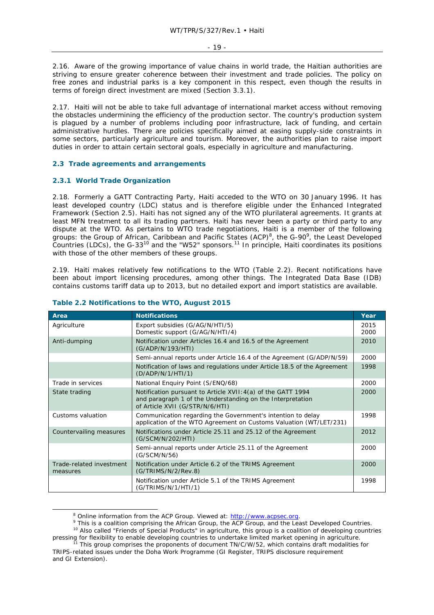2.16. Aware of the growing importance of value chains in world trade, the Haitian authorities are striving to ensure greater coherence between their investment and trade policies. The policy on free zones and industrial parks is a key component in this respect, even though the results in terms of foreign direct investment are mixed (Section 3.3.1).

2.17. Haiti will not be able to take full advantage of international market access without removing the obstacles undermining the efficiency of the production sector. The country's production system is plagued by a number of problems including poor infrastructure, lack of funding, and certain administrative hurdles. There are policies specifically aimed at easing supply-side constraints in some sectors, particularly agriculture and tourism. Moreover, the authorities plan to raise import duties in order to attain certain sectoral goals, especially in agriculture and manufacturing.

## **2.3 Trade agreements and arrangements**

# **2.3.1 World Trade Organization**

2.18. Formerly a GATT Contracting Party, Haiti acceded to the WTO on 30 January 1996. It has least developed country (LDC) status and is therefore eligible under the Enhanced Integrated Framework (Section 2.5). Haiti has not signed any of the WTO plurilateral agreements. It grants at least MFN treatment to all its trading partners. Haiti has never been a party or third party to any dispute at the WTO. As pertains to WTO trade negotiations, Haiti is a member of the following groups: the Group of African, Caribbean and Pacific States (ACP)<sup>8</sup>, the G-90<sup>9</sup>, the Least Developed  $\text{Countries (LDCs)}$ , the G-33<sup>10</sup> and the "W52" sponsors.<sup>11</sup> In principle, Haiti coordinates its positions with those of the other members of these groups.

2.19. Haiti makes relatively few notifications to the WTO (Table 2.2). Recent notifications have been about import licensing procedures, among other things. The Integrated Data Base (IDB) contains customs tariff data up to 2013, but no detailed export and import statistics are available.

| Area                                 | <b>Notifications</b>                                                                                                                                          | Year         |
|--------------------------------------|---------------------------------------------------------------------------------------------------------------------------------------------------------------|--------------|
| Agriculture                          | Export subsidies (G/AG/N/HTI/5)<br>Domestic support (G/AG/N/HTI/4)                                                                                            | 2015<br>2000 |
| Anti-dumping                         | Notification under Articles 16.4 and 16.5 of the Agreement<br>(G/ADP/N/193/HTI)                                                                               | 2010         |
|                                      | Semi-annual reports under Article 16.4 of the Agreement (G/ADP/N/59)                                                                                          | 2000         |
|                                      | Notification of laws and regulations under Article 18.5 of the Agreement<br>(D/ADP/N/1/HTI/1)                                                                 | 1998         |
| Trade in services                    | National Enquiry Point (S/ENQ/68)                                                                                                                             | 2000         |
| State trading                        | Notification pursuant to Article XVII: 4(a) of the GATT 1994<br>and paragraph 1 of the Understanding on the Interpretation<br>of Article XVII (G/STR/N/6/HTI) | 2000         |
| Customs valuation                    | Communication regarding the Government's intention to delay<br>application of the WTO Agreement on Customs Valuation (WT/LET/231)                             | 1998         |
| Countervailing measures              | Notifications under Article 25.11 and 25.12 of the Agreement<br>(G/SCM/N/202/HTI)                                                                             | 2012         |
|                                      | Semi-annual reports under Article 25.11 of the Agreement<br>(G/SCM/N/56)                                                                                      | 2000         |
| Trade-related investment<br>measures | Notification under Article 6.2 of the TRIMS Agreement<br>(G/TRIMS/N/2/Rev.8)                                                                                  | 2000         |
|                                      | Notification under Article 5.1 of the TRIMS Agreement<br>(G/TRIMS/N/1/HTI/1)                                                                                  | 1998         |

#### **Table 2.2 Notifications to the WTO, August 2015**

 <sup>8</sup>

<sup>&</sup>lt;sup>8</sup> Online information from the ACP Group. Viewed at: http://www.acpsec.org.<br>9 This is a coalition comprising the African Group, the ACP Group, and the Least Developed Countries. <sup>10</sup> Also called "Friends of Special Products" in agriculture, this group is a coalition of developing countries

pressing for flexibility to enable developing countries to undertake limited market opening in agriculture.<br><sup>11</sup> This group comprises the proponents of document TN/C/W/52, which contains draft modalities for

TRIPS-related issues under the Doha Work Programme (GI Register, TRIPS disclosure requirement and GI Extension).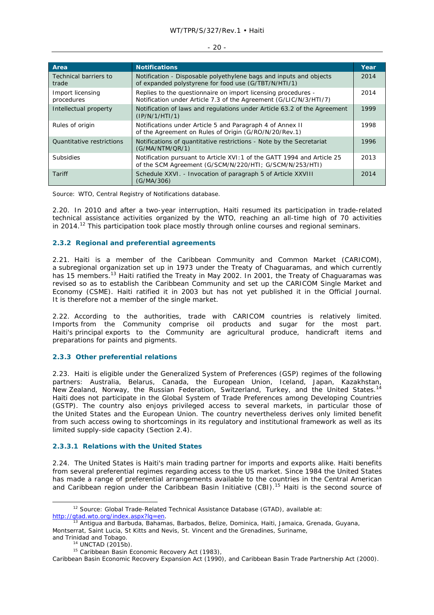| Area                           | <b>Notifications</b>                                                                                                               | Year |
|--------------------------------|------------------------------------------------------------------------------------------------------------------------------------|------|
| Technical barriers to<br>trade | Notification - Disposable polyethylene bags and inputs and objects<br>of expanded polystyrene for food use (G/TBT/N/HTI/1)         | 2014 |
| Import licensing<br>procedures | Replies to the questionnaire on import licensing procedures -<br>Notification under Article 7.3 of the Agreement (G/LIC/N/3/HTI/7) | 2014 |
| Intellectual property          | Notification of laws and regulations under Article 63.2 of the Agreement<br>(IP/N/1/HTI/1)                                         | 1999 |
| Rules of origin                | Notifications under Article 5 and Paragraph 4 of Annex II<br>of the Agreement on Rules of Origin (G/RO/N/20/Rev.1)                 | 1998 |
| Quantitative restrictions      | Notifications of quantitative restrictions - Note by the Secretariat<br>(G/MA/NTM/QR/1)                                            | 1996 |
| <b>Subsidies</b>               | Notification pursuant to Article XVI: 1 of the GATT 1994 and Article 25<br>of the SCM Agreement (G/SCM/N/220/HTI; G/SCM/N/253/HTI) | 2013 |
| Tariff                         | Schedule XXVI. - Invocation of paragraph 5 of Article XXVIII<br>(G/MA/306)                                                         | 2014 |

#### - 20 -

Source: WTO, Central Registry of Notifications database.

2.20. In 2010 and after a two-year interruption, Haiti resumed its participation in trade-related technical assistance activities organized by the WTO, reaching an all-time high of 70 activities in 2014.<sup>12</sup> This participation took place mostly through online courses and regional seminars.

# **2.3.2 Regional and preferential agreements**

2.21. Haiti is a member of the Caribbean Community and Common Market (CARICOM), a subregional organization set up in 1973 under the Treaty of Chaguaramas, and which currently has 15 members.<sup>13</sup> Haiti ratified the Treaty in May 2002. In 2001, the Treaty of Chaguaramas was revised so as to establish the Caribbean Community and set up the CARICOM Single Market and Economy (CSME). Haiti ratified it in 2003 but has not yet published it in the Official Journal. It is therefore not a member of the single market.

2.22. According to the authorities, trade with CARICOM countries is relatively limited. Imports from the Community comprise oil products and sugar for the most part. Haiti's principal exports to the Community are agricultural produce, handicraft items and preparations for paints and pigments.

# **2.3.3 Other preferential relations**

2.23. Haiti is eligible under the Generalized System of Preferences (GSP) regimes of the following partners: Australia, Belarus, Canada, the European Union, Iceland, Japan, Kazakhstan, New Zealand, Norway, the Russian Federation, Switzerland, Turkey, and the United States.<sup>14</sup> Haiti does not participate in the Global System of Trade Preferences among Developing Countries (GSTP). The country also enjoys privileged access to several markets, in particular those of the United States and the European Union. The country nevertheless derives only limited benefit from such access owing to shortcomings in its regulatory and institutional framework as well as its limited supply-side capacity (Section 2.4).

# **2.3.3.1 Relations with the United States**

2.24. The United States is Haiti's main trading partner for imports and exports alike. Haiti benefits from several preferential regimes regarding access to the US market. Since 1984 the United States has made a range of preferential arrangements available to the countries in the Central American and Caribbean region under the Caribbean Basin Initiative (CBI).<sup>15</sup> Haiti is the second source of

<sup>&</sup>lt;sup>12</sup> Source: Global Trade-Related Technical Assistance Database (GTAD), available at: http://gtad.wto.org/index.aspx?lg=en.<br><sup>13</sup> Antigua and Barbuda, Bahamas, Barbados, Belize, Dominica, Haiti, Jamaica, Grenada, Guyana,

Montserrat, Saint Lucia, St Kitts and Nevis, St. Vincent and the Grenadines, Suriname,

and Trinidad and Tobago.<br><sup>14</sup> UNCTAD (2015b).<br><sup>15</sup> Caribbean Basin Economic Recovery Act (1983),

Caribbean Basin Economic Recovery Expansion Act (1990), and Caribbean Basin Trade Partnership Act (2000).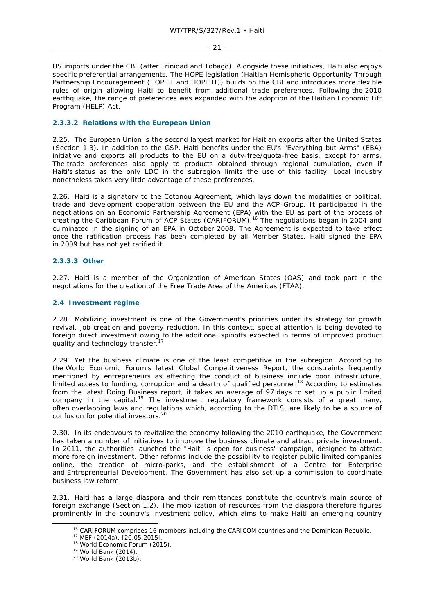- 21 -

US imports under the CBI (after Trinidad and Tobago). Alongside these initiatives, Haiti also enjoys specific preferential arrangements. The HOPE legislation (Haitian Hemispheric Opportunity Through Partnership Encouragement (HOPE I and HOPE II)) builds on the CBI and introduces more flexible rules of origin allowing Haiti to benefit from additional trade preferences. Following the 2010 earthquake, the range of preferences was expanded with the adoption of the Haitian Economic Lift Program (HELP) Act.

# **2.3.3.2 Relations with the European Union**

2.25. The European Union is the second largest market for Haitian exports after the United States (Section 1.3). In addition to the GSP, Haiti benefits under the EU's "Everything but Arms" (EBA) initiative and exports all products to the EU on a duty-free/quota-free basis, except for arms. The trade preferences also apply to products obtained through regional cumulation, even if Haiti's status as the only LDC in the subregion limits the use of this facility. Local industry nonetheless takes very little advantage of these preferences.

2.26. Haiti is a signatory to the Cotonou Agreement, which lays down the modalities of political, trade and development cooperation between the EU and the ACP Group. It participated in the negotiations on an Economic Partnership Agreement (EPA) with the EU as part of the process of creating the Caribbean Forum of ACP States (CARIFORUM).16 The negotiations began in 2004 and culminated in the signing of an EPA in October 2008. The Agreement is expected to take effect once the ratification process has been completed by all Member States. Haiti signed the EPA in 2009 but has not yet ratified it.

# **2.3.3.3 Other**

2.27. Haiti is a member of the Organization of American States (OAS) and took part in the negotiations for the creation of the Free Trade Area of the Americas (FTAA).

#### **2.4 Investment regime**

2.28. Mobilizing investment is one of the Government's priorities under its strategy for growth revival, job creation and poverty reduction. In this context, special attention is being devoted to foreign direct investment owing to the additional spinoffs expected in terms of improved product quality and technology transfer.

2.29. Yet the business climate is one of the least competitive in the subregion. According to the World Economic Forum's latest Global Competitiveness Report, the constraints frequently mentioned by entrepreneurs as affecting the conduct of business include poor infrastructure, limited access to funding, corruption and a dearth of qualified personnel.<sup>18</sup> According to estimates from the latest *Doing Business* report, it takes an average of 97 days to set up a public limited company in the capital.<sup>19</sup> The investment regulatory framework consists of a great many, often overlapping laws and regulations which, according to the DTIS, are likely to be a source of confusion for potential investors.20

2.30. In its endeavours to revitalize the economy following the 2010 earthquake, the Government has taken a number of initiatives to improve the business climate and attract private investment. In 2011, the authorities launched the "Haiti is open for business" campaign, designed to attract more foreign investment. Other reforms include the possibility to register public limited companies online, the creation of micro-parks, and the establishment of a Centre for Enterprise and Entrepreneurial Development. The Government has also set up a commission to coordinate business law reform.

2.31. Haiti has a large diaspora and their remittances constitute the country's main source of foreign exchange (Section 1.2). The mobilization of resources from the diaspora therefore figures prominently in the country's investment policy, which aims to make Haiti an emerging country

<sup>&</sup>lt;sup>16</sup> CARIFORUM comprises 16 members including the CARICOM countries and the Dominican Republic.<br><sup>17</sup> MEF (2014a), [20.05.2015].<br><sup>18</sup> World Economic Forum (2015).<br><sup>19</sup> World Bank (2014).<br><sup>20</sup> World Bank (2013b).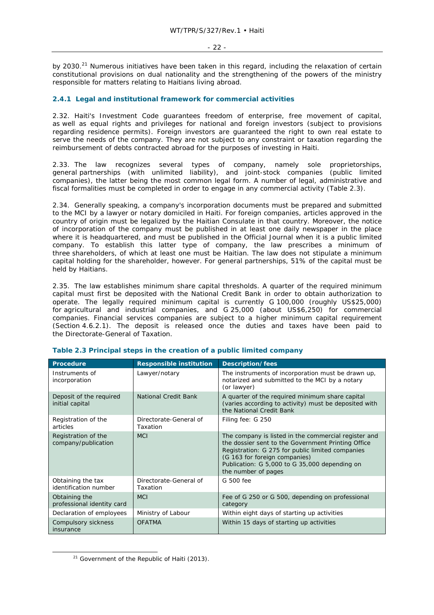by 2030.<sup>21</sup> Numerous initiatives have been taken in this regard, including the relaxation of certain constitutional provisions on dual nationality and the strengthening of the powers of the ministry responsible for matters relating to Haitians living abroad.

# **2.4.1 Legal and institutional framework for commercial activities**

2.32. Haiti's Investment Code guarantees freedom of enterprise, free movement of capital, as well as equal rights and privileges for national and foreign investors (subject to provisions regarding residence permits). Foreign investors are guaranteed the right to own real estate to serve the needs of the company. They are not subject to any constraint or taxation regarding the reimbursement of debts contracted abroad for the purposes of investing in Haiti.

2.33. The law recognizes several types of company, namely sole proprietorships, general partnerships (with unlimited liability), and joint-stock companies (public limited companies), the latter being the most common legal form. A number of legal, administrative and fiscal formalities must be completed in order to engage in any commercial activity (Table 2.3).

2.34. Generally speaking, a company's incorporation documents must be prepared and submitted to the MCI by a lawyer or notary domiciled in Haiti. For foreign companies, articles approved in the country of origin must be legalized by the Haitian Consulate in that country. Moreover, the notice of incorporation of the company must be published in at least one daily newspaper in the place where it is headquartered, and must be published in the Official Journal when it is a public limited company. To establish this latter type of company, the law prescribes a minimum of three shareholders, of which at least one must be Haitian. The law does not stipulate a minimum capital holding for the shareholder, however. For general partnerships, 51% of the capital must be held by Haitians.

2.35. The law establishes minimum share capital thresholds. A quarter of the required minimum capital must first be deposited with the National Credit Bank in order to obtain authorization to operate. The legally required minimum capital is currently G 100,000 (roughly US\$25,000) for agricultural and industrial companies, and G 25,000 (about US\$6,250) for commercial companies. Financial services companies are subject to a higher minimum capital requirement (Section 4.6.2.1). The deposit is released once the duties and taxes have been paid to the Directorate-General of Taxation.

| Procedure                                   | <b>Responsible institution</b>     | Description/fees                                                                                                                                                                                                                                                        |
|---------------------------------------------|------------------------------------|-------------------------------------------------------------------------------------------------------------------------------------------------------------------------------------------------------------------------------------------------------------------------|
| Instruments of<br>incorporation             | Lawyer/notary                      | The instruments of incorporation must be drawn up,<br>notarized and submitted to the MCI by a notary<br>(or lawyer)                                                                                                                                                     |
| Deposit of the required<br>initial capital  | National Credit Bank               | A quarter of the required minimum share capital<br>(varies according to activity) must be deposited with<br>the National Credit Bank                                                                                                                                    |
| Registration of the<br>articles             | Directorate-General of<br>Taxation | Filing fee: G 250                                                                                                                                                                                                                                                       |
| Registration of the<br>company/publication  | <b>MCI</b>                         | The company is listed in the commercial register and<br>the dossier sent to the Government Printing Office<br>Registration: G 275 for public limited companies<br>(G 163 for foreign companies)<br>Publication: G 5,000 to G 35,000 depending on<br>the number of pages |
| Obtaining the tax<br>identification number  | Directorate-General of<br>Taxation | G 500 fee                                                                                                                                                                                                                                                               |
| Obtaining the<br>professional identity card | <b>MCI</b>                         | Fee of G 250 or G 500, depending on professional<br>category                                                                                                                                                                                                            |
| Declaration of employees                    | Ministry of Labour                 | Within eight days of starting up activities                                                                                                                                                                                                                             |
| Compulsory sickness<br>insurance            | <b>OFATMA</b>                      | Within 15 days of starting up activities                                                                                                                                                                                                                                |

#### **Table 2.3 Principal steps in the creation of a public limited company**

 $21$  Government of the Republic of Haiti (2013).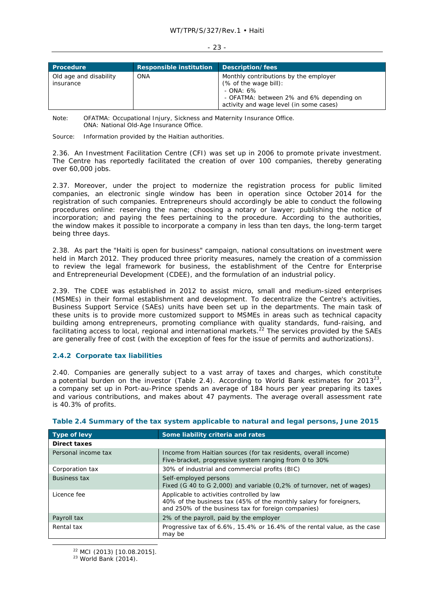| <b>Procedure</b>                    | <b>Responsible institution</b> | Description/fees                                                                                                                                                      |
|-------------------------------------|--------------------------------|-----------------------------------------------------------------------------------------------------------------------------------------------------------------------|
| Old age and disability<br>insurance | ONA                            | Monthly contributions by the employer<br>(% of the wage bill):<br>- $OMA: 6\%$<br>- OFATMA: between 2% and 6% depending on<br>activity and wage level (in some cases) |

- 23 -

Note: OFATMA: Occupational Injury, Sickness and Maternity Insurance Office. ONA: National Old-Age Insurance Office.

Source: Information provided by the Haitian authorities.

2.36. An Investment Facilitation Centre (CFI) was set up in 2006 to promote private investment. The Centre has reportedly facilitated the creation of over 100 companies, thereby generating over 60,000 jobs.

2.37. Moreover, under the project to modernize the registration process for public limited companies, an electronic single window has been in operation since October 2014 for the registration of such companies. Entrepreneurs should accordingly be able to conduct the following procedures online: reserving the name; choosing a notary or lawyer; publishing the notice of incorporation; and paying the fees pertaining to the procedure. According to the authorities, the window makes it possible to incorporate a company in less than ten days, the long-term target being three days.

2.38. As part the "Haiti is open for business" campaign, national consultations on investment were held in March 2012. They produced three priority measures, namely the creation of a commission to review the legal framework for business, the establishment of the Centre for Enterprise and Entrepreneurial Development (CDEE), and the formulation of an industrial policy.

2.39. The CDEE was established in 2012 to assist micro, small and medium-sized enterprises (MSMEs) in their formal establishment and development. To decentralize the Centre's activities, Business Support Service (SAEs) units have been set up in the departments. The main task of these units is to provide more customized support to MSMEs in areas such as technical capacity building among entrepreneurs, promoting compliance with quality standards, fund-raising, and facilitating access to local, regional and international markets.<sup>22</sup> The services provided by the SAEs are generally free of cost (with the exception of fees for the issue of permits and authorizations).

# **2.4.2 Corporate tax liabilities**

2.40. Companies are generally subject to a vast array of taxes and charges, which constitute a potential burden on the investor (Table 2.4). According to World Bank estimates for  $2013^{23}$ . a company set up in Port-au-Prince spends an average of 184 hours per year preparing its taxes and various contributions, and makes about 47 payments. The average overall assessment rate is 40.3% of profits.

| Type of levy        | Some liability criteria and rates                                                                                                                                       |
|---------------------|-------------------------------------------------------------------------------------------------------------------------------------------------------------------------|
| Direct taxes        |                                                                                                                                                                         |
| Personal income tax | Income from Haitian sources (for tax residents, overall income)<br>Five-bracket, progressive system ranging from 0 to 30%                                               |
| Corporation tax     | 30% of industrial and commercial profits (BIC)                                                                                                                          |
| <b>Business tax</b> | Self-employed persons<br>Fixed (G 40 to G 2,000) and variable (0,2% of turnover, net of wages)                                                                          |
| Licence fee         | Applicable to activities controlled by law<br>40% of the business tax (45% of the monthly salary for foreigners,<br>and 250% of the business tax for foreign companies) |
| Payroll tax         | 2% of the payroll, paid by the employer                                                                                                                                 |
| Rental tax          | Progressive tax of 6.6%, 15.4% or 16.4% of the rental value, as the case<br>may be                                                                                      |

# **Table 2.4 Summary of the tax system applicable to natural and legal persons, June 2015**

<sup>22</sup> MCI (2013) [10.08.2015].<br><sup>23</sup> World Bank (2014).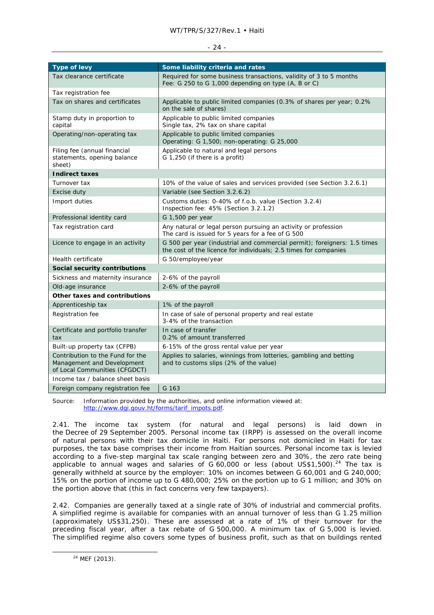#### WT/TPR/S/327/Rev.1 • Haiti

#### - 24 -

| <b>Type of levy</b>                                                                             | Some liability criteria and rates                                                                                                            |
|-------------------------------------------------------------------------------------------------|----------------------------------------------------------------------------------------------------------------------------------------------|
| Tax clearance certificate                                                                       | Required for some business transactions, validity of 3 to 5 months<br>Fee: G 250 to G 1,000 depending on type (A, B or C)                    |
| Tax registration fee                                                                            |                                                                                                                                              |
| Tax on shares and certificates                                                                  | Applicable to public limited companies (0.3% of shares per year; 0.2%<br>on the sale of shares)                                              |
| Stamp duty in proportion to<br>capital                                                          | Applicable to public limited companies<br>Single tax, 2% tax on share capital                                                                |
| Operating/non-operating tax                                                                     | Applicable to public limited companies<br>Operating: G 1,500; non-operating: G 25,000                                                        |
| Filing fee (annual financial<br>statements, opening balance<br>sheet)                           | Applicable to natural and legal persons<br>G 1,250 (if there is a profit)                                                                    |
| <b>Indirect taxes</b>                                                                           |                                                                                                                                              |
| Turnover tax                                                                                    | 10% of the value of sales and services provided (see Section 3.2.6.1)                                                                        |
| Excise duty                                                                                     | Variable (see Section 3.2.6.2)                                                                                                               |
| Import duties                                                                                   | Customs duties: 0-40% of f.o.b. value (Section 3.2.4)<br>Inspection fee: 45% (Section 3.2.1.2)                                               |
| Professional identity card                                                                      | G 1,500 per year                                                                                                                             |
| Tax registration card                                                                           | Any natural or legal person pursuing an activity or profession<br>The card is issued for 5 years for a fee of G 500                          |
| Licence to engage in an activity                                                                | G 500 per year (industrial and commercial permit); foreigners: 1.5 times<br>the cost of the licence for individuals; 2.5 times for companies |
| <b>Health certificate</b>                                                                       | G 50/employee/year                                                                                                                           |
| Social security contributions                                                                   |                                                                                                                                              |
| Sickness and maternity insurance                                                                | 2-6% of the payroll                                                                                                                          |
| Old-age insurance                                                                               | 2-6% of the payroll                                                                                                                          |
| Other taxes and contributions                                                                   |                                                                                                                                              |
| Apprenticeship tax                                                                              | 1% of the payroll                                                                                                                            |
| Registration fee                                                                                | In case of sale of personal property and real estate<br>3-4% of the transaction                                                              |
| Certificate and portfolio transfer<br>tax                                                       | In case of transfer<br>0.2% of amount transferred                                                                                            |
| Built-up property tax (CFPB)                                                                    | 6-15% of the gross rental value per year                                                                                                     |
| Contribution to the Fund for the<br>Management and Development<br>of Local Communities (CFGDCT) | Applies to salaries, winnings from lotteries, gambling and betting<br>and to customs slips (2% of the value)                                 |
| Income tax / balance sheet basis                                                                |                                                                                                                                              |
| Foreign company registration fee                                                                | G 163                                                                                                                                        |

Source: Information provided by the authorities, and online information viewed at: http://www.dgi.gouv.ht/forms/tarif\_impots.pdf.

2.41. The income tax system (for natural and legal persons) is laid down in the Decree of 29 September 2005. Personal income tax (IRPP) is assessed on the overall income of natural persons with their tax domicile in Haiti. For persons not domiciled in Haiti for tax purposes, the tax base comprises their income from Haitian sources. Personal income tax is levied according to a five-step marginal tax scale ranging between zero and 30%, the zero rate being applicable to annual wages and salaries of  $G$  60,000 or less (about US\$1,500).<sup>24</sup> The tax is generally withheld at source by the employer: 10% on incomes between G 60,001 and G 240,000; 15% on the portion of income up to G 480,000; 25% on the portion up to G 1 million; and 30% on the portion above that (this in fact concerns very few taxpayers).

2.42. Companies are generally taxed at a single rate of 30% of industrial and commercial profits. A simplified regime is available for companies with an annual turnover of less than G 1.25 million (approximately US\$31,250). These are assessed at a rate of 1% of their turnover for the preceding fiscal year, after a tax rebate of G 500,000. A minimum tax of G 5,000 is levied. The simplified regime also covers some types of business profit, such as that on buildings rented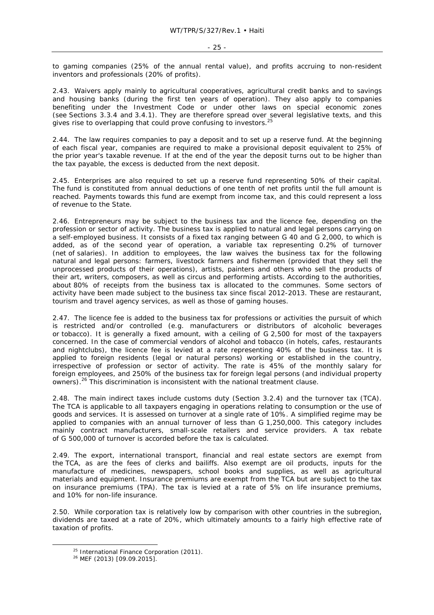to gaming companies (25% of the annual rental value), and profits accruing to non-resident inventors and professionals (20% of profits).

2.43. Waivers apply mainly to agricultural cooperatives, agricultural credit banks and to savings and housing banks (during the first ten years of operation). They also apply to companies benefiting under the Investment Code or under other laws on special economic zones (see Sections 3.3.4 and 3.4.1). They are therefore spread over several legislative texts, and this gives rise to overlapping that could prove confusing to investors.<sup>25</sup>

2.44. The law requires companies to pay a deposit and to set up a reserve fund. At the beginning of each fiscal year, companies are required to make a provisional deposit equivalent to 25% of the prior year's taxable revenue. If at the end of the year the deposit turns out to be higher than the tax payable, the excess is deducted from the next deposit.

2.45. Enterprises are also required to set up a reserve fund representing 50% of their capital. The fund is constituted from annual deductions of one tenth of net profits until the full amount is reached. Payments towards this fund are exempt from income tax, and this could represent a loss of revenue to the State.

2.46. Entrepreneurs may be subject to the business tax and the licence fee, depending on the profession or sector of activity. The business tax is applied to natural and legal persons carrying on a self-employed business. It consists of a fixed tax ranging between G 40 and G 2,000, to which is added, as of the second year of operation, a variable tax representing 0.2% of turnover (net of salaries). In addition to employees, the law waives the business tax for the following natural and legal persons: farmers, livestock farmers and fishermen (provided that they sell the unprocessed products of their operations), artists, painters and others who sell the products of their art, writers, composers, as well as circus and performing artists. According to the authorities, about 80% of receipts from the business tax is allocated to the communes. Some sectors of activity have been made subject to the business tax since fiscal 2012-2013. These are restaurant, tourism and travel agency services, as well as those of gaming houses.

2.47. The licence fee is added to the business tax for professions or activities the pursuit of which is restricted and/or controlled (e.g. manufacturers or distributors of alcoholic beverages or tobacco). It is generally a fixed amount, with a ceiling of G 2,500 for most of the taxpayers concerned. In the case of commercial vendors of alcohol and tobacco (in hotels, cafes, restaurants and nightclubs), the licence fee is levied at a rate representing 40% of the business tax. It is applied to foreign residents (legal or natural persons) working or established in the country, irrespective of profession or sector of activity. The rate is 45% of the monthly salary for foreign employees, and 250% of the business tax for foreign legal persons (and individual property owners).<sup>26</sup> This discrimination is inconsistent with the national treatment clause.

2.48. The main indirect taxes include customs duty (Section 3.2.4) and the turnover tax (TCA). The TCA is applicable to all taxpayers engaging in operations relating to consumption or the use of goods and services. It is assessed on turnover at a single rate of 10%. A simplified regime may be applied to companies with an annual turnover of less than G 1,250,000. This category includes mainly contract manufacturers, small-scale retailers and service providers. A tax rebate of G 500,000 of turnover is accorded before the tax is calculated.

2.49. The export, international transport, financial and real estate sectors are exempt from the TCA, as are the fees of clerks and bailiffs. Also exempt are oil products, inputs for the manufacture of medicines, newspapers, school books and supplies, as well as agricultural materials and equipment. Insurance premiums are exempt from the TCA but are subject to the tax on insurance premiums (TPA). The tax is levied at a rate of 5% on life insurance premiums, and 10% for non-life insurance.

2.50. While corporation tax is relatively low by comparison with other countries in the subregion, dividends are taxed at a rate of 20%, which ultimately amounts to a fairly high effective rate of taxation of profits.

<sup>&</sup>lt;sup>25</sup> International Finance Corporation (2011).<br><sup>26</sup> MEF (2013) [09.09.2015].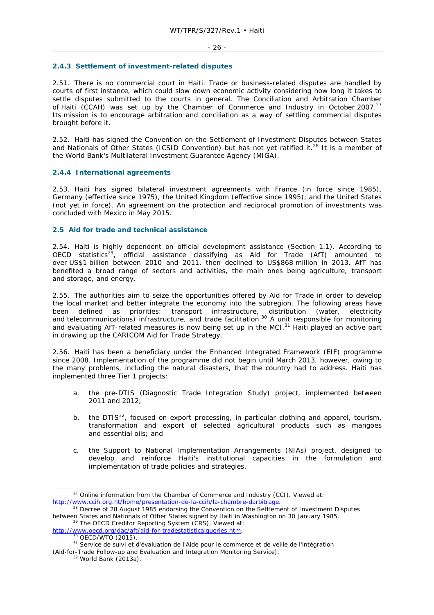#### **2.4.3 Settlement of investment-related disputes**

2.51. There is no commercial court in Haiti. Trade or business-related disputes are handled by courts of first instance, which could slow down economic activity considering how long it takes to settle disputes submitted to the courts in general. The Conciliation and Arbitration Chamber of Haiti (CCAH) was set up by the Chamber of Commerce and Industry in October 2007.<sup>27</sup> Its mission is to encourage arbitration and conciliation as a way of settling commercial disputes brought before it.

2.52. Haiti has signed the Convention on the Settlement of Investment Disputes between States and Nationals of Other States (ICSID Convention) but has not yet ratified it.<sup>28</sup> It is a member of the World Bank's Multilateral Investment Guarantee Agency (MIGA).

# **2.4.4 International agreements**

2.53. Haiti has signed bilateral investment agreements with France (in force since 1985), Germany (effective since 1975), the United Kingdom (effective since 1995), and the United States (not yet in force). An agreement on the protection and reciprocal promotion of investments was concluded with Mexico in May 2015.

# **2.5 Aid for trade and technical assistance**

2.54. Haiti is highly dependent on official development assistance (Section 1.1). According to OECD statistics<sup>29</sup>, official assistance classifying as Aid for Trade (AfT) amounted to over US\$1 billion between 2010 and 2011, then declined to US\$868 million in 2013. AfT has benefited a broad range of sectors and activities, the main ones being agriculture, transport and storage, and energy.

2.55. The authorities aim to seize the opportunities offered by Aid for Trade in order to develop the local market and better integrate the economy into the subregion. The following areas have been defined as priorities: transport infrastructure, distribution (water, electricity and telecommunications) infrastructure, and trade facilitation.<sup>30</sup> A unit responsible for monitoring and evaluating AfT-related measures is now being set up in the MCI.<sup>31</sup> Haiti played an active part in drawing up the CARICOM Aid for Trade Strategy.

2.56. Haiti has been a beneficiary under the Enhanced Integrated Framework (EIF) programme since 2008. Implementation of the programme did not begin until March 2013, however, owing to the many problems, including the natural disasters, that the country had to address. Haiti has implemented three Tier 1 projects:

- a. the pre-DTIS (Diagnostic Trade Integration Study) project, implemented between 2011 and 2012;
- b. the DTIS<sup>32</sup>, focused on export processing, in particular clothing and apparel, tourism, transformation and export of selected agricultural products such as mangoes and essential oils; and
- c. the Support to National Implementation Arrangements (NIAs) project, designed to develop and reinforce Haiti's institutional capacities in the formulation and implementation of trade policies and strategies.

(Aid-for-Trade Follow-up and Evaluation and Integration Monitoring Service).<br><sup>32</sup> World Bank (2013a).

 $27$  Online information from the Chamber of Commerce and Industry (CCI). Viewed at: http://www.ccih.org.ht/home/presentation-de-la-ccih/la-chambre-darbitrage.<br><sup>28</sup> Decree of 28 August 1985 endorsing the Convention on the Settlement of Investment Disputes

between States and Nationals of Other States signed by Haiti in Washington on 30 January 1985.<br><sup>29</sup> The OECD Creditor Reporting System (CRS). Viewed at:

http://www.oecd.org/dac/aft/aid-for-tradestatisticalqueries.htm. 30 OECD/WTO (2015). 31 *Service de suivi et d'évaluation de l'Aide pour le commerce et de veille de l'intégration*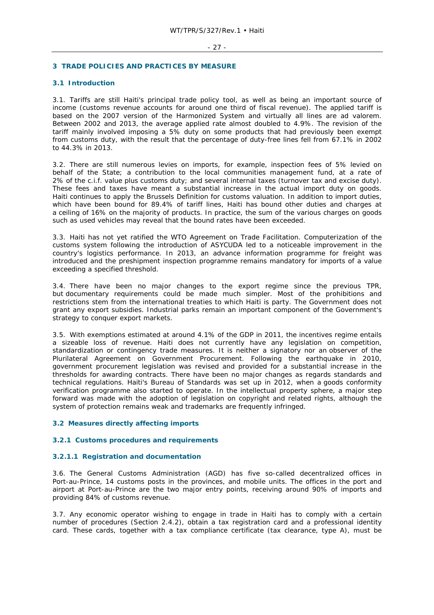#### - 27 -

## **3 TRADE POLICIES AND PRACTICES BY MEASURE**

## **3.1 Introduction**

3.1. Tariffs are still Haiti's principal trade policy tool, as well as being an important source of income (customs revenue accounts for around one third of fiscal revenue). The applied tariff is based on the 2007 version of the Harmonized System and virtually all lines are *ad valorem*. Between 2002 and 2013, the average applied rate almost doubled to 4.9%. The revision of the tariff mainly involved imposing a 5% duty on some products that had previously been exempt from customs duty, with the result that the percentage of duty-free lines fell from 67.1% in 2002 to 44.3% in 2013.

3.2. There are still numerous levies on imports, for example, inspection fees of 5% levied on behalf of the State; a contribution to the local communities management fund, at a rate of 2% of the c.i.f. value plus customs duty; and several internal taxes (turnover tax and excise duty). These fees and taxes have meant a substantial increase in the actual import duty on goods. Haiti continues to apply the Brussels Definition for customs valuation. In addition to import duties, which have been bound for 89.4% of tariff lines, Haiti has bound other duties and charges at a ceiling of 16% on the majority of products. In practice, the sum of the various charges on goods such as used vehicles may reveal that the bound rates have been exceeded.

3.3. Haiti has not yet ratified the WTO Agreement on Trade Facilitation. Computerization of the customs system following the introduction of ASYCUDA led to a noticeable improvement in the country's logistics performance. In 2013, an advance information programme for freight was introduced and the preshipment inspection programme remains mandatory for imports of a value exceeding a specified threshold.

3.4. There have been no major changes to the export regime since the previous TPR, but documentary requirements could be made much simpler. Most of the prohibitions and restrictions stem from the international treaties to which Haiti is party. The Government does not grant any export subsidies. Industrial parks remain an important component of the Government's strategy to conquer export markets.

3.5. With exemptions estimated at around 4.1% of the GDP in 2011, the incentives regime entails a sizeable loss of revenue. Haiti does not currently have any legislation on competition, standardization or contingency trade measures. It is neither a signatory nor an observer of the Plurilateral Agreement on Government Procurement. Following the earthquake in 2010, government procurement legislation was revised and provided for a substantial increase in the thresholds for awarding contracts. There have been no major changes as regards standards and technical regulations. Haiti's Bureau of Standards was set up in 2012, when a goods conformity verification programme also started to operate. In the intellectual property sphere, a major step forward was made with the adoption of legislation on copyright and related rights, although the system of protection remains weak and trademarks are frequently infringed.

#### **3.2 Measures directly affecting imports**

#### **3.2.1 Customs procedures and requirements**

#### **3.2.1.1 Registration and documentation**

3.6. The General Customs Administration (AGD) has five so-called decentralized offices in Port-au-Prince, 14 customs posts in the provinces, and mobile units. The offices in the port and airport at Port-au-Prince are the two major entry points, receiving around 90% of imports and providing 84% of customs revenue.

3.7. Any economic operator wishing to engage in trade in Haiti has to comply with a certain number of procedures (Section 2.4.2), obtain a tax registration card and a professional identity card. These cards, together with a tax compliance certificate (tax clearance, type A), must be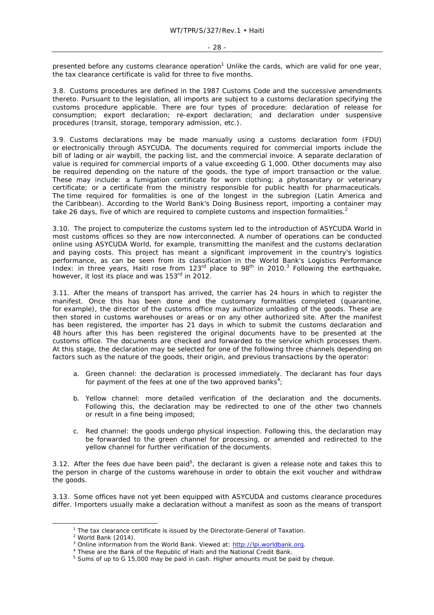presented before any customs clearance operation<sup>1</sup> Unlike the cards, which are valid for one year, the tax clearance certificate is valid for three to five months.

3.8. Customs procedures are defined in the 1987 Customs Code and the successive amendments thereto. Pursuant to the legislation, all imports are subject to a customs declaration specifying the customs procedure applicable. There are four types of procedure: declaration of release for consumption; export declaration; re-export declaration; and declaration under suspensive procedures (transit, storage, temporary admission, etc.).

3.9. Customs declarations may be made manually using a customs declaration form (FDU) or electronically through ASYCUDA. The documents required for commercial imports include the bill of lading or air waybill, the packing list, and the commercial invoice. A separate declaration of value is required for commercial imports of a value exceeding G 1,000. Other documents may also be required depending on the nature of the goods, the type of import transaction or the value. These may include: a fumigation certificate for worn clothing; a phytosanitary or veterinary certificate; or a certificate from the ministry responsible for public health for pharmaceuticals. The time required for formalities is one of the longest in the subregion (Latin America and the Caribbean). According to the World Bank's *Doing Business* report, importing a container may take 26 days, five of which are required to complete customs and inspection formalities.<sup>2</sup>

3.10. The project to computerize the customs system led to the introduction of ASYCUDA World in most customs offices so they are now interconnected. A number of operations can be conducted online using ASYCUDA World, for example, transmitting the manifest and the customs declaration and paying costs. This project has meant a significant improvement in the country's logistics performance, as can be seen from its classification in the World Bank's Logistics Performance Index: in three years, Haiti rose from  $123<sup>rd</sup>$  place to 98<sup>th</sup> in 2010.<sup>3</sup> Following the earthquake, however, it lost its place and was 153<sup>rd</sup> in 2012.

3.11. After the means of transport has arrived, the carrier has 24 hours in which to register the manifest. Once this has been done and the customary formalities completed (quarantine, for example), the director of the customs office may authorize unloading of the goods. These are then stored in customs warehouses or areas or on any other authorized site. After the manifest has been registered, the importer has 21 days in which to submit the customs declaration and 48 hours after this has been registered the original documents have to be presented at the customs office. The documents are checked and forwarded to the service which processes them. At this stage, the declaration may be selected for one of the following three channels depending on factors such as the nature of the goods, their origin, and previous transactions by the operator:

- a. Green channel: the declaration is processed immediately. The declarant has four days for payment of the fees at one of the two approved banks<sup>4</sup>;
- b. Yellow channel: more detailed verification of the declaration and the documents. Following this, the declaration may be redirected to one of the other two channels or result in a fine being imposed;
- c. Red channel: the goods undergo physical inspection. Following this, the declaration may be forwarded to the green channel for processing, or amended and redirected to the yellow channel for further verification of the documents.

3.12. After the fees due have been paid<sup>5</sup>, the declarant is given a release note and takes this to the person in charge of the customs warehouse in order to obtain the exit voucher and withdraw the goods.

3.13. Some offices have not yet been equipped with ASYCUDA and customs clearance procedures differ. Importers usually make a declaration without a manifest as soon as the means of transport

 $\frac{1}{1}$  $1$  The tax clearance certificate is issued by the Directorate-General of Taxation.

 $2$  World Bank (2014).

<sup>&</sup>lt;sup>3</sup> Online information from the World Bank. Viewed at:  $\frac{http://lpi.worldbank.org}{http://lpi.worldbank.org}$ .

<sup>&</sup>lt;sup>4</sup> These are the Bank of the Republic of Haiti and the National Credit Bank.

<sup>&</sup>lt;sup>5</sup> Sums of up to G 15,000 may be paid in cash. Higher amounts must be paid by cheque.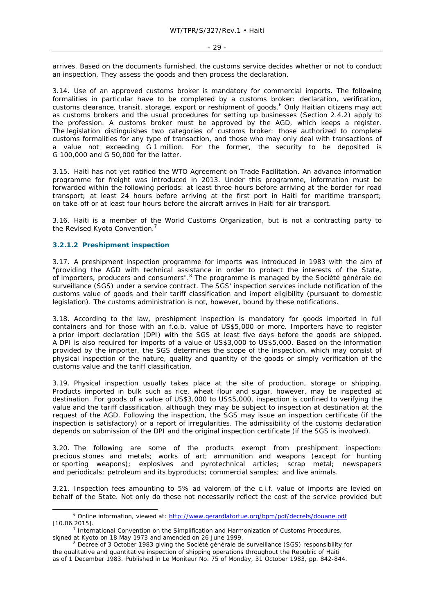arrives. Based on the documents furnished, the customs service decides whether or not to conduct an inspection. They assess the goods and then process the declaration.

3.14. Use of an approved customs broker is mandatory for commercial imports. The following formalities in particular have to be completed by a customs broker: declaration, verification, customs clearance, transit, storage, export or reshipment of goods.<sup>6</sup> Only Haitian citizens may act as customs brokers and the usual procedures for setting up businesses (Section 2.4.2) apply to the profession. A customs broker must be approved by the AGD, which keeps a register. The legislation distinguishes two categories of customs broker: those authorized to complete customs formalities for any type of transaction, and those who may only deal with transactions of a value not exceeding G 1 million. For the former, the security to be deposited is G 100,000 and G 50,000 for the latter.

3.15. Haiti has not yet ratified the WTO Agreement on Trade Facilitation. An advance information programme for freight was introduced in 2013. Under this programme, information must be forwarded within the following periods: at least three hours before arriving at the border for road transport; at least 24 hours before arriving at the first port in Haiti for maritime transport; on take-off or at least four hours before the aircraft arrives in Haiti for air transport.

3.16. Haiti is a member of the World Customs Organization, but is not a contracting party to the Revised Kyoto Convention.<sup>7</sup>

# **3.2.1.2 Preshipment inspection**

3.17. A preshipment inspection programme for imports was introduced in 1983 with the aim of "providing the AGD with technical assistance in order to protect the interests of the State, of importers, producers and consumers".8 The programme is managed by the *Société générale de surveillance* (SGS) under a service contract. The SGS' inspection services include notification of the customs value of goods and their tariff classification and import eligibility (pursuant to domestic legislation). The customs administration is not, however, bound by these notifications.

3.18. According to the law, preshipment inspection is mandatory for goods imported in full containers and for those with an f.o.b. value of US\$5,000 or more. Importers have to register a prior import declaration (DPI) with the SGS at least five days before the goods are shipped. A DPI is also required for imports of a value of US\$3,000 to US\$5,000. Based on the information provided by the importer, the SGS determines the scope of the inspection, which may consist of physical inspection of the nature, quality and quantity of the goods or simply verification of the customs value and the tariff classification.

3.19. Physical inspection usually takes place at the site of production, storage or shipping. Products imported in bulk such as rice, wheat flour and sugar, however, may be inspected at destination. For goods of a value of US\$3,000 to US\$5,000, inspection is confined to verifying the value and the tariff classification, although they may be subject to inspection at destination at the request of the AGD. Following the inspection, the SGS may issue an inspection certificate (if the inspection is satisfactory) or a report of irregularities. The admissibility of the customs declaration depends on submission of the DPI and the original inspection certificate (if the SGS is involved).

3.20. The following are some of the products exempt from preshipment inspection: precious stones and metals; works of art; ammunition and weapons (except for hunting or sporting weapons); explosives and pyrotechnical articles; scrap metal; newspapers and periodicals; petroleum and its byproducts; commercial samples; and live animals.

3.21. Inspection fees amounting to 5% *ad valorem* of the c.i.f. value of imports are levied on behalf of the State. Not only do these not necessarily reflect the cost of the service provided but

 $\overline{\phantom{0}}$ <sup>6</sup> Online information, viewed at: http://www.gerardlatortue.org/bpm/pdf/decrets/douane.pdf  $[10.06.2015]$ .

 $<sup>7</sup>$  International Convention on the Simplification and Harmonization of Customs Procedures,</sup> signed at Kyoto on 18 May 1973 and amended on 26 June 1999.

Decree of 3 October 1983 giving the *Société générale de surveillance* (SGS) responsibility for the qualitative and quantitative inspection of shipping operations throughout the Republic of Haiti as of 1 December 1983. Published in *Le Moniteur* No. 75 of Monday, 31 October 1983, pp. 842-844.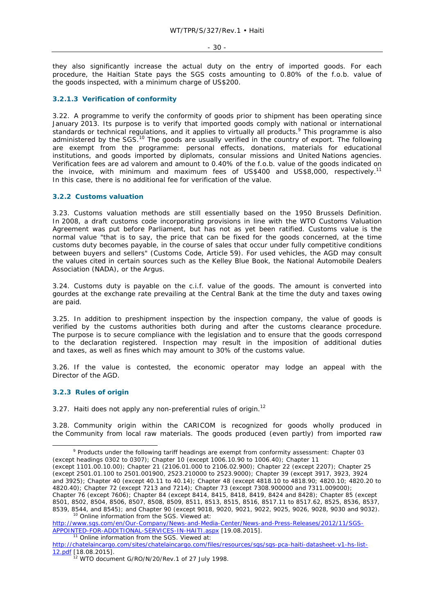they also significantly increase the actual duty on the entry of imported goods. For each procedure, the Haitian State pays the SGS costs amounting to 0.80% of the f.o.b. value of the goods inspected, with a minimum charge of US\$200.

#### **3.2.1.3 Verification of conformity**

3.22. A programme to verify the conformity of goods prior to shipment has been operating since January 2013. Its purpose is to verify that imported goods comply with national or international standards or technical regulations, and it applies to virtually all products.<sup>9</sup> This programme is also administered by the SGS.<sup>10</sup> The goods are usually verified in the country of export. The following are exempt from the programme: personal effects, donations, materials for educational institutions, and goods imported by diplomats, consular missions and United Nations agencies. Verification fees are *ad valorem* and amount to 0.40% of the f.o.b. value of the goods indicated on the invoice, with minimum and maximum fees of US\$400 and US\$8,000, respectively.<sup>11</sup> In this case, there is no additional fee for verification of the value.

#### **3.2.2 Customs valuation**

3.23. Customs valuation methods are still essentially based on the 1950 Brussels Definition. In 2008, a draft customs code incorporating provisions in line with the WTO Customs Valuation Agreement was put before Parliament, but has not as yet been ratified. Customs value is the normal value "that is to say, the price that can be fixed for the goods concerned, at the time customs duty becomes payable, in the course of sales that occur under fully competitive conditions between buyers and sellers" (Customs Code, Article 59). For used vehicles, the AGD may consult the values cited in certain sources such as the *Kelley Blue Book*, the National Automobile Dealers Association (NADA), or the Argus.

3.24. Customs duty is payable on the c.i.f. value of the goods. The amount is converted into gourdes at the exchange rate prevailing at the Central Bank at the time the duty and taxes owing are paid.

3.25. In addition to preshipment inspection by the inspection company, the value of goods is verified by the customs authorities both during and after the customs clearance procedure. The purpose is to secure compliance with the legislation and to ensure that the goods correspond to the declaration registered. Inspection may result in the imposition of additional duties and taxes, as well as fines which may amount to 30% of the customs value.

3.26. If the value is contested, the economic operator may lodge an appeal with the Director of the AGD.

#### **3.2.3 Rules of origin**

3.27. Haiti does not apply any non-preferential rules of origin.<sup>12</sup>

3.28. Community origin within the CARICOM is recognized for goods wholly produced in the Community from local raw materials. The goods produced (even partly) from imported raw

http://www.sgs.com/en/Our-Company/News-and-Media-Center/News-and-Press-Releases/2012/11/SGS-APPOINTED-FOR-ADDITIONAL-SERVICES-IN-HAITI.aspx [19.08.2015]. 11 Online information from the SGS. Viewed at:

 $\frac{1}{9}$ <sup>9</sup> Products under the following tariff headings are exempt from conformity assessment: Chapter 03 (except headings 0302 to 0307); Chapter 10 (except 1006.10.90 to 1006.40); Chapter 11

<sup>(</sup>except 1101.00.10.00); Chapter 21 (2106.01.000 to 2106.02.900); Chapter 22 (except 2207); Chapter 25 (except 2501.01.100 to 2501.001900, 2523.210000 to 2523.9000); Chapter 39 (except 3917, 3923, 3924 and 3925); Chapter 40 (except 40.11 to 40.14); Chapter 48 (except 4818.10 to 4818.90; 4820.10; 4820.20 to 4820.40); Chapter 72 (except 7213 and 7214); Chapter 73 (except 7308.900000 and 7311.009000); Chapter 76 (except 7606); Chapter 84 (except 8414, 8415, 8418, 8419, 8424 and 8428); Chapter 85 (except 8501, 8502, 8504, 8506, 8507, 8508, 8509, 8511, 8513, 8515, 8516, 8517.11 to 8517.62, 8525, 8536, 8537, 8539, 8544, and 8545); and Chapter 90 (except 9018, 9020, 9021, 9022, 9025, 9026, 9028, 9030 and 9032).<br><sup>10</sup> Online information from the SGS. Viewed at:

http://chatelaincargo.com/sites/chatelaincargo.com/files/resources/sgs/sgs-pca-haiti-datasheet-v1-hs-list-12.pdf [18.08.2015].

 $12$  WTO document G/RO/N/20/Rev.1 of 27 July 1998.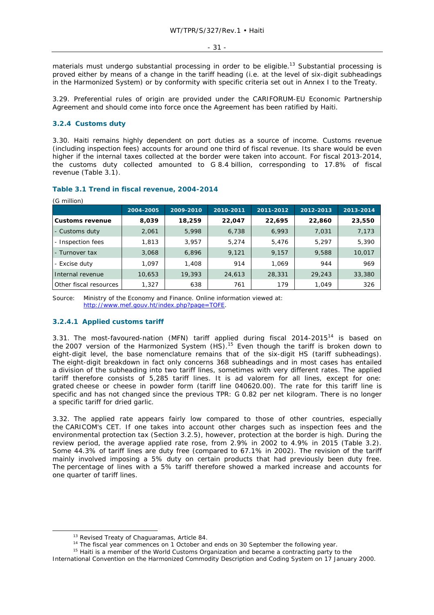materials must undergo substantial processing in order to be eligible.<sup>13</sup> Substantial processing is proved either by means of a change in the tariff heading (i.e. at the level of six-digit subheadings in the Harmonized System) or by conformity with specific criteria set out in Annex I to the Treaty.

3.29. Preferential rules of origin are provided under the CARIFORUM-EU Economic Partnership Agreement and should come into force once the Agreement has been ratified by Haiti.

## **3.2.4 Customs duty**

 $(6.1)$ 

3.30. Haiti remains highly dependent on port duties as a source of income. Customs revenue (including inspection fees) accounts for around one third of fiscal revenue. Its share would be even higher if the internal taxes collected at the border were taken into account. For fiscal 2013-2014, the customs duty collected amounted to G 8.4 billion, corresponding to 17.8% of fiscal revenue (Table 3.1).

| (G million)            |           |           |           |           |           |           |
|------------------------|-----------|-----------|-----------|-----------|-----------|-----------|
|                        | 2004-2005 | 2009-2010 | 2010-2011 | 2011-2012 | 2012-2013 | 2013-2014 |
| <b>Customs revenue</b> | 8,039     | 18,259    | 22,047    | 22,695    | 22,860    | 23,550    |
| - Customs duty         | 2,061     | 5,998     | 6,738     | 6,993     | 7,031     | 7,173     |
| - Inspection fees      | 1,813     | 3,957     | 5,274     | 5,476     | 5,297     | 5,390     |
| - Turnover tax         | 3,068     | 6,896     | 9,121     | 9,157     | 9,588     | 10,017    |
| - Excise duty          | 1.097     | 1,408     | 914       | 1,069     | 944       | 969       |
| Internal revenue       | 10,653    | 19,393    | 24,613    | 28,331    | 29,243    | 33,380    |
| Other fiscal resources | 1,327     | 638       | 761       | 179       | 1,049     | 326       |

# **Table 3.1 Trend in fiscal revenue, 2004-2014**

Source: Ministry of the Economy and Finance. Online information viewed at: http://www.mef.gouv.ht/index.php?page=TOFE.

#### **3.2.4.1 Applied customs tariff**

3.31. The most-favoured-nation (MFN) tariff applied during fiscal  $2014$ - $2015$ <sup>14</sup> is based on the 2007 version of the Harmonized System (HS).15 Even though the tariff is broken down to eight-digit level, the base nomenclature remains that of the six-digit HS (tariff subheadings). The eight-digit breakdown in fact only concerns 368 subheadings and in most cases has entailed a division of the subheading into two tariff lines, sometimes with very different rates. The applied tariff therefore consists of 5,285 tariff lines. It is *ad valorem* for all lines, except for one: grated cheese or cheese in powder form (tariff line 040620.00). The rate for this tariff line is specific and has not changed since the previous TPR: G 0.82 per net kilogram. There is no longer a specific tariff for dried garlic.

3.32. The applied rate appears fairly low compared to those of other countries, especially the CARICOM's CET. If one takes into account other charges such as inspection fees and the environmental protection tax (Section 3.2.5), however, protection at the border is high. During the review period, the average applied rate rose, from 2.9% in 2002 to 4.9% in 2015 (Table 3.2). Some 44.3% of tariff lines are duty free (compared to 67.1% in 2002). The revision of the tariff mainly involved imposing a 5% duty on certain products that had previously been duty free. The percentage of lines with a 5% tariff therefore showed a marked increase and accounts for one quarter of tariff lines.

<sup>&</sup>lt;sup>13</sup> Revised Treaty of Chaguaramas, Article 84.<br><sup>14</sup> The fiscal year commences on 1 October and ends on 30 September the following year.<br><sup>15</sup> Haiti is a member of the World Customs Organization and became a contracting pa

International Convention on the Harmonized Commodity Description and Coding System on 17 January 2000.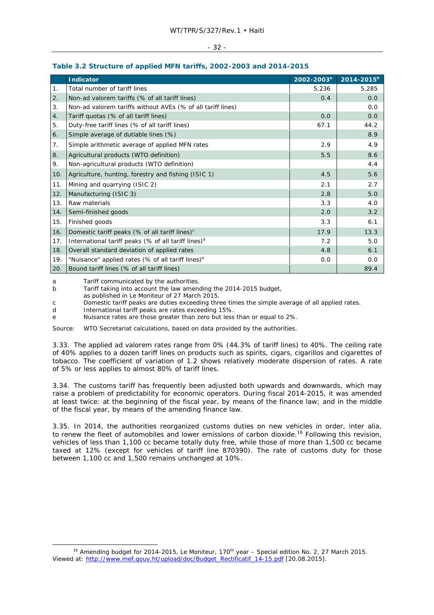# **Table 3.2 Structure of applied MFN tariffs, 2002-2003 and 2014-2015**

|     | <b>Indicator</b>                                              | 2002-2003 <sup>a</sup> | $2014 - 2015^b$ |
|-----|---------------------------------------------------------------|------------------------|-----------------|
| 1.  | Total number of tariff lines                                  | 5,236                  | 5,285           |
| 2.  | Non-ad valorem tariffs (% of all tariff lines)                | 0.4                    | 0.0             |
| 3.  | Non-ad valorem tariffs without AVEs (% of all tariff lines)   |                        | 0.0             |
| 4.  | Tariff quotas (% of all tariff lines)                         | 0.0                    | 0.0             |
| 5.  | Duty-free tariff lines (% of all tariff lines)                | 67.1                   | 44.2            |
| 6.  | Simple average of dutiable lines (%)                          |                        | 8.9             |
| 7.  | Simple arithmetic average of applied MFN rates                | 2.9                    | 4.9             |
| 8.  | Agricultural products (WTO definition)                        | 5.5                    | 8.6             |
| 9.  | Non-agricultural products (WTO definition)                    |                        | 4.4             |
| 10. | Agriculture, hunting, forestry and fishing (ISIC 1)           | 4.5                    | 5.6             |
| 11. | Mining and quarrying (ISIC 2)                                 | 2.1                    | 2.7             |
| 12. | Manufacturing (ISIC 3)                                        | 2.8                    | 5.0             |
| 13. | Raw materials                                                 | 3.3                    | 4.0             |
| 14. | Semi-finished goods                                           | 2.0                    | 3.2             |
| 15. | Finished goods                                                | 3.3                    | 6.1             |
| 16. | Domestic tariff peaks (% of all tariff lines) $c$             | 17.9                   | 13.3            |
| 17. | International tariff peaks (% of all tariff lines) $d$        | 7.2                    | 5.0             |
| 18. | Overall standard deviation of applied rates                   | 4.8                    | 6.1             |
| 19. | "Nuisance" applied rates (% of all tariff lines) <sup>e</sup> | 0.0                    | 0.0             |
| 20. | Bound tariff lines (% of all tariff lines)                    |                        | 89.4            |

a Tariff communicated by the authorities.

b Tariff taking into account the law amending the 2014-2015 budget,

as published in *Le Moniteur* of 27 March 2015.

c Domestic tariff peaks are duties exceeding three times the simple average of all applied rates.

d International tariff peaks are rates exceeding 15%.

e Nuisance rates are those greater than zero but less than or equal to 2%.

Source: WTO Secretariat calculations, based on data provided by the authorities.

3.33. The applied *ad valorem* rates range from 0% (44.3% of tariff lines) to 40%. The ceiling rate of 40% applies to a dozen tariff lines on products such as spirits, cigars, cigarillos and cigarettes of tobacco. The coefficient of variation of 1.2 shows relatively moderate dispersion of rates. A rate of 5% or less applies to almost 80% of tariff lines.

3.34. The customs tariff has frequently been adjusted both upwards and downwards, which may raise a problem of predictability for economic operators. During fiscal 2014-2015, it was amended at least twice: at the beginning of the fiscal year, by means of the finance law; and in the middle of the fiscal year, by means of the amending finance law.

3.35. In 2014, the authorities reorganized customs duties on new vehicles in order, *inter alia*, to renew the fleet of automobiles and lower emissions of carbon dioxide.<sup>16</sup> Following this revision, vehicles of less than 1,100 cc became totally duty free, while those of more than 1,500 cc became taxed at 12% (except for vehicles of tariff line 870390). The rate of customs duty for those between 1,100 cc and 1,500 remains unchanged at 10%.

<sup>&</sup>lt;sup>16</sup> Amending budget for 2014-2015, *Le Moniteur*, 170<sup>th</sup> year - Special edition No. 2, 27 March 2015. Viewed at: http://www.mef.gouv.ht/upload/doc/Budget\_Rectificatif\_14-15.pdf [20.08.2015].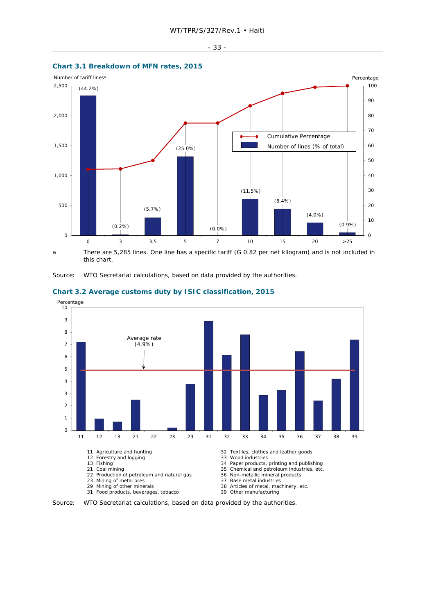



a There are 5,285 lines. One line has a specific tariff (G 0.82 per net kilogram) and is not included in this chart.

Source: WTO Secretariat calculations, based on data provided by the authorities.



#### **Chart 3.2 Average customs duty by ISIC classification, 2015**

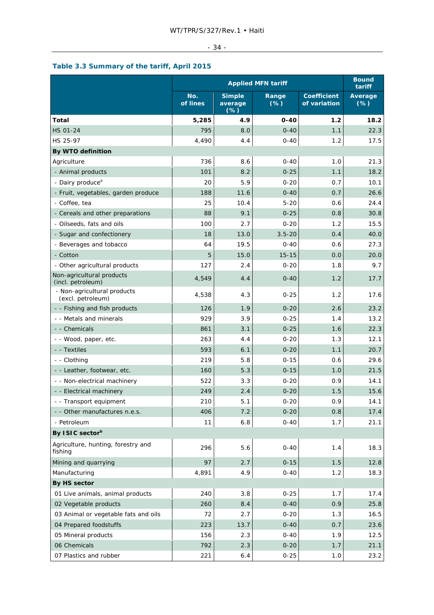# $-34 -$

# **Table 3.3 Summary of the tariff, April 2015**

|                                                  | <b>Applied MFN tariff</b> |                                   |                |                                    | <b>Bound</b><br>tariff |
|--------------------------------------------------|---------------------------|-----------------------------------|----------------|------------------------------------|------------------------|
|                                                  | No.<br>of lines           | <b>Simple</b><br>average<br>$(*)$ | Range<br>$(*)$ | <b>Coefficient</b><br>of variation | Average<br>$(*)$       |
| Total                                            | 5,285                     | 4.9                               | $0 - 40$       | 1.2                                | 18.2                   |
| HS 01-24                                         | 795                       | 8.0                               | $0 - 40$       | 1.1                                | 22.3                   |
| HS 25-97                                         | 4,490                     | 4.4                               | $0 - 40$       | 1.2                                | 17.5                   |
| By WTO definition                                |                           |                                   |                |                                    |                        |
| Agriculture                                      | 736                       | 8.6                               | $0 - 40$       | 1.0                                | 21.3                   |
| - Animal products                                | 101                       | 8.2                               | $0 - 25$       | 1.1                                | 18.2                   |
| - Dairy produce <sup>a</sup>                     | 20                        | 5.9                               | $0 - 20$       | 0.7                                | 10.1                   |
| - Fruit, vegetables, garden produce              | 188                       | 11.6                              | $0 - 40$       | 0.7                                | 26.6                   |
| - Coffee, tea                                    | 25                        | 10.4                              | $5 - 20$       | 0.6                                | 24.4                   |
| - Cereals and other preparations                 | 88                        | 9.1                               | $0 - 25$       | 0.8                                | 30.8                   |
| - Oilseeds, fats and oils                        | 100                       | 2.7                               | $0 - 20$       | 1.2                                | 15.5                   |
| - Sugar and confectionery                        | 18                        | 13.0                              | $3.5 - 20$     | 0.4                                | 40.0                   |
| - Beverages and tobacco                          | 64                        | 19.5                              | $0 - 40$       | 0.6                                | 27.3                   |
| - Cotton                                         | 5                         | 15.0                              | $15 - 15$      | 0.0                                | 20.0                   |
| - Other agricultural products                    | 127                       | 2.4                               | $0 - 20$       | 1.8                                | 9.7                    |
| Non-agricultural products<br>(incl. petroleum)   | 4,549                     | 4.4                               | $0 - 40$       | 1.2                                | 17.7                   |
| - Non-agricultural products<br>(excl. petroleum) | 4,538                     | 4.3                               | $0 - 25$       | 1.2                                | 17.6                   |
| - - Fishing and fish products                    | 126                       | 1.9                               | $0 - 20$       | 2.6                                | 23.2                   |
| - - Metals and minerals                          | 929                       | 3.9                               | $0 - 25$       | 1.4                                | 13.2                   |
| - - Chemicals                                    | 861                       | 3.1                               | $0 - 25$       | 1.6                                | 22.3                   |
| - - Wood, paper, etc.                            | 263                       | 4.4                               | $0 - 20$       | 1.3                                | 12.1                   |
| - - Textiles                                     | 593                       | 6.1                               | $0 - 20$       | 1.1                                | 20.7                   |
| - - Clothing                                     | 219                       | 5.8                               | $0 - 15$       | 0.6                                | 29.6                   |
| - - Leather, footwear, etc.                      | 160                       | 5.3                               | $0 - 15$       | 1.0                                | 21.5                   |
| - - Non-electrical machinery                     | 522                       | 3.3                               | $0 - 20$       | 0.9                                | 14.1                   |
| - - Electrical machinery                         | 249                       | 2.4                               | $0 - 20$       | 1.5                                | 15.6                   |
| - - Transport equipment                          | 210                       | 5.1                               | $0 - 20$       | 0.9                                | 14.1                   |
| - - Other manufactures n.e.s.                    | 406                       | 7.2                               | $0 - 20$       | 0.8                                | 17.4                   |
| - Petroleum                                      | 11                        | $6.8$                             | $0 - 40$       | 1.7                                | 21.1                   |
| By ISIC sector <sup>b</sup>                      |                           |                                   |                |                                    |                        |
| Agriculture, hunting, forestry and<br>fishing    | 296                       | 5.6                               | $0 - 40$       | 1.4                                | 18.3                   |
| Mining and quarrying                             | 97                        | 2.7                               | $0 - 15$       | 1.5                                | 12.8                   |
| Manufacturing                                    | 4,891                     | 4.9                               | $0 - 40$       | 1.2                                | 18.3                   |
| By HS sector                                     |                           |                                   |                |                                    |                        |
| 01 Live animals, animal products                 | 240                       | 3.8                               | $0 - 25$       | 1.7                                | 17.4                   |
| 02 Vegetable products                            | 260                       | 8.4                               | $0 - 40$       | 0.9                                | 25.8                   |
| 03 Animal or vegetable fats and oils             | 72                        | 2.7                               | $0 - 20$       | 1.3                                | 16.5                   |
| 04 Prepared foodstuffs                           | 223                       | 13.7                              | $0 - 40$       | 0.7                                | 23.6                   |
| 05 Mineral products                              | 156                       | 2.3                               | $0 - 40$       | 1.9                                | 12.5                   |
| 06 Chemicals                                     | 792                       | 2.3                               | $0 - 20$       | 1.7                                | 21.1                   |
| 07 Plastics and rubber                           | 221                       | 6.4                               | $0 - 25$       | 1.0                                | 23.2                   |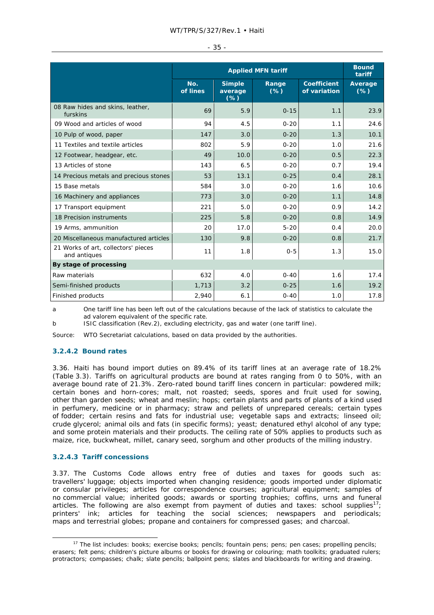|  | $\sim$<br>$\sim$ |  |
|--|------------------|--|
|--|------------------|--|

|                                                     | <b>Applied MFN tariff</b> |                                    |                 | <b>Bound</b><br>tariff             |                   |
|-----------------------------------------------------|---------------------------|------------------------------------|-----------------|------------------------------------|-------------------|
|                                                     | No.<br>of lines           | <b>Simple</b><br>average<br>$(\%)$ | Range<br>$(\%)$ | <b>Coefficient</b><br>of variation | Average<br>$(\%)$ |
| 08 Raw hides and skins, leather,<br>furskins        | 69                        | 5.9                                | $0 - 15$        | 1.1                                | 23.9              |
| 09 Wood and articles of wood                        | 94                        | 4.5                                | $0 - 20$        | 1.1                                | 24.6              |
| 10 Pulp of wood, paper                              | 147                       | 3.0                                | $0 - 20$        | 1.3                                | 10.1              |
| 11 Textiles and textile articles                    | 802                       | 5.9                                | $0 - 20$        | 1.0                                | 21.6              |
| 12 Footwear, headgear, etc.                         | 49                        | 10.0                               | $0 - 20$        | 0.5                                | 22.3              |
| 13 Articles of stone                                | 143                       | 6.5                                | $0 - 20$        | 0.7                                | 19.4              |
| 14 Precious metals and precious stones              | 53                        | 13.1                               | $0 - 25$        | 0.4                                | 28.1              |
| 15 Base metals                                      | 584                       | 3.0                                | $0 - 20$        | 1.6                                | 10.6              |
| 16 Machinery and appliances                         | 773                       | 3.0                                | $0 - 20$        | 1.1                                | 14.8              |
| 17 Transport equipment                              | 221                       | 5.0                                | $0 - 20$        | 0.9                                | 14.2              |
| 18 Precision instruments                            | 225                       | 5.8                                | $0 - 20$        | 0.8                                | 14.9              |
| 19 Arms, ammunition                                 | 20                        | 17.0                               | $5 - 20$        | 0.4                                | 20.0              |
| 20 Miscellaneous manufactured articles              | 130                       | 9.8                                | $0 - 20$        | 0.8                                | 21.7              |
| 21 Works of art, collectors' pieces<br>and antiques | 11                        | 1.8                                | $0 - 5$         | 1.3                                | 15.0              |
| By stage of processing                              |                           |                                    |                 |                                    |                   |
| Raw materials                                       | 632                       | 4.0                                | $0 - 40$        | 1.6                                | 17.4              |
| Semi-finished products                              | 1,713                     | 3.2                                | $0 - 25$        | 1.6                                | 19.2              |
| Finished products                                   | 2,940                     | 6.1                                | $0 - 40$        | 1.0                                | 17.8              |

a One tariff line has been left out of the calculations because of the lack of statistics to calculate the *ad valorem* equivalent of the specific rate.

b ISIC classification (Rev.2), excluding electricity, gas and water (one tariff line).

Source: WTO Secretariat calculations, based on data provided by the authorities.

# **3.2.4.2 Bound rates**

3.36. Haiti has bound import duties on 89.4% of its tariff lines at an average rate of 18.2% (Table 3.3). Tariffs on agricultural products are bound at rates ranging from 0 to 50%, with an average bound rate of 21.3%. Zero-rated bound tariff lines concern in particular: powdered milk; certain bones and horn-cores; malt, not roasted; seeds, spores and fruit used for sowing, other than garden seeds; wheat and meslin; hops; certain plants and parts of plants of a kind used in perfumery, medicine or in pharmacy; straw and pellets of unprepared cereals; certain types of fodder; certain resins and fats for industrial use; vegetable saps and extracts; linseed oil; crude glycerol; animal oils and fats (in specific forms); yeast; denatured ethyl alcohol of any type; and some protein materials and their products. The ceiling rate of 50% applies to products such as maize, rice, buckwheat, millet, canary seed, sorghum and other products of the milling industry.

#### **3.2.4.3 Tariff concessions**

3.37. The Customs Code allows entry free of duties and taxes for goods such as: travellers' luggage; objects imported when changing residence; goods imported under diplomatic or consular privileges; articles for correspondence courses; agricultural equipment; samples of no commercial value; inherited goods; awards or sporting trophies; coffins, urns and funeral articles. The following are also exempt from payment of duties and taxes: school supplies<sup>17</sup>; printers' ink; articles for teaching the social sciences; newspapers and periodicals; maps and terrestrial globes; propane and containers for compressed gases; and charcoal.

<sup>&</sup>lt;sup>17</sup> The list includes: books; exercise books; pencils; fountain pens; pens; pen cases; propelling pencils; erasers; felt pens; children's picture albums or books for drawing or colouring; math toolkits; graduated rulers; protractors; compasses; chalk; slate pencils; ballpoint pens; slates and blackboards for writing and drawing.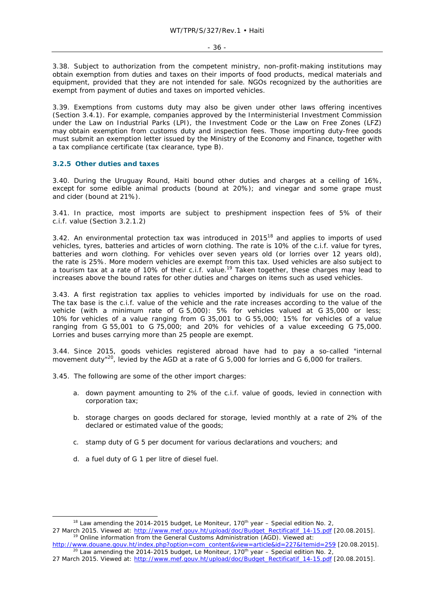3.38. Subject to authorization from the competent ministry, non-profit-making institutions may obtain exemption from duties and taxes on their imports of food products, medical materials and equipment, provided that they are not intended for sale. NGOs recognized by the authorities are exempt from payment of duties and taxes on imported vehicles.

3.39. Exemptions from customs duty may also be given under other laws offering incentives (Section 3.4.1). For example, companies approved by the Interministerial Investment Commission under the Law on Industrial Parks (LPI), the Investment Code or the Law on Free Zones (LFZ) may obtain exemption from customs duty and inspection fees. Those importing duty-free goods must submit an exemption letter issued by the Ministry of the Economy and Finance, together with a tax compliance certificate (tax clearance, type B).

#### **3.2.5 Other duties and taxes**

3.40. During the Uruguay Round, Haiti bound other duties and charges at a ceiling of 16%, except for some edible animal products (bound at 20%); and vinegar and some grape must and cider (bound at 21%).

3.41. In practice, most imports are subject to preshipment inspection fees of 5% of their c.i.f. value (Section 3.2.1.2)

3.42. An environmental protection tax was introduced in  $2015<sup>18</sup>$  and applies to imports of used vehicles, tyres, batteries and articles of worn clothing. The rate is 10% of the c.i.f. value for tyres, batteries and worn clothing. For vehicles over seven years old (or lorries over 12 years old), the rate is 25%. More modern vehicles are exempt from this tax. Used vehicles are also subject to a tourism tax at a rate of 10% of their c.i.f. value.<sup>19</sup> Taken together, these charges may lead to increases above the bound rates for other duties and charges on items such as used vehicles.

3.43. A first registration tax applies to vehicles imported by individuals for use on the road. The tax base is the c.i.f. value of the vehicle and the rate increases according to the value of the vehicle (with a minimum rate of G 5,000): 5% for vehicles valued at G 35,000 or less; 10% for vehicles of a value ranging from G 35,001 to G 55,000; 15% for vehicles of a value ranging from G 55,001 to G 75,000; and 20% for vehicles of a value exceeding G 75,000. Lorries and buses carrying more than 25 people are exempt.

3.44. Since 2015, goods vehicles registered abroad have had to pay a so-called "internal movement duty"<sup>20</sup>, levied by the AGD at a rate of G 5,000 for lorries and G 6,000 for trailers.

3.45. The following are some of the other import charges:

- a. down payment amounting to 2% of the c.i.f. value of goods, levied in connection with corporation tax;
- b. storage charges on goods declared for storage, levied monthly at a rate of 2% of the declared or estimated value of the goods;
- c. stamp duty of G 5 per document for various declarations and vouchers; and
- d. a fuel duty of G 1 per litre of diesel fuel.

<sup>&</sup>lt;sup>18</sup> Law amending the 2014-2015 budget, *Le Moniteur*, 170<sup>th</sup> year – Special edition No. 2, 27 March 2015. Viewed at: http://www.mef.gouv.ht/upload/doc/Budget\_Rectificatif\_14-15.pdf [20.08.2015].<br><sup>19</sup> Online information from the General Customs Administration (AGD). Viewed at:

http://www.douane.gouv.ht/index.php?option=com\_content&view=article&id=227&Itemid=259 [20.08.2015].<br><sup>20</sup> Law amending the 2014-2015 budget, *Le Moniteur*, 170<sup>th</sup> year – Special edition No. 2,

<sup>27</sup> March 2015. Viewed at: http://www.mef.gouv.ht/upload/doc/Budget\_Rectificatif\_14-15.pdf [20.08.2015].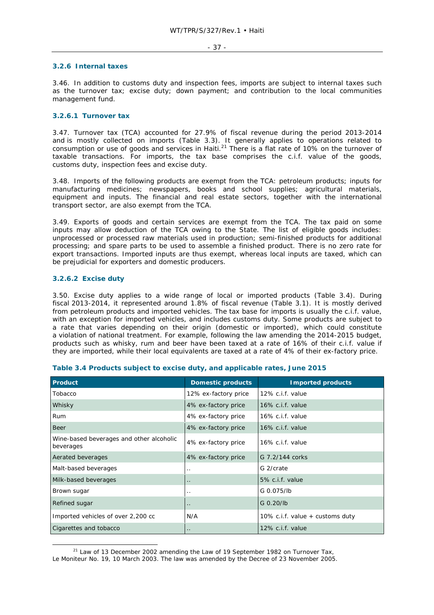### **3.2.6 Internal taxes**

3.46. In addition to customs duty and inspection fees, imports are subject to internal taxes such as the turnover tax; excise duty; down payment; and contribution to the local communities management fund.

## **3.2.6.1 Turnover tax**

3.47. Turnover tax (TCA) accounted for 27.9% of fiscal revenue during the period 2013-2014 and is mostly collected on imports (Table 3.3). It generally applies to operations related to consumption or use of goods and services in Haiti.<sup>21</sup> There is a flat rate of 10% on the turnover of taxable transactions. For imports, the tax base comprises the c.i.f. value of the goods, customs duty, inspection fees and excise duty.

3.48. Imports of the following products are exempt from the TCA: petroleum products; inputs for manufacturing medicines; newspapers, books and school supplies; agricultural materials, equipment and inputs. The financial and real estate sectors, together with the international transport sector, are also exempt from the TCA.

3.49. Exports of goods and certain services are exempt from the TCA. The tax paid on some inputs may allow deduction of the TCA owing to the State. The list of eligible goods includes: unprocessed or processed raw materials used in production; semi-finished products for additional processing; and spare parts to be used to assemble a finished product. There is no zero rate for export transactions. Imported inputs are thus exempt, whereas local inputs are taxed, which can be prejudicial for exporters and domestic producers.

## **3.2.6.2 Excise duty**

3.50. Excise duty applies to a wide range of local or imported products (Table 3.4). During fiscal 2013-2014, it represented around 1.8% of fiscal revenue (Table 3.1). It is mostly derived from petroleum products and imported vehicles. The tax base for imports is usually the c.i.f. value, with an exception for imported vehicles, and includes customs duty. Some products are subject to a rate that varies depending on their origin (domestic or imported), which could constitute a violation of national treatment. For example, following the law amending the 2014-2015 budget, products such as whisky, rum and beer have been taxed at a rate of 16% of their c.i.f. value if they are imported, while their local equivalents are taxed at a rate of 4% of their ex-factory price.

| Product                                               | <b>Domestic products</b> | <b>Imported products</b>          |
|-------------------------------------------------------|--------------------------|-----------------------------------|
| Tobacco                                               | 12% ex-factory price     | 12% c.i.f. value                  |
| Whisky                                                | 4% ex-factory price      | 16% c.i.f. value                  |
| <b>Rum</b>                                            | 4% ex-factory price      | 16% c.i.f. value                  |
| Beer                                                  | 4% ex-factory price      | 16% c.i.f. value                  |
| Wine-based beverages and other alcoholic<br>beverages | 4% ex-factory price      | 16% c.i.f. value                  |
| Aerated beverages                                     | 4% ex-factory price      | G 7.2/144 corks                   |
| Malt-based beverages                                  | $\cdot$ .                | G 2/crate                         |
| Milk-based beverages                                  | $\ddot{\phantom{0}}$     | 5% c.i.f. value                   |
| Brown sugar                                           | . .                      | G 0.075/lb                        |
| Refined sugar                                         | $\cdot$ .                | G 0.20/lb                         |
| Imported vehicles of over 2,200 cc                    | N/A                      | 10% c.i.f. value $+$ customs duty |
| Cigarettes and tobacco                                | $\cdot$ .                | 12% c.i.f. value                  |

## **Table 3.4 Products subject to excise duty, and applicable rates, June 2015**

 $21$  Law of 13 December 2002 amending the Law of 19 September 1982 on Turnover Tax, *Le Moniteur* No. 19, 10 March 2003. The law was amended by the Decree of 23 November 2005.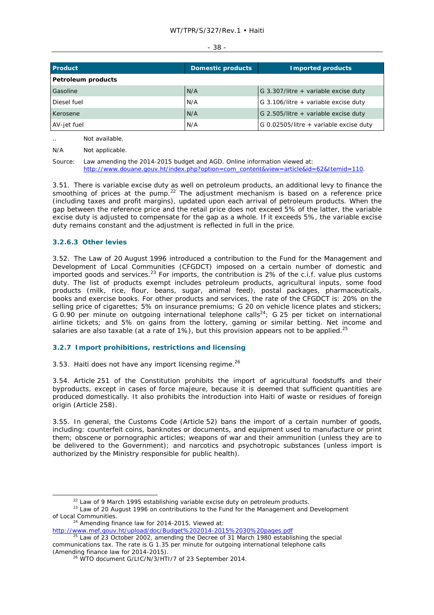#### - 38 -

| Product            | Domestic products | <b>Imported products</b>                 |
|--------------------|-------------------|------------------------------------------|
| Petroleum products |                   |                                          |
| Gasoline           | N/A               | G 3.307/litre + variable excise duty     |
| Diesel fuel        | N/A               | G 3.106/litre + variable excise duty     |
| Kerosene           | N/A               | G 2.505/litre + variable excise duty     |
| AV-jet fuel        | N/A               | G 0.02505/litre $+$ variable excise duty |

.. Not available.

Source: Law amending the 2014-2015 budget and AGD. Online information viewed at: http://www.douane.gouv.ht/index.php?option=com\_content&view=article&id=62&Itemid=110.

3.51. There is variable excise duty as well on petroleum products, an additional levy to finance the smoothing of prices at the pump.<sup>22</sup> The adjustment mechanism is based on a reference price (including taxes and profit margins), updated upon each arrival of petroleum products. When the gap between the reference price and the retail price does not exceed 5% of the latter, the variable excise duty is adjusted to compensate for the gap as a whole. If it exceeds 5%, the variable excise duty remains constant and the adjustment is reflected in full in the price.

## **3.2.6.3 Other levies**

3.52. The Law of 20 August 1996 introduced a contribution to the Fund for the Management and Development of Local Communities (CFGDCT) imposed on a certain number of domestic and imported goods and services.<sup>23</sup> For imports, the contribution is 2% of the c.i.f. value plus customs duty. The list of products exempt includes petroleum products, agricultural inputs, some food products (milk, rice, flour, beans, sugar, animal feed), postal packages, pharmaceuticals, books and exercise books. For other products and services, the rate of the CFGDCT is: 20% on the selling price of cigarettes; 5% on insurance premiums; G 20 on vehicle licence plates and stickers; G 0.90 per minute on outgoing international telephone calls<sup>24</sup>; G 25 per ticket on international airline tickets; and 5% on gains from the lottery, gaming or similar betting. Net income and salaries are also taxable (at a rate of 1%), but this provision appears not to be applied.<sup>25</sup>

## **3.2.7 Import prohibitions, restrictions and licensing**

3.53. Haiti does not have any import licensing regime.<sup>26</sup>

3.54. Article 251 of the Constitution prohibits the import of agricultural foodstuffs and their byproducts, except in cases of *force majeure*, because it is deemed that sufficient quantities are produced domestically. It also prohibits the introduction into Haiti of waste or residues of foreign origin (Article 258).

3.55. In general, the Customs Code (Article 52) bans the import of a certain number of goods, including: counterfeit coins, banknotes or documents, and equipment used to manufacture or print them; obscene or pornographic articles; weapons of war and their ammunition (unless they are to be delivered to the Government); and narcotics and psychotropic substances (unless import is authorized by the Ministry responsible for public health).

<sup>22</sup> Law of 9 March 1995 establishing variable excise duty on petroleum products.<br><sup>23</sup> Law of 20 August 1996 on contributions to the Fund for the Management and Development of Local Communities.<br><sup>24</sup> Amending finance law for 2014-2015. Viewed at:

N/A Not applicable.

http://www.mef.gouv.ht/upload/doc/Budget%202014-2015%2030%20pages.pdf

<sup>&</sup>lt;sup>25</sup> Law of 23 October 2002, amending the Decree of 31 March 1980 establishing the special communications tax. The rate is G 1.35 per minute for outgoing international telephone calls

<sup>&</sup>lt;sup>26</sup> WTO document G/LIC/N/3/HTI/7 of 23 September 2014.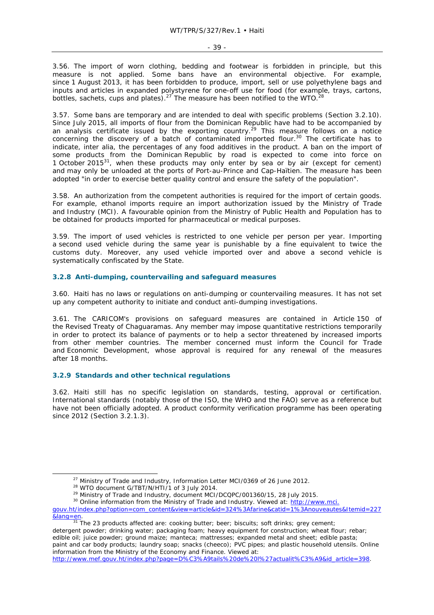3.56. The import of worn clothing, bedding and footwear is forbidden in principle, but this measure is not applied. Some bans have an environmental objective. For example, since 1 August 2013, it has been forbidden to produce, import, sell or use polyethylene bags and inputs and articles in expanded polystyrene for one-off use for food (for example, trays, cartons, bottles, sachets, cups and plates).<sup>27</sup> The measure has been notified to the WTO.<sup>28</sup>

3.57. Some bans are temporary and are intended to deal with specific problems (Section 3.2.10). Since July 2015, all imports of flour from the Dominican Republic have had to be accompanied by an analysis certificate issued by the exporting country.29 This measure follows on a notice concerning the discovery of a batch of contaminated imported flour.<sup>30</sup> The certificate has to indicate, *inter alia*, the percentages of any food additives in the product. A ban on the import of some products from the Dominican Republic by road is expected to come into force on 1 October 2015 $^{31}$ , when these products may only enter by sea or by air (except for cement) and may only be unloaded at the ports of Port-au-Prince and Cap-Haïtien. The measure has been adopted "in order to exercise better quality control and ensure the safety of the population".

3.58. An authorization from the competent authorities is required for the import of certain goods. For example, ethanol imports require an import authorization issued by the Ministry of Trade and Industry (MCI). A favourable opinion from the Ministry of Public Health and Population has to be obtained for products imported for pharmaceutical or medical purposes.

3.59. The import of used vehicles is restricted to one vehicle per person per year. Importing a second used vehicle during the same year is punishable by a fine equivalent to twice the customs duty. Moreover, any used vehicle imported over and above a second vehicle is systematically confiscated by the State.

## **3.2.8 Anti-dumping, countervailing and safeguard measures**

3.60. Haiti has no laws or regulations on anti-dumping or countervailing measures. It has not set up any competent authority to initiate and conduct anti-dumping investigations.

3.61. The CARICOM's provisions on safeguard measures are contained in Article 150 of the Revised Treaty of Chaguaramas. Any member may impose quantitative restrictions temporarily in order to protect its balance of payments or to help a sector threatened by increased imports from other member countries. The member concerned must inform the Council for Trade and Economic Development, whose approval is required for any renewal of the measures after 18 months.

### **3.2.9 Standards and other technical regulations**

3.62. Haiti still has no specific legislation on standards, testing, approval or certification. International standards (notably those of the ISO, the WHO and the FAO) serve as a reference but have not been officially adopted. A product conformity verification programme has been operating since 2012 (Section 3.2.1.3).

detergent powder; drinking water; packaging foam; heavy equipment for construction; wheat flour; rebar; edible oil; juice powder; ground maize; manteca; mattresses; expanded metal and sheet; edible pasta; paint and car body products; laundry soap; snacks (*cheeco)*; PVC pipes; and plastic household utensils. Online

information from the Ministry of the Economy and Finance. Viewed at:

```
http://www.mef.gouv.ht/index.php?page=D%C3%A9tails%20de%20l%27actualit%C3%A9&id_article=398.
```
<sup>&</sup>lt;sup>27</sup> Ministry of Trade and Industry, Information Letter MCI/0369 of 26 June 2012.<br><sup>28</sup> WTO document G/TBT/N/HTI/1 of 3 July 2014.<br><sup>29</sup> Ministry of Trade and Industry, document MCI/DCQPC/001360/15, 28 July 2015.<br><sup>30</sup> Onlin

gouv.ht/index.php?option=com\_content&view=article&id=324%3Afarine&catid=1%3Anouveautes&Itemid=227

**<sup>&</sup>amp;lang=en.** 31 The 23 products affected are: cooking butter; beer; biscuits; soft drinks; grey cement;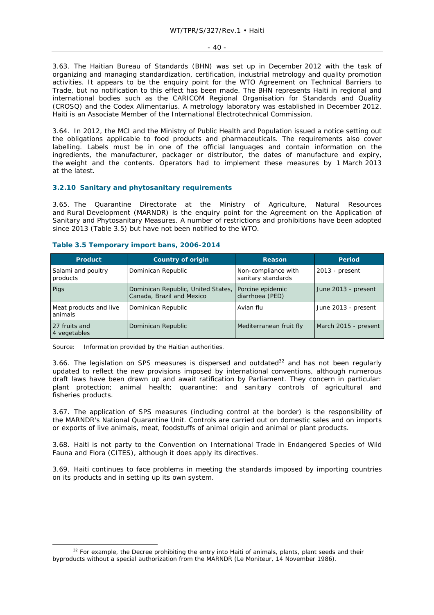#### - 40 -

3.63. The Haitian Bureau of Standards (BHN) was set up in December 2012 with the task of organizing and managing standardization, certification, industrial metrology and quality promotion activities. It appears to be the enquiry point for the WTO Agreement on Technical Barriers to Trade, but no notification to this effect has been made. The BHN represents Haiti in regional and international bodies such as the CARICOM Regional Organisation for Standards and Quality (CROSQ) and the Codex Alimentarius. A metrology laboratory was established in December 2012. Haiti is an Associate Member of the International Electrotechnical Commission.

3.64. In 2012, the MCI and the Ministry of Public Health and Population issued a notice setting out the obligations applicable to food products and pharmaceuticals. The requirements also cover labelling. Labels must be in one of the official languages and contain information on the ingredients, the manufacturer, packager or distributor, the dates of manufacture and expiry, the weight and the contents. Operators had to implement these measures by 1 March 2013 at the latest.

## **3.2.10 Sanitary and phytosanitary requirements**

3.65. The Quarantine Directorate at the Ministry of Agriculture, Natural Resources and Rural Development (MARNDR) is the enquiry point for the Agreement on the Application of Sanitary and Phytosanitary Measures. A number of restrictions and prohibitions have been adopted since 2013 (Table 3.5) but have not been notified to the WTO.

| <b>Product</b>                    | <b>Country of origin</b>                                        | <b>Reason</b>                             | Period               |
|-----------------------------------|-----------------------------------------------------------------|-------------------------------------------|----------------------|
| Salami and poultry<br>products    | Dominican Republic                                              | Non-compliance with<br>sanitary standards | $2013$ - present     |
| Pigs                              | Dominican Republic, United States,<br>Canada, Brazil and Mexico | Porcine epidemic<br>diarrhoea (PED)       | June 2013 - present  |
| Meat products and live<br>animals | Dominican Republic                                              | Avian flu                                 | June 2013 - present  |
| 27 fruits and<br>4 vegetables     | Dominican Republic                                              | Mediterranean fruit fly                   | March 2015 - present |

## **Table 3.5 Temporary import bans, 2006-2014**

Source: Information provided by the Haitian authorities.

3.66. The legislation on SPS measures is dispersed and outdated $32$  and has not been regularly updated to reflect the new provisions imposed by international conventions, although numerous draft laws have been drawn up and await ratification by Parliament. They concern in particular: plant protection; animal health; quarantine; and sanitary controls of agricultural and fisheries products.

3.67. The application of SPS measures (including control at the border) is the responsibility of the MARNDR's National Quarantine Unit. Controls are carried out on domestic sales and on imports or exports of live animals, meat, foodstuffs of animal origin and animal or plant products.

3.68. Haiti is not party to the Convention on International Trade in Endangered Species of Wild Fauna and Flora (CITES), although it does apply its directives.

3.69. Haiti continues to face problems in meeting the standards imposed by importing countries on its products and in setting up its own system.

<sup>&</sup>lt;sup>32</sup> For example, the Decree prohibiting the entry into Haiti of animals, plants, plant seeds and their byproducts without a special authorization from the MARNDR (*Le Moniteur*, 14 November 1986).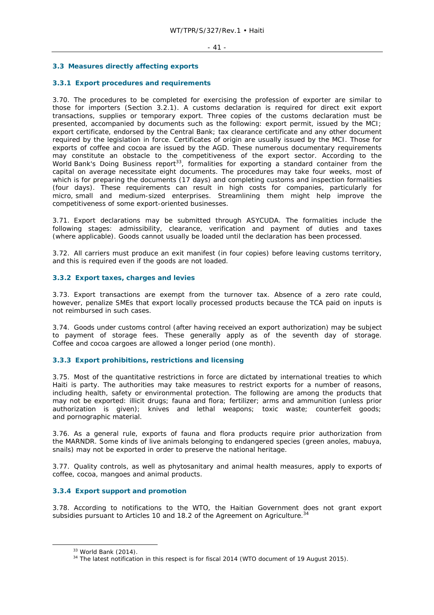## **3.3 Measures directly affecting exports**

## **3.3.1 Export procedures and requirements**

3.70. The procedures to be completed for exercising the profession of exporter are similar to those for importers (Section 3.2.1). A customs declaration is required for direct exit export transactions, supplies or temporary export. Three copies of the customs declaration must be presented, accompanied by documents such as the following: export permit, issued by the MCI; export certificate, endorsed by the Central Bank; tax clearance certificate and any other document required by the legislation in force. Certificates of origin are usually issued by the MCI. Those for exports of coffee and cocoa are issued by the AGD. These numerous documentary requirements may constitute an obstacle to the competitiveness of the export sector. According to the World Bank's *Doing Business* report<sup>33</sup>, formalities for exporting a standard container from the capital on average necessitate eight documents. The procedures may take four weeks, most of which is for preparing the documents (17 days) and completing customs and inspection formalities (four days). These requirements can result in high costs for companies, particularly for micro, small and medium-sized enterprises. Streamlining them might help improve the competitiveness of some export-oriented businesses.

3.71. Export declarations may be submitted through ASYCUDA. The formalities include the following stages: admissibility, clearance, verification and payment of duties and taxes (where applicable). Goods cannot usually be loaded until the declaration has been processed.

3.72. All carriers must produce an exit manifest (in four copies) before leaving customs territory, and this is required even if the goods are not loaded.

### **3.3.2 Export taxes, charges and levies**

3.73. Export transactions are exempt from the turnover tax. Absence of a zero rate could, however, penalize SMEs that export locally processed products because the TCA paid on inputs is not reimbursed in such cases.

3.74. Goods under customs control (after having received an export authorization) may be subject to payment of storage fees. These generally apply as of the seventh day of storage. Coffee and cocoa cargoes are allowed a longer period (one month).

### **3.3.3 Export prohibitions, restrictions and licensing**

3.75. Most of the quantitative restrictions in force are dictated by international treaties to which Haiti is party. The authorities may take measures to restrict exports for a number of reasons, including health, safety or environmental protection. The following are among the products that may not be exported: illicit drugs; fauna and flora; fertilizer; arms and ammunition (unless prior authorization is given); knives and lethal weapons; toxic waste; counterfeit goods; and pornographic material.

3.76. As a general rule, exports of fauna and flora products require prior authorization from the MARNDR. Some kinds of live animals belonging to endangered species (green anoles, mabuya, snails) may not be exported in order to preserve the national heritage.

3.77. Quality controls, as well as phytosanitary and animal health measures, apply to exports of coffee, cocoa, mangoes and animal products.

## **3.3.4 Export support and promotion**

3.78. According to notifications to the WTO, the Haitian Government does not grant export subsidies pursuant to Articles 10 and 18.2 of the Agreement on Agriculture.<sup>34</sup>

 $33$  World Bank (2014).<br> $34$  The latest notification in this respect is for fiscal 2014 (WTO document of 19 August 2015).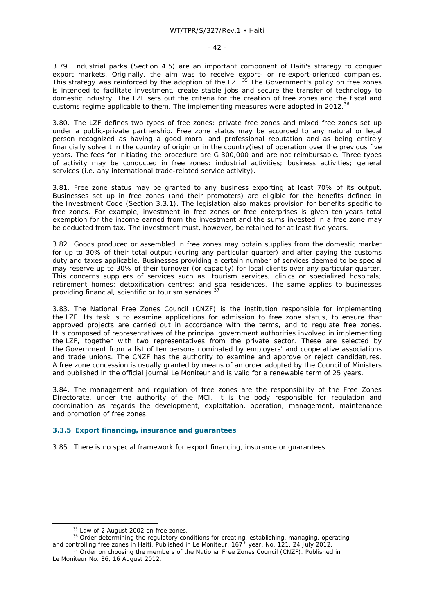3.79. Industrial parks (Section 4.5) are an important component of Haiti's strategy to conquer export markets. Originally, the aim was to receive export- or re-export-oriented companies. This strategy was reinforced by the adoption of the LZF.<sup>35</sup> The Government's policy on free zones is intended to facilitate investment, create stable jobs and secure the transfer of technology to domestic industry. The LZF sets out the criteria for the creation of free zones and the fiscal and customs regime applicable to them. The implementing measures were adopted in 2012.<sup>36</sup>

3.80. The LZF defines two types of free zones: private free zones and mixed free zones set up under a public-private partnership. Free zone status may be accorded to any natural or legal person recognized as having a good moral and professional reputation and as being entirely financially solvent in the country of origin or in the country(ies) of operation over the previous five years. The fees for initiating the procedure are G 300,000 and are not reimbursable. Three types of activity may be conducted in free zones: industrial activities; business activities; general services (i.e. any international trade-related service activity).

3.81. Free zone status may be granted to any business exporting at least 70% of its output. Businesses set up in free zones (and their promoters) are eligible for the benefits defined in the Investment Code (Section 3.3.1). The legislation also makes provision for benefits specific to free zones. For example, investment in free zones or free enterprises is given ten years total exemption for the income earned from the investment and the sums invested in a free zone may be deducted from tax. The investment must, however, be retained for at least five years.

3.82. Goods produced or assembled in free zones may obtain supplies from the domestic market for up to 30% of their total output (during any particular quarter) and after paying the customs duty and taxes applicable. Businesses providing a certain number of services deemed to be special may reserve up to 30% of their turnover (or capacity) for local clients over any particular quarter. This concerns suppliers of services such as: tourism services; clinics or specialized hospitals; retirement homes; detoxification centres; and spa residences. The same applies to businesses providing financial, scientific or tourism services.<sup>3</sup>

3.83. The National Free Zones Council (CNZF) is the institution responsible for implementing the LZF. Its task is to examine applications for admission to free zone status, to ensure that approved projects are carried out in accordance with the terms, and to regulate free zones. It is composed of representatives of the principal government authorities involved in implementing the LZF, together with two representatives from the private sector. These are selected by the Government from a list of ten persons nominated by employers' and cooperative associations and trade unions. The CNZF has the authority to examine and approve or reject candidatures. A free zone concession is usually granted by means of an order adopted by the Council of Ministers and published in the official journal *Le Moniteur* and is valid for a renewable term of 25 years.

3.84. The management and regulation of free zones are the responsibility of the Free Zones Directorate, under the authority of the MCI. It is the body responsible for regulation and coordination as regards the development, exploitation, operation, management, maintenance and promotion of free zones.

### **3.3.5 Export financing, insurance and guarantees**

3.85. There is no special framework for export financing, insurance or guarantees.

<sup>&</sup>lt;sup>35</sup> Law of 2 August 2002 on free zones.<br><sup>36</sup> Order determining the regulatory conditions for creating, establishing, managing, operating and controlling free zones in Haiti. Published in *Le Moniteur*, 167<sup>th</sup> year, No. 121, 24 July 2012.<br><sup>37</sup> Order on choosing the members of the National Free Zones Council (CNZF). Published in

*Le Moniteur* No. 36, 16 August 2012.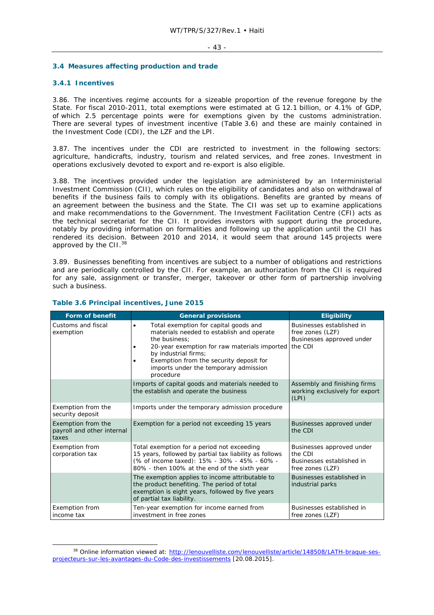### **3.4 Measures affecting production and trade**

## **3.4.1 Incentives**

3.86. The incentives regime accounts for a sizeable proportion of the revenue foregone by the State. For fiscal 2010-2011, total exemptions were estimated at G 12.1 billion, or 4.1% of GDP, of which 2.5 percentage points were for exemptions given by the customs administration. There are several types of investment incentive (Table 3.6) and these are mainly contained in the Investment Code (CDI), the LZF and the LPI.

3.87. The incentives under the CDI are restricted to investment in the following sectors: agriculture, handicrafts, industry, tourism and related services, and free zones. Investment in operations exclusively devoted to export and re-export is also eligible.

3.88. The incentives provided under the legislation are administered by an Interministerial Investment Commission (CII), which rules on the eligibility of candidates and also on withdrawal of benefits if the business fails to comply with its obligations. Benefits are granted by means of an agreement between the business and the State. The CII was set up to examine applications and make recommendations to the Government. The Investment Facilitation Centre (CFI) acts as the technical secretariat for the CII. It provides investors with support during the procedure, notably by providing information on formalities and following up the application until the CII has rendered its decision. Between 2010 and 2014, it would seem that around 145 projects were approved by the CII.<sup>38</sup>

3.89. Businesses benefiting from incentives are subject to a number of obligations and restrictions and are periodically controlled by the CII. For example, an authorization from the CII is required for any sale, assignment or transfer, merger, takeover or other form of partnership involving such a business.

| <b>Form of benefit</b>                                    | <b>General provisions</b>                                                                                                                                                                                                                                                                 | <b>Eligibility</b>                                                                    |
|-----------------------------------------------------------|-------------------------------------------------------------------------------------------------------------------------------------------------------------------------------------------------------------------------------------------------------------------------------------------|---------------------------------------------------------------------------------------|
| Customs and fiscal<br>exemption                           | Total exemption for capital goods and<br>$\bullet$<br>materials needed to establish and operate<br>the business:<br>20-year exemption for raw materials imported<br>by industrial firms;<br>Exemption from the security deposit for<br>imports under the temporary admission<br>procedure | Businesses established in<br>free zones (LZF)<br>Businesses approved under<br>the CDI |
|                                                           | Imports of capital goods and materials needed to<br>the establish and operate the business                                                                                                                                                                                                | Assembly and finishing firms<br>working exclusively for export<br>(LPI)               |
| Exemption from the<br>security deposit                    | Imports under the temporary admission procedure                                                                                                                                                                                                                                           |                                                                                       |
| Exemption from the<br>payroll and other internal<br>taxes | Exemption for a period not exceeding 15 years                                                                                                                                                                                                                                             | Businesses approved under<br>the CDI                                                  |
| <b>Exemption from</b><br>corporation tax                  | Total exemption for a period not exceeding<br>15 years, followed by partial tax liability as follows<br>(% of income taxed): 15% - 30% - 45% - 60% -<br>80% - then 100% at the end of the sixth year                                                                                      | Businesses approved under<br>the CDI<br>Businesses established in<br>free zones (LZF) |
|                                                           | The exemption applies to income attributable to<br>the product benefiting. The period of total<br>exemption is eight years, followed by five years<br>of partial tax liability.                                                                                                           | Businesses established in<br>industrial parks                                         |
| <b>Exemption from</b><br>income tax                       | Ten-year exemption for income earned from<br>investment in free zones                                                                                                                                                                                                                     | Businesses established in<br>free zones (LZF)                                         |

## **Table 3.6 Principal incentives, June 2015**

<sup>38</sup> Online information viewed at: http://lenouvelliste.com/lenouvelliste/article/148508/LATH-braque-sesprojecteurs-sur-les-avantages-du-Code-des-investissements [20.08.2015].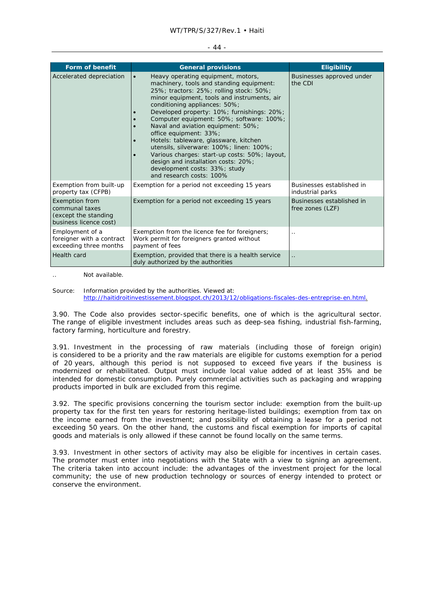### WT/TPR/S/327/Rev.1 • Haiti

#### - 44 -

| <b>Form of benefit</b>                                                                    | <b>General provisions</b>                                                                                                                                                                                                                                                                                                                                                                                                                                                                                                                                                                                                  | <b>Eligibility</b>                            |
|-------------------------------------------------------------------------------------------|----------------------------------------------------------------------------------------------------------------------------------------------------------------------------------------------------------------------------------------------------------------------------------------------------------------------------------------------------------------------------------------------------------------------------------------------------------------------------------------------------------------------------------------------------------------------------------------------------------------------------|-----------------------------------------------|
| Accelerated depreciation                                                                  | Heavy operating equipment, motors,<br>$\bullet$<br>machinery, tools and standing equipment:<br>25%; tractors: 25%; rolling stock: 50%;<br>minor equipment, tools and instruments, air<br>conditioning appliances: 50%;<br>Developed property: 10%; furnishings: 20%;<br>Computer equipment: 50%; software: 100%;<br>Naval and aviation equipment: 50%;<br>office equipment: 33%;<br>Hotels: tableware, glassware, kitchen<br>utensils, silverware: 100%; linen: 100%;<br>Various charges: start-up costs: 50%; layout,<br>design and installation costs: 20%;<br>development costs: 33%; study<br>and research costs: 100% | Businesses approved under<br>the CDI          |
| Exemption from built-up<br>property tax (CFPB)                                            | Exemption for a period not exceeding 15 years                                                                                                                                                                                                                                                                                                                                                                                                                                                                                                                                                                              | Businesses established in<br>industrial parks |
| <b>Exemption from</b><br>communal taxes<br>(except the standing<br>business licence cost) | Exemption for a period not exceeding 15 years                                                                                                                                                                                                                                                                                                                                                                                                                                                                                                                                                                              | Businesses established in<br>free zones (LZF) |
| Employment of a<br>foreigner with a contract<br>exceeding three months                    | Exemption from the licence fee for foreigners;<br>Work permit for foreigners granted without<br>payment of fees                                                                                                                                                                                                                                                                                                                                                                                                                                                                                                            |                                               |
| Health card                                                                               | Exemption, provided that there is a health service<br>duly authorized by the authorities                                                                                                                                                                                                                                                                                                                                                                                                                                                                                                                                   | $\ddot{\phantom{a}}$                          |

.. Not available.

Source: Information provided by the authorities. Viewed at: http://haitidroitinvestissement.blogspot.ch/2013/12/obligations-fiscales-des-entreprise-en.html.

3.90. The Code also provides sector-specific benefits, one of which is the agricultural sector. The range of eligible investment includes areas such as deep-sea fishing, industrial fish-farming, factory farming, horticulture and forestry.

3.91. Investment in the processing of raw materials (including those of foreign origin) is considered to be a priority and the raw materials are eligible for customs exemption for a period of 20 years, although this period is not supposed to exceed five years if the business is modernized or rehabilitated. Output must include local value added of at least 35% and be intended for domestic consumption. Purely commercial activities such as packaging and wrapping products imported in bulk are excluded from this regime.

3.92. The specific provisions concerning the tourism sector include: exemption from the built-up property tax for the first ten years for restoring heritage-listed buildings; exemption from tax on the income earned from the investment; and possibility of obtaining a lease for a period not exceeding 50 years. On the other hand, the customs and fiscal exemption for imports of capital goods and materials is only allowed if these cannot be found locally on the same terms.

3.93. Investment in other sectors of activity may also be eligible for incentives in certain cases. The promoter must enter into negotiations with the State with a view to signing an agreement. The criteria taken into account include: the advantages of the investment project for the local community; the use of new production technology or sources of energy intended to protect or conserve the environment.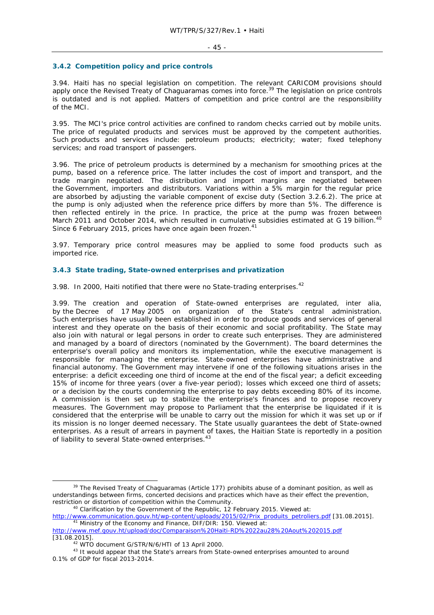### **3.4.2 Competition policy and price controls**

3.94. Haiti has no special legislation on competition. The relevant CARICOM provisions should apply once the Revised Treaty of Chaguaramas comes into force.<sup>39</sup> The legislation on price controls is outdated and is not applied. Matters of competition and price control are the responsibility of the MCI.

3.95. The MCI's price control activities are confined to random checks carried out by mobile units. The price of regulated products and services must be approved by the competent authorities. Such products and services include: petroleum products; electricity; water; fixed telephony services; and road transport of passengers.

3.96. The price of petroleum products is determined by a mechanism for smoothing prices at the pump, based on a reference price. The latter includes the cost of import and transport, and the trade margin negotiated. The distribution and import margins are negotiated between the Government, importers and distributors. Variations within a 5% margin for the regular price are absorbed by adjusting the variable component of excise duty (Section 3.2.6.2). The price at the pump is only adjusted when the reference price differs by more than 5%. The difference is then reflected entirely in the price. In practice, the price at the pump was frozen between March 2011 and October 2014, which resulted in cumulative subsidies estimated at G 19 billion.<sup>40</sup> Since 6 February 2015, prices have once again been frozen.<sup>41</sup>

3.97. Temporary price control measures may be applied to some food products such as imported rice.

### **3.4.3 State trading, State-owned enterprises and privatization**

3.98. In 2000, Haiti notified that there were no State-trading enterprises.<sup>42</sup>

3.99. The creation and operation of State-owned enterprises are regulated, *inter alia*, by the Decree of 17 May 2005 on organization of the State's central administration. Such enterprises have usually been established in order to produce goods and services of general interest and they operate on the basis of their economic and social profitability. The State may also join with natural or legal persons in order to create such enterprises. They are administered and managed by a board of directors (nominated by the Government). The board determines the enterprise's overall policy and monitors its implementation, while the executive management is responsible for managing the enterprise. State-owned enterprises have administrative and financial autonomy. The Government may intervene if one of the following situations arises in the enterprise: a deficit exceeding one third of income at the end of the fiscal year; a deficit exceeding 15% of income for three years (over a five-year period); losses which exceed one third of assets; or a decision by the courts condemning the enterprise to pay debts exceeding 80% of its income. A commission is then set up to stabilize the enterprise's finances and to propose recovery measures. The Government may propose to Parliament that the enterprise be liquidated if it is considered that the enterprise will be unable to carry out the mission for which it was set up or if its mission is no longer deemed necessary. The State usually guarantees the debt of State-owned enterprises. As a result of arrears in payment of taxes, the Haitian State is reportedly in a position of liability to several State-owned enterprises.<sup>43</sup>

<sup>&</sup>lt;sup>39</sup> The Revised Treaty of Chaguaramas (Article 177) prohibits abuse of a dominant position, as well as understandings between firms, concerted decisions and practices which have as their effect the prevention, restriction or distortion of competition within the Community. 40 Clarification by the Government of the Republic, 12 February 2015. Viewed at:

http://www.communication.gouv.ht/wp-content/uploads/2015/02/Prix\_produits\_petroliers.pdf [31.08.2015].<br><sup>41</sup> Ministry of the Economy and Finance, DIF/DIR: 150. Viewed at:

http://www.mef.gouv.ht/upload/doc/Comparaison%20Haiti-RD%2022au28%20Aout%202015.pdf [31.08.2015].<br><sup>42</sup> WTO document G/STR/N/6/HTI of 13 April 2000.<br><sup>43</sup> It would appear that the State's arrears from State-owned enterprises amounted to around

<sup>0.1%</sup> of GDP for fiscal 2013-2014.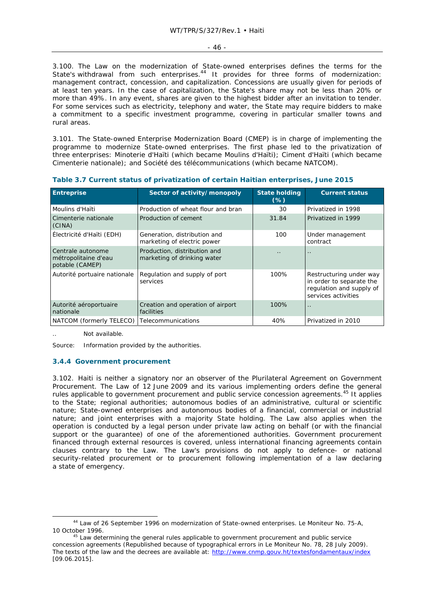3.100. The Law on the modernization of State-owned enterprises defines the terms for the State's withdrawal from such enterprises.<sup>44</sup> It provides for three forms of modernization: management contract, concession, and capitalization. Concessions are usually given for periods of at least ten years. In the case of capitalization, the State's share may not be less than 20% or more than 49%. In any event, shares are given to the highest bidder after an invitation to tender. For some services such as electricity, telephony and water, the State may require bidders to make a commitment to a specific investment programme, covering in particular smaller towns and rural areas.

3.101. The State-owned Enterprise Modernization Board (CMEP) is in charge of implementing the programme to modernize State-owned enterprises. The first phase led to the privatization of three enterprises: Minoterie d'Haïti (which became Moulins d'Haïti); Ciment d'Haïti (which became Cimenterie nationale); and Société des télécommunications (which became NATCOM).

| <b>Entreprise</b>                                            | Sector of activity/monopoly                                 | <b>State holding</b><br>$(\%)$ | <b>Current status</b>                                                                                  |
|--------------------------------------------------------------|-------------------------------------------------------------|--------------------------------|--------------------------------------------------------------------------------------------------------|
| Moulins d'Haïti                                              | Production of wheat flour and bran                          | 30                             | Privatized in 1998                                                                                     |
| Cimenterie nationale<br>(CINA)                               | Production of cement                                        | 31.84                          | Privatized in 1999                                                                                     |
| Électricité d'Haïti (EDH)                                    | Generation, distribution and<br>marketing of electric power | 100                            | Under management<br>contract                                                                           |
| Centrale autonome<br>métropolitaine d'eau<br>potable (CAMEP) | Production, distribution and<br>marketing of drinking water | $\cdot$ $\cdot$                | $\ddot{\phantom{0}}$                                                                                   |
| Autorité portuaire nationale                                 | Regulation and supply of port<br>services                   | 100%                           | Restructuring under way<br>in order to separate the<br>regulation and supply of<br>services activities |
| Autorité aéroportuaire<br>nationale                          | Creation and operation of airport<br>facilities             | 100%                           |                                                                                                        |
| NATCOM (formerly TELECO)                                     | Telecommunications                                          | 40%                            | Privatized in 2010                                                                                     |

| Table 3.7 Current status of privatization of certain Haitian enterprises, June 2015 |  |  |  |  |
|-------------------------------------------------------------------------------------|--|--|--|--|
|-------------------------------------------------------------------------------------|--|--|--|--|

Not available

Source: Information provided by the authorities.

### **3.4.4 Government procurement**

3.102. Haiti is neither a signatory nor an observer of the Plurilateral Agreement on Government Procurement. The Law of 12 June 2009 and its various implementing orders define the general rules applicable to government procurement and public service concession agreements.45 It applies to the State; regional authorities; autonomous bodies of an administrative, cultural or scientific nature; State-owned enterprises and autonomous bodies of a financial, commercial or industrial nature; and joint enterprises with a majority State holding. The Law also applies when the operation is conducted by a legal person under private law acting on behalf (or with the financial support or the guarantee) of one of the aforementioned authorities. Government procurement financed through external resources is covered, unless international financing agreements contain clauses contrary to the Law. The Law's provisions do not apply to defence- or national security-related procurement or to procurement following implementation of a law declaring a state of emergency.

 <sup>44</sup> Law of 26 September 1996 on modernization of State-owned enterprises. *Le Moniteur* No. 75-A, 10 October 1996. 45 Law determining the general rules applicable to government procurement and public service

concession agreements (Republished because of typographical errors in *Le Moniteur* No. 78, 28 July 2009). The texts of the law and the decrees are available at: http://www.cnmp.gouv.ht/textesfondamentaux/index [09.06.2015].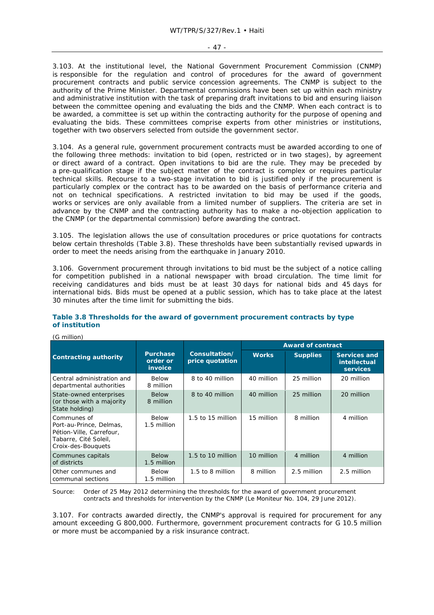#### - 47 -

3.103. At the institutional level, the National Government Procurement Commission (CNMP) is responsible for the regulation and control of procedures for the award of government procurement contracts and public service concession agreements. The CNMP is subject to the authority of the Prime Minister. Departmental commissions have been set up within each ministry and administrative institution with the task of preparing draft invitations to bid and ensuring liaison between the committee opening and evaluating the bids and the CNMP. When each contract is to be awarded, a committee is set up within the contracting authority for the purpose of opening and evaluating the bids. These committees comprise experts from other ministries or institutions, together with two observers selected from outside the government sector.

3.104. As a general rule, government procurement contracts must be awarded according to one of the following three methods: invitation to bid (open, restricted or in two stages), by agreement or direct award of a contract. Open invitations to bid are the rule. They may be preceded by a pre-qualification stage if the subject matter of the contract is complex or requires particular technical skills. Recourse to a two-stage invitation to bid is justified only if the procurement is particularly complex or the contract has to be awarded on the basis of performance criteria and not on technical specifications. A restricted invitation to bid may be used if the goods, works or services are only available from a limited number of suppliers. The criteria are set in advance by the CNMP and the contracting authority has to make a no-objection application to the CNMP (or the departmental commission) before awarding the contract.

3.105. The legislation allows the use of consultation procedures or price quotations for contracts below certain thresholds (Table 3.8). These thresholds have been substantially revised upwards in order to meet the needs arising from the earthquake in January 2010.

3.106. Government procurement through invitations to bid must be the subject of a notice calling for competition published in a national newspaper with broad circulation. The time limit for receiving candidatures and bids must be at least 30 days for national bids and 45 days for international bids. Bids must be opened at a public session, which has to take place at the latest 30 minutes after the time limit for submitting the bids.

## **Table 3.8 Thresholds for the award of government procurement contracts by type of institution**

(G million)

|                                                                                                                   |                                        |                                  | <b>Award of contract</b> |                 |                                                               |
|-------------------------------------------------------------------------------------------------------------------|----------------------------------------|----------------------------------|--------------------------|-----------------|---------------------------------------------------------------|
| <b>Contracting authority</b>                                                                                      | <b>Purchase</b><br>order or<br>invoice | Consultation/<br>price quotation | <b>Works</b>             | <b>Supplies</b> | <b>Services and</b><br><b>intellectual</b><br><b>services</b> |
| Central administration and<br>departmental authorities                                                            | Below<br>8 million                     | 8 to 40 million                  | 40 million               | 25 million      | 20 million                                                    |
| State-owned enterprises<br>(or those with a majority<br>State holding)                                            | <b>Below</b><br>8 million              | 8 to 40 million                  | 40 million               | 25 million      | 20 million                                                    |
| Communes of<br>Port-au-Prince, Delmas,<br>Pétion-Ville, Carrefour,<br>Tabarre, Cité Soleil,<br>Croix-des-Bouquets | <b>Below</b><br>1.5 million            | $1.5$ to $15$ million            | 15 million               | 8 million       | 4 million                                                     |
| Communes capitals<br>of districts                                                                                 | <b>Below</b><br>1.5 million            | 1.5 to 10 million                | 10 million               | 4 million       | 4 million                                                     |
| Other communes and<br>communal sections                                                                           | <b>Below</b><br>1.5 million            | 1.5 to 8 million                 | 8 million                | 2.5 million     | 2.5 million                                                   |

Source: Order of 25 May 2012 determining the thresholds for the award of government procurement contracts and thresholds for intervention by the CNMP (*Le Moniteur* No*.* 104, 29 June 2012).

3.107. For contracts awarded directly, the CNMP's approval is required for procurement for any amount exceeding G 800,000. Furthermore, government procurement contracts for G 10.5 million or more must be accompanied by a risk insurance contract.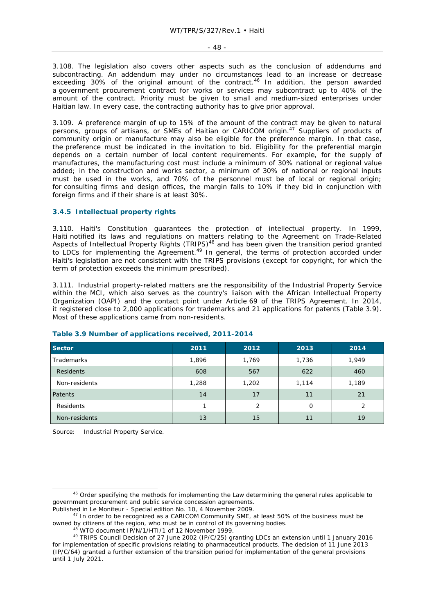- 48 -

3.108. The legislation also covers other aspects such as the conclusion of addendums and subcontracting. An addendum may under no circumstances lead to an increase or decrease exceeding 30% of the original amount of the contract.<sup>46</sup> In addition, the person awarded a government procurement contract for works or services may subcontract up to 40% of the amount of the contract. Priority must be given to small and medium-sized enterprises under Haitian law. In every case, the contracting authority has to give prior approval.

3.109. A preference margin of up to 15% of the amount of the contract may be given to natural persons, groups of artisans, or SMEs of Haitian or CARICOM origin.<sup>47</sup> Suppliers of products of community origin or manufacture may also be eligible for the preference margin. In that case, the preference must be indicated in the invitation to bid. Eligibility for the preferential margin depends on a certain number of local content requirements. For example, for the supply of manufactures, the manufacturing cost must include a minimum of 30% national or regional value added; in the construction and works sector, a minimum of 30% of national or regional inputs must be used in the works, and 70% of the personnel must be of local or regional origin; for consulting firms and design offices, the margin falls to 10% if they bid in conjunction with foreign firms and if their share is at least 30%.

## **3.4.5 Intellectual property rights**

3.110. Haiti's Constitution guarantees the protection of intellectual property. In 1999, Haiti notified its laws and regulations on matters relating to the Agreement on Trade-Related Aspects of Intellectual Property Rights (TRIPS)<sup>48</sup> and has been given the transition period granted to LDCs for implementing the Agreement.<sup>49</sup> In general, the terms of protection accorded under Haiti's legislation are not consistent with the TRIPS provisions (except for copyright, for which the term of protection exceeds the minimum prescribed).

3.111. Industrial property-related matters are the responsibility of the Industrial Property Service within the MCI, which also serves as the country's liaison with the African Intellectual Property Organization (OAPI) and the contact point under Article 69 of the TRIPS Agreement. In 2014, it registered close to 2,000 applications for trademarks and 21 applications for patents (Table 3.9). Most of these applications came from non-residents.

| Sector            | 2011  | 2012  | 2013  | 2014  |
|-------------------|-------|-------|-------|-------|
| <b>Trademarks</b> | 1,896 | 1,769 | 1,736 | 1,949 |
| Residents         | 608   | 567   | 622   | 460   |
| Non-residents     | 1,288 | 1,202 | 1,114 | 1,189 |
| Patents           | 14    | 17    | 11    | 21    |
| Residents         | 1     | 2     | O     | 2     |
| Non-residents     | 13    | 15    | 11    | 19    |

### **Table 3.9 Number of applications received, 2011-2014**

Source: Industrial Property Service.

<sup>&</sup>lt;sup>46</sup> Order specifying the methods for implementing the Law determining the general rules applicable to government procurement and public service concession agreements.<br>Published in Le Moniteur - Special edition No. 10, 4 November 2009.

<sup>&</sup>lt;sup>7</sup> In order to be recognized as a CARICOM Community SME, at least 50% of the business must be

owned by citizens of the region, who must be in control of its governing bodies.<br><sup>48</sup> WTO document IP/N/1/HTI/1 of 12 November 1999.<br><sup>49</sup> TRIPS Council Decision of 27 June 2002 (IP/C/25) granting LDCs an extension until 1 for implementation of specific provisions relating to pharmaceutical products. The decision of 11 June 2013 (IP/C/64) granted a further extension of the transition period for implementation of the general provisions until 1 July 2021.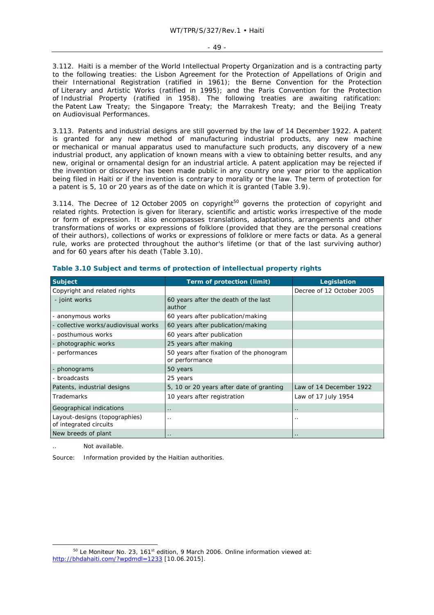3.112. Haiti is a member of the World Intellectual Property Organization and is a contracting party to the following treaties: the Lisbon Agreement for the Protection of Appellations of Origin and their International Registration (ratified in 1961); the Berne Convention for the Protection of Literary and Artistic Works (ratified in 1995); and the Paris Convention for the Protection of Industrial Property (ratified in 1958). The following treaties are awaiting ratification: the Patent Law Treaty; the Singapore Treaty; the Marrakesh Treaty; and the Beijing Treaty on Audiovisual Performances.

3.113. Patents and industrial designs are still governed by the law of 14 December 1922. A patent is granted for any new method of manufacturing industrial products, any new machine or mechanical or manual apparatus used to manufacture such products, any discovery of a new industrial product, any application of known means with a view to obtaining better results, and any new, original or ornamental design for an industrial article. A patent application may be rejected if the invention or discovery has been made public in any country one year prior to the application being filed in Haiti or if the invention is contrary to morality or the law. The term of protection for a patent is 5, 10 or 20 years as of the date on which it is granted (Table 3.9).

3.114. The Decree of 12 October 2005 on copyright<sup>50</sup> governs the protection of copyright and related rights. Protection is given for literary, scientific and artistic works irrespective of the mode or form of expression. It also encompasses translations, adaptations, arrangements and other transformations of works or expressions of folklore (provided that they are the personal creations of their authors), collections of works or expressions of folklore or mere facts or data. As a general rule, works are protected throughout the author's lifetime (or that of the last surviving author) and for 60 years after his death (Table 3.10).

| <b>Subject</b>                                          | Term of protection (limit)                                 | Legislation               |
|---------------------------------------------------------|------------------------------------------------------------|---------------------------|
| Copyright and related rights                            |                                                            | Decree of 12 October 2005 |
| - joint works                                           | 60 years after the death of the last<br>author             |                           |
| - anonymous works                                       | 60 years after publication/making                          |                           |
| - collective works/audiovisual works                    | 60 years after publication/making                          |                           |
| - posthumous works                                      | 60 years after publication                                 |                           |
| - photographic works                                    | 25 years after making                                      |                           |
| - performances                                          | 50 years after fixation of the phonogram<br>or performance |                           |
| - phonograms                                            | 50 years                                                   |                           |
| - broadcasts                                            | 25 years                                                   |                           |
| Patents, industrial designs                             | 5, 10 or 20 years after date of granting                   | Law of 14 December 1922   |
| <b>Trademarks</b>                                       | 10 years after registration                                | Law of 17 July 1954       |
| Geographical indications                                | $\ddot{\phantom{0}}$                                       |                           |
| Layout-designs (topographies)<br>of integrated circuits |                                                            | . .                       |
| New breeds of plant                                     | $\ddot{\phantom{0}}$                                       | $\ddot{\phantom{0}}$      |

**Table 3.10 Subject and terms of protection of intellectual property rights** 

Not available

Source: Information provided by the Haitian authorities.

<sup>&</sup>lt;sup>50</sup> Le Moniteur No. 23, 161<sup>st</sup> edition, 9 March 2006. Online information viewed at: http://bhdahaiti.com/?wpdmdl=1233 [10.06.2015].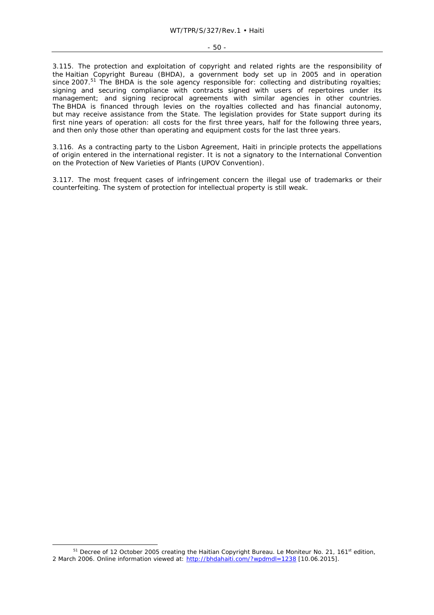#### - 50 -

3.115. The protection and exploitation of copyright and related rights are the responsibility of the Haitian Copyright Bureau (BHDA), a government body set up in 2005 and in operation since 2007.<sup>51</sup> The BHDA is the sole agency responsible for: collecting and distributing royalties; signing and securing compliance with contracts signed with users of repertoires under its management; and signing reciprocal agreements with similar agencies in other countries. The BHDA is financed through levies on the royalties collected and has financial autonomy, but may receive assistance from the State. The legislation provides for State support during its first nine years of operation: all costs for the first three years, half for the following three years, and then only those other than operating and equipment costs for the last three years.

3.116. As a contracting party to the Lisbon Agreement, Haiti in principle protects the appellations of origin entered in the international register. It is not a signatory to the International Convention on the Protection of New Varieties of Plants (UPOV Convention).

3.117. The most frequent cases of infringement concern the illegal use of trademarks or their counterfeiting. The system of protection for intellectual property is still weak.

<sup>&</sup>lt;sup>51</sup> Decree of 12 October 2005 creating the Haitian Copyright Bureau. *Le Moniteur* No. 21, 161<sup>st</sup> edition, 2 March 2006. Online information viewed at: http://bhdahaiti.com/?wpdmdl=1238 [10.06.2015].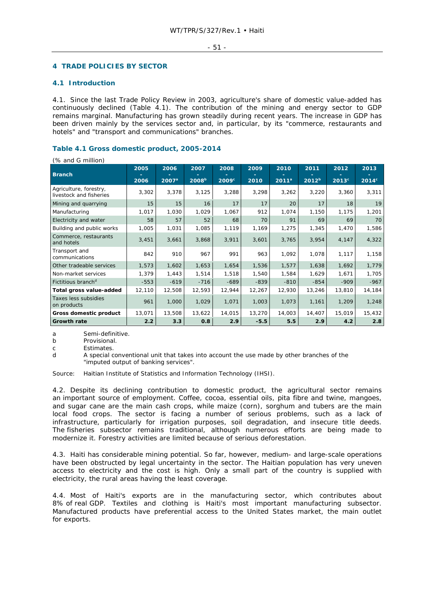### - 51 -

## **4 TRADE POLICIES BY SECTOR**

## **4.1 Introduction**

 $(0, 2nd)$  million)

4.1. Since the last Trade Policy Review in 2003, agriculture's share of domestic value-added has continuously declined (Table 4.1). The contribution of the mining and energy sector to GDP remains marginal. Manufacturing has grown steadily during recent years. The increase in GDP has been driven mainly by the services sector and, in particular, by its "commerce, restaurants and hotels" and "transport and communications" branches.

## **Table 4.1 Gross domestic product, 2005-2014**

| $\frac{1}{20}$ and $\frac{1}{2}$ minion,          |        |          |                   |        |        |          |            |                   |                |
|---------------------------------------------------|--------|----------|-------------------|--------|--------|----------|------------|-------------------|----------------|
|                                                   | 2005   | 2006     | 2007              | 2008   | 2009   | 2010     | 2011       | 2012              | 2013           |
| <b>Branch</b>                                     | 2006   | $2007^a$ | 2008 <sup>b</sup> | 2009°  | 2010   | $2011^a$ | $2012^{b}$ | 2013 <sup>c</sup> | $2014^{\circ}$ |
| Agriculture, forestry,<br>livestock and fisheries | 3,302  | 3,378    | 3,125             | 3,288  | 3,298  | 3,262    | 3,220      | 3,360             | 3,311          |
| Mining and quarrying                              | 15     | 15       | 16                | 17     | 17     | 20       | 17         | 18                | 19             |
| Manufacturing                                     | 1,017  | 1,030    | 1,029             | 1,067  | 912    | 1,074    | 1,150      | 1,175             | 1,201          |
| Electricity and water                             | 58     | 57       | 52                | 68     | 70     | 91       | 69         | 69                | 70             |
| Building and public works                         | 1,005  | 1,031    | 1,085             | 1,119  | 1,169  | 1,275    | 1,345      | 1,470             | 1,586          |
| Commerce, restaurants<br>and hotels               | 3,451  | 3,661    | 3,868             | 3,911  | 3,601  | 3,765    | 3,954      | 4,147             | 4,322          |
| Transport and<br>communications                   | 842    | 910      | 967               | 991    | 963    | 1,092    | 1,078      | 1,117             | 1,158          |
| Other tradeable services                          | 1,573  | 1,602    | 1,653             | 1,654  | 1,536  | 1,577    | 1,638      | 1,692             | 1,779          |
| Non-market services                               | 1,379  | 1,443    | 1,514             | 1,518  | 1,540  | 1,584    | 1,629      | 1,671             | 1,705          |
| Fictitious branch <sup>d</sup>                    | $-553$ | $-619$   | $-716$            | $-689$ | $-839$ | $-810$   | $-854$     | $-909$            | $-967$         |
| Total gross value-added                           | 12,110 | 12,508   | 12,593            | 12,944 | 12,267 | 12,930   | 13,246     | 13,810            | 14,184         |
| Taxes less subsidies<br>on products               | 961    | 1,000    | 1,029             | 1,071  | 1,003  | 1,073    | 1,161      | 1,209             | 1,248          |
| Gross domestic product                            | 13,071 | 13,508   | 13,622            | 14,015 | 13,270 | 14,003   | 14,407     | 15,019            | 15,432         |
| <b>Growth rate</b>                                | 2.2    | 3.3      | 0.8               | 2.9    | $-5.5$ | 5.5      | 2.9        | 4.2               | 2.8            |

a Semi-definitive.<br>
b Provisional

Provisional

c Estimates.

d A special conventional unit that takes into account the use made by other branches of the "imputed output of banking services".

Source: Haitian Institute of Statistics and Information Technology (IHSI).

4.2. Despite its declining contribution to domestic product, the agricultural sector remains an important source of employment. Coffee, cocoa, essential oils, pita fibre and twine, mangoes, and sugar cane are the main cash crops, while maize (corn), sorghum and tubers are the main local food crops. The sector is facing a number of serious problems, such as a lack of infrastructure, particularly for irrigation purposes, soil degradation, and insecure title deeds. The fisheries subsector remains traditional, although numerous efforts are being made to modernize it. Forestry activities are limited because of serious deforestation.

4.3. Haiti has considerable mining potential. So far, however, medium- and large-scale operations have been obstructed by legal uncertainty in the sector. The Haitian population has very uneven access to electricity and the cost is high. Only a small part of the country is supplied with electricity, the rural areas having the least coverage.

4.4. Most of Haiti's exports are in the manufacturing sector, which contributes about 8% of real GDP. Textiles and clothing is Haiti's most important manufacturing subsector. Manufactured products have preferential access to the United States market, the main outlet for exports.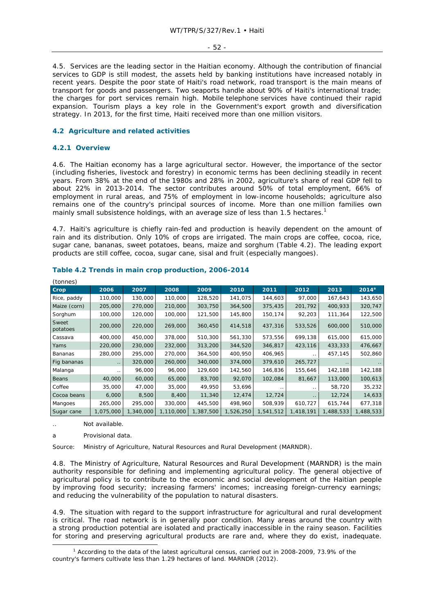#### - 52 -

4.5. Services are the leading sector in the Haitian economy. Although the contribution of financial services to GDP is still modest, the assets held by banking institutions have increased notably in recent years. Despite the poor state of Haiti's road network, road transport is the main means of transport for goods and passengers. Two seaports handle about 90% of Haiti's international trade; the charges for port services remain high. Mobile telephone services have continued their rapid expansion. Tourism plays a key role in the Government's export growth and diversification strategy. In 2013, for the first time, Haiti received more than one million visitors.

## **4.2 Agriculture and related activities**

## **4.2.1 Overview**

4.6. The Haitian economy has a large agricultural sector. However, the importance of the sector (including fisheries, livestock and forestry) in economic terms has been declining steadily in recent years. From 38% at the end of the 1980s and 28% in 2002, agriculture's share of real GDP fell to about 22% in 2013-2014. The sector contributes around 50% of total employment, 66% of employment in rural areas, and 75% of employment in low-income households; agriculture also remains one of the country's principal sources of income. More than one million families own mainly small subsistence holdings, with an average size of less than 1.5 hectares.<sup>1</sup>

4.7. Haiti's agriculture is chiefly rain-fed and production is heavily dependent on the amount of rain and its distribution. Only 10% of crops are irrigated. The main crops are coffee, cocoa, rice, sugar cane, bananas, sweet potatoes, beans, maize and sorghum (Table 4.2). The leading export products are still coffee, cocoa, sugar cane, sisal and fruit (especially mangoes).

| (tonnes)          |               |           |           |           |           |           |           |           |           |
|-------------------|---------------|-----------|-----------|-----------|-----------|-----------|-----------|-----------|-----------|
| Crop              | 2006          | 2007      | 2008      | 2009      | 2010      | 2011      | 2012      | 2013      | $2014^a$  |
| Rice, paddy       | 110,000       | 130,000   | 110,000   | 128,520   | 141,075   | 144,603   | 97,000    | 167,643   | 143,650   |
| Maize (corn)      | 205,000       | 270,000   | 210,000   | 303,750   | 364,500   | 375,435   | 201,792   | 400,933   | 320,747   |
| Sorghum           | 100,000       | 120,000   | 100,000   | 121,500   | 145,800   | 150,174   | 92,203    | 111,364   | 122,500   |
| Sweet<br>potatoes | 200,000       | 220,000   | 269,000   | 360,450   | 414,518   | 437,316   | 533,526   | 600,000   | 510,000   |
| Cassava           | 400,000       | 450,000   | 378,000   | 510,300   | 561,330   | 573,556   | 699,138   | 615,000   | 615,000   |
| Yams              | 220,000       | 230,000   | 232,000   | 313,200   | 344,520   | 346,817   | 423,116   | 433,333   | 476,667   |
| Bananas           | 280,000       | 295,000   | 270,000   | 364,500   | 400,950   | 406,965   |           | 457,145   | 502,860   |
| Fig bananas       | $\sim$ $\sim$ | 320,000   | 260,000   | 340,000   | 374,000   | 379,610   | 265,727   | $\cdot$ . |           |
| Malanga           | . .           | 96,000    | 96,000    | 129,600   | 142,560   | 146,836   | 155,646   | 142,188   | 142,188   |
| Beans             | 40,000        | 60,000    | 65,000    | 83,700    | 92,070    | 102,084   | 81,667    | 113,000   | 100,613   |
| Coffee            | 35,000        | 47,000    | 35,000    | 49,950    | 53,696    |           | $\cdot$ . | 58,720    | 35,232    |
| Cocoa beans       | 6,000         | 8,500     | 8,400     | 11,340    | 12,474    | 12,724    | $\ddotsc$ | 12,724    | 14,633    |
| Mangoes           | 265,000       | 295,000   | 330,000   | 445,500   | 498,960   | 508,939   | 610,727   | 615,744   | 677,318   |
| Sugar cane        | 1,075,000     | 1,340,000 | 1,110,000 | 1,387,500 | 1,526,250 | 1,541,512 | 1,418,191 | 1,488,533 | 1,488,533 |

### **Table 4.2 Trends in main crop production, 2006-2014**

Not available.

a Provisional data.

Source: Ministry of Agriculture, Natural Resources and Rural Development (MARNDR).

4.8. The Ministry of Agriculture, Natural Resources and Rural Development (MARNDR) is the main authority responsible for defining and implementing agricultural policy. The general objective of agricultural policy is to contribute to the economic and social development of the Haitian people by improving food security; increasing farmers' incomes; increasing foreign-currency earnings; and reducing the vulnerability of the population to natural disasters.

4.9. The situation with regard to the support infrastructure for agricultural and rural development is critical. The road network is in generally poor condition. Many areas around the country with a strong production potential are isolated and practically inaccessible in the rainy season. Facilities for storing and preserving agricultural products are rare and, where they do exist, inadequate.

 $\frac{1}{1}$ <sup>1</sup> According to the data of the latest agricultural census, carried out in 2008-2009, 73.9% of the country's farmers cultivate less than 1.29 hectares of land. MARNDR (2012).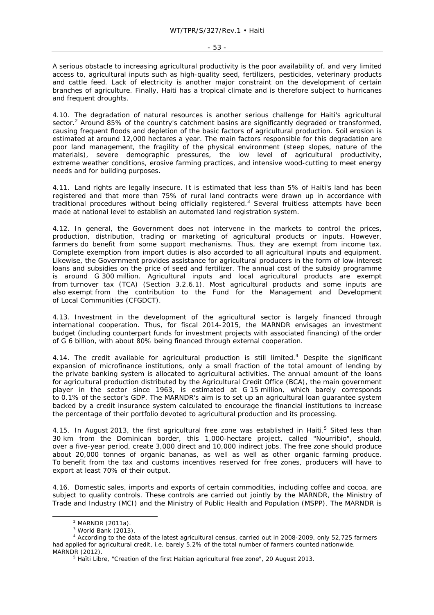A serious obstacle to increasing agricultural productivity is the poor availability of, and very limited access to, agricultural inputs such as high-quality seed, fertilizers, pesticides, veterinary products and cattle feed. Lack of electricity is another major constraint on the development of certain branches of agriculture. Finally, Haiti has a tropical climate and is therefore subject to hurricanes and frequent droughts.

4.10. The degradation of natural resources is another serious challenge for Haiti's agricultural sector.<sup>2</sup> Around 85% of the country's catchment basins are significantly degraded or transformed, causing frequent floods and depletion of the basic factors of agricultural production. Soil erosion is estimated at around 12,000 hectares a year. The main factors responsible for this degradation are poor land management, the fragility of the physical environment (steep slopes, nature of the materials), severe demographic pressures, the low level of agricultural productivity, extreme weather conditions, erosive farming practices, and intensive wood-cutting to meet energy needs and for building purposes.

4.11. Land rights are legally insecure. It is estimated that less than 5% of Haiti's land has been registered and that more than 75% of rural land contracts were drawn up in accordance with traditional procedures without being officially registered.<sup>3</sup> Several fruitless attempts have been made at national level to establish an automated land registration system.

4.12. In general, the Government does not intervene in the markets to control the prices, production, distribution, trading or marketing of agricultural products or inputs. However, farmers do benefit from some support mechanisms. Thus, they are exempt from income tax. Complete exemption from import duties is also accorded to all agricultural inputs and equipment. Likewise, the Government provides assistance for agricultural producers in the form of low-interest loans and subsidies on the price of seed and fertilizer. The annual cost of the subsidy programme is around G 300 million. Agricultural inputs and local agricultural products are exempt from turnover tax (TCA) (Section 3.2.6.1). Most agricultural products and some inputs are also exempt from the contribution to the Fund for the Management and Development of Local Communities (CFGDCT).

4.13. Investment in the development of the agricultural sector is largely financed through international cooperation. Thus, for fiscal 2014-2015, the MARNDR envisages an investment budget (including counterpart funds for investment projects with associated financing) of the order of G 6 billion, with about 80% being financed through external cooperation.

4.14. The credit available for agricultural production is still limited.<sup>4</sup> Despite the significant expansion of microfinance institutions, only a small fraction of the total amount of lending by the private banking system is allocated to agricultural activities. The annual amount of the loans for agricultural production distributed by the Agricultural Credit Office (BCA), the main government player in the sector since 1963, is estimated at G 15 million, which barely corresponds to 0.1% of the sector's GDP. The MARNDR's aim is to set up an agricultural loan guarantee system backed by a credit insurance system calculated to encourage the financial institutions to increase the percentage of their portfolio devoted to agricultural production and its processing.

4.15. In August 2013, the first agricultural free zone was established in Haiti.<sup>5</sup> Sited less than 30 km from the Dominican border, this 1,000-hectare project, called "Nourribio", should, over a five-year period, create 3,000 direct and 10,000 indirect jobs. The free zone should produce about 20,000 tonnes of organic bananas, as well as well as other organic farming produce. To benefit from the tax and customs incentives reserved for free zones, producers will have to export at least 70% of their output.

4.16. Domestic sales, imports and exports of certain commodities, including coffee and cocoa, are subject to quality controls. These controls are carried out jointly by the MARNDR, the Ministry of Trade and Industry (MCI) and the Ministry of Public Health and Population (MSPP). The MARNDR is

 $\overline{2}$  $2$  MARNDR (2011a).

<sup>3</sup> World Bank (2013).

<sup>4</sup> According to the data of the latest agricultural census, carried out in 2008-2009, only 52,725 farmers had applied for agricultural credit, i.e. barely 5.2% of the total number of farmers counted nationwide.

MARNDR (2012). 5 *Haïti Libre,* "Creation of the first Haitian agricultural free zone", 20 August 2013.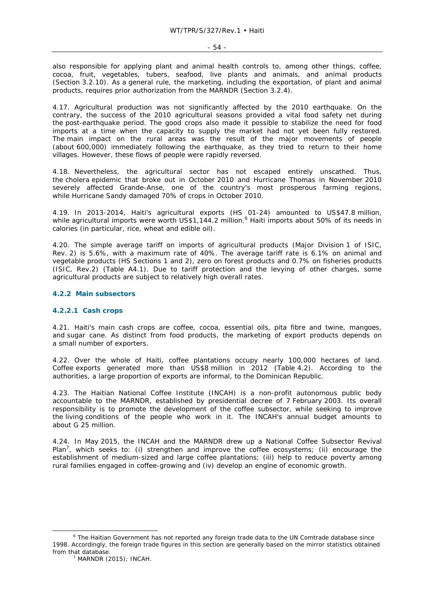also responsible for applying plant and animal health controls to, among other things, coffee, cocoa, fruit, vegetables, tubers, seafood, live plants and animals, and animal products (Section 3.2.10). As a general rule, the marketing, including the exportation, of plant and animal products, requires prior authorization from the MARNDR (Section 3.2.4).

4.17. Agricultural production was not significantly affected by the 2010 earthquake. On the contrary, the success of the 2010 agricultural seasons provided a vital food safety net during the post-earthquake period. The good crops also made it possible to stabilize the need for food imports at a time when the capacity to supply the market had not yet been fully restored. The main impact on the rural areas was the result of the major movements of people (about 600,000) immediately following the earthquake, as they tried to return to their home villages. However, these flows of people were rapidly reversed.

4.18. Nevertheless, the agricultural sector has not escaped entirely unscathed. Thus, the cholera epidemic that broke out in October 2010 and Hurricane Thomas in November 2010 severely affected Grande-Anse, one of the country's most prosperous farming regions, while Hurricane Sandy damaged 70% of crops in October 2010.

4.19. In 2013-2014, Haiti's agricultural exports (HS 01-24) amounted to US\$47.8 million, while agricultural imports were worth US\$1,144.2 million.<sup>6</sup> Haiti imports about 50% of its needs in calories (in particular, rice, wheat and edible oil).

4.20. The simple average tariff on imports of agricultural products (Major Division 1 of ISIC, Rev. 2) is 5.6%, with a maximum rate of 40%. The average tariff rate is 6.1% on animal and vegetable products (HS Sections 1 and 2), zero on forest products and 0.7% on fisheries products (ISIC, Rev.2) (Table A4.1). Due to tariff protection and the levying of other charges, some agricultural products are subject to relatively high overall rates.

### **4.2.2 Main subsectors**

### **4.2.2.1 Cash crops**

4.21. Haiti's main cash crops are coffee, cocoa, essential oils, pita fibre and twine, mangoes, and sugar cane. As distinct from food products, the marketing of export products depends on a small number of exporters.

4.22. Over the whole of Haiti, coffee plantations occupy nearly 100,000 hectares of land. Coffee exports generated more than US\$8 million in 2012 (Table 4.2). According to the authorities, a large proportion of exports are informal, to the Dominican Republic.

4.23. The Haitian National Coffee Institute (INCAH) is a non-profit autonomous public body accountable to the MARNDR, established by presidential decree of 7 February 2003. Its overall responsibility is to promote the development of the coffee subsector, while seeking to improve the living conditions of the people who work in it. The INCAH's annual budget amounts to about G 25 million.

4.24. In May 2015, the INCAH and the MARNDR drew up a National Coffee Subsector Revival Plan<sup>7</sup>, which seeks to: (i) strengthen and improve the coffee ecosystems; (ii) encourage the establishment of medium-sized and large coffee plantations; (iii) help to reduce poverty among rural families engaged in coffee-growing and (iv) develop an engine of economic growth.

 $\overline{\phantom{0}}$  The Haitian Government has not reported any foreign trade data to the UN Comtrade database since 1998. Accordingly, the foreign trade figures in this section are generally based on the mirror statistics obtained from that database.

 $<sup>7</sup>$  MARNDR (2015); INCAH.</sup>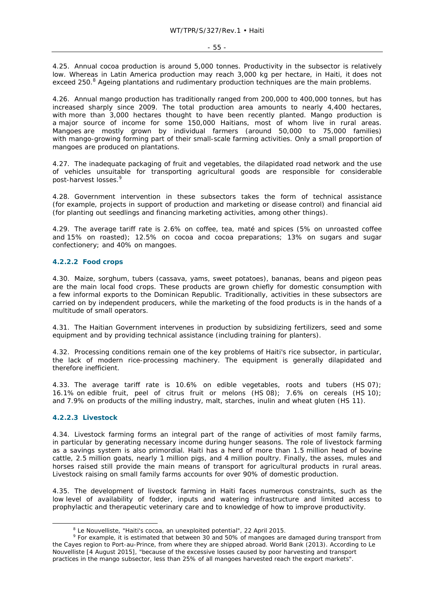4.25. Annual cocoa production is around 5,000 tonnes. Productivity in the subsector is relatively low. Whereas in Latin America production may reach 3,000 kg per hectare, in Haiti, it does not exceed 250.<sup>8</sup> Ageing plantations and rudimentary production techniques are the main problems.

4.26. Annual mango production has traditionally ranged from 200,000 to 400,000 tonnes, but has increased sharply since 2009. The total production area amounts to nearly 4,400 hectares, with more than 3,000 hectares thought to have been recently planted. Mango production is a major source of income for some 150,000 Haitians, most of whom live in rural areas. Mangoes are mostly grown by individual farmers (around 50,000 to 75,000 families) with mango-growing forming part of their small-scale farming activities. Only a small proportion of mangoes are produced on plantations.

4.27. The inadequate packaging of fruit and vegetables, the dilapidated road network and the use of vehicles unsuitable for transporting agricultural goods are responsible for considerable post-harvest losses.<sup>9</sup>

4.28. Government intervention in these subsectors takes the form of technical assistance (for example, projects in support of production and marketing or disease control) and financial aid (for planting out seedlings and financing marketing activities, among other things).

4.29. The average tariff rate is 2.6% on coffee, tea, maté and spices (5% on unroasted coffee and 15% on roasted); 12.5% on cocoa and cocoa preparations; 13% on sugars and sugar confectionery; and 40% on mangoes.

### **4.2.2.2 Food crops**

4.30. Maize, sorghum, tubers (cassava, yams, sweet potatoes), bananas, beans and pigeon peas are the main local food crops. These products are grown chiefly for domestic consumption with a few informal exports to the Dominican Republic. Traditionally, activities in these subsectors are carried on by independent producers, while the marketing of the food products is in the hands of a multitude of small operators.

4.31. The Haitian Government intervenes in production by subsidizing fertilizers, seed and some equipment and by providing technical assistance (including training for planters).

4.32. Processing conditions remain one of the key problems of Haiti's rice subsector, in particular, the lack of modern rice-processing machinery. The equipment is generally dilapidated and therefore inefficient.

4.33. The average tariff rate is 10.6% on edible vegetables, roots and tubers (HS 07); 16.1% on edible fruit, peel of citrus fruit or melons (HS 08); 7.6% on cereals (HS 10); and 7.9% on products of the milling industry, malt, starches, inulin and wheat gluten (HS 11).

### **4.2.2.3 Livestock**

4.34. Livestock farming forms an integral part of the range of activities of most family farms, in particular by generating necessary income during hunger seasons. The role of livestock farming as a savings system is also primordial. Haiti has a herd of more than 1.5 million head of bovine cattle, 2.5 million goats, nearly 1 million pigs, and 4 million poultry. Finally, the asses, mules and horses raised still provide the main means of transport for agricultural products in rural areas. Livestock raising on small family farms accounts for over 90% of domestic production.

4.35. The development of livestock farming in Haiti faces numerous constraints, such as the low level of availability of fodder, inputs and watering infrastructure and limited access to prophylactic and therapeutic veterinary care and to knowledge of how to improve productivity.

<sup>&</sup>lt;sup>8</sup> Le Nouvelliste, "Haiti's cocoa, an unexploited potential", 22 April 2015.

<sup>&</sup>lt;sup>9</sup> For example, it is estimated that between 30 and 50% of mangoes are damaged during transport from the Cayes region to Port-au-Prince, from where they are shipped abroad. World Bank (2013). According to *Le Nouvelliste* [4 August 2015], "because of the excessive losses caused by poor harvesting and transport practices in the mango subsector, less than 25% of all mangoes harvested reach the export markets".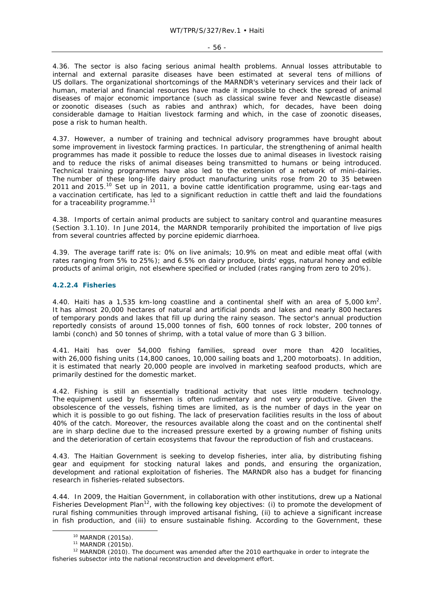#### - 56 -

4.36. The sector is also facing serious animal health problems. Annual losses attributable to internal and external parasite diseases have been estimated at several tens of millions of US dollars. The organizational shortcomings of the MARNDR's veterinary services and their lack of human, material and financial resources have made it impossible to check the spread of animal diseases of major economic importance (such as classical swine fever and Newcastle disease) or zoonotic diseases (such as rabies and anthrax) which, for decades, have been doing considerable damage to Haitian livestock farming and which, in the case of zoonotic diseases, pose a risk to human health.

4.37. However, a number of training and technical advisory programmes have brought about some improvement in livestock farming practices. In particular, the strengthening of animal health programmes has made it possible to reduce the losses due to animal diseases in livestock raising and to reduce the risks of animal diseases being transmitted to humans or being introduced. Technical training programmes have also led to the extension of a network of mini-dairies. The number of these long-life dairy product manufacturing units rose from 20 to 35 between 2011 and 2015.<sup>10</sup> Set up in 2011, a bovine cattle identification programme, using ear-tags and a vaccination certificate, has led to a significant reduction in cattle theft and laid the foundations for a traceability programme. $11$ 

4.38. Imports of certain animal products are subject to sanitary control and quarantine measures (Section 3.1.10). In June 2014, the MARNDR temporarily prohibited the importation of live pigs from several countries affected by porcine epidemic diarrhoea.

4.39. The average tariff rate is: 0% on live animals; 10.9% on meat and edible meat offal (with rates ranging from 5% to 25%); and 6.5% on dairy produce, birds' eggs, natural honey and edible products of animal origin, not elsewhere specified or included (rates ranging from zero to 20%).

### **4.2.2.4 Fisheries**

4.40. Haiti has a 1,535 km-long coastline and a continental shelf with an area of 5,000 km<sup>2</sup>. It has almost 20,000 hectares of natural and artificial ponds and lakes and nearly 800 hectares of temporary ponds and lakes that fill up during the rainy season. The sector's annual production reportedly consists of around 15,000 tonnes of fish, 600 tonnes of rock lobster, 200 tonnes of lambi (conch) and 50 tonnes of shrimp, with a total value of more than G 3 billion.

4.41. Haiti has over 54,000 fishing families, spread over more than 420 localities, with 26,000 fishing units (14,800 canoes, 10,000 sailing boats and 1,200 motorboats). In addition, it is estimated that nearly 20,000 people are involved in marketing seafood products, which are primarily destined for the domestic market.

4.42. Fishing is still an essentially traditional activity that uses little modern technology. The equipment used by fishermen is often rudimentary and not very productive. Given the obsolescence of the vessels, fishing times are limited, as is the number of days in the year on which it is possible to go out fishing. The lack of preservation facilities results in the loss of about 40% of the catch. Moreover, the resources available along the coast and on the continental shelf are in sharp decline due to the increased pressure exerted by a growing number of fishing units and the deterioration of certain ecosystems that favour the reproduction of fish and crustaceans.

4.43. The Haitian Government is seeking to develop fisheries, *inter alia*, by distributing fishing gear and equipment for stocking natural lakes and ponds, and ensuring the organization, development and rational exploitation of fisheries. The MARNDR also has a budget for financing research in fisheries-related subsectors.

4.44. In 2009, the Haitian Government, in collaboration with other institutions, drew up a National Fisheries Development Plan<sup>12</sup>, with the following key objectives: (i) to promote the development of rural fishing communities through improved artisanal fishing, (ii) to achieve a significant increase in fish production, and (iii) to ensure sustainable fishing. According to the Government, these

<sup>&</sup>lt;sup>10</sup> MARNDR (2015a).<br><sup>11</sup> MARNDR (2015b).<br><sup>12</sup> MARNDR (2010). The document was amended after the 2010 earthquake in order to integrate the fisheries subsector into the national reconstruction and development effort.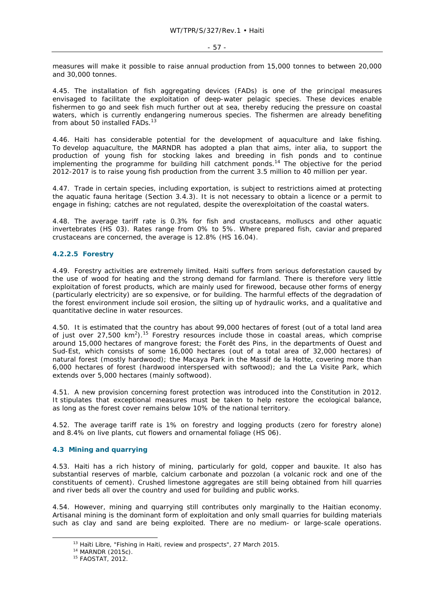measures will make it possible to raise annual production from 15,000 tonnes to between 20,000 and 30,000 tonnes.

4.45. The installation of fish aggregating devices (FADs) is one of the principal measures envisaged to facilitate the exploitation of deep-water pelagic species. These devices enable fishermen to go and seek fish much further out at sea, thereby reducing the pressure on coastal waters, which is currently endangering numerous species. The fishermen are already benefiting from about 50 installed FADs.<sup>13</sup>

4.46. Haiti has considerable potential for the development of aquaculture and lake fishing. To develop aquaculture, the MARNDR has adopted a plan that aims, *inter alia*, to support the production of young fish for stocking lakes and breeding in fish ponds and to continue implementing the programme for building hill catchment ponds.<sup>14</sup> The objective for the period 2012-2017 is to raise young fish production from the current 3.5 million to 40 million per year.

4.47. Trade in certain species, including exportation, is subject to restrictions aimed at protecting the aquatic fauna heritage (Section 3.4.3). It is not necessary to obtain a licence or a permit to engage in fishing; catches are not regulated, despite the overexploitation of the coastal waters.

4.48. The average tariff rate is 0.3% for fish and crustaceans, molluscs and other aquatic invertebrates (HS 03). Rates range from 0% to 5%. Where prepared fish, caviar and prepared crustaceans are concerned, the average is 12.8% (HS 16.04).

## **4.2.2.5 Forestry**

4.49. Forestry activities are extremely limited. Haiti suffers from serious deforestation caused by the use of wood for heating and the strong demand for farmland. There is therefore very little exploitation of forest products, which are mainly used for firewood, because other forms of energy (particularly electricity) are so expensive, or for building. The harmful effects of the degradation of the forest environment include soil erosion, the silting up of hydraulic works, and a qualitative and quantitative decline in water resources.

4.50. It is estimated that the country has about 99,000 hectares of forest (out of a total land area of just over 27,500  $km^2$ ).<sup>15</sup> Forestry resources include those in coastal areas, which comprise around 15,000 hectares of mangrove forest; the Forêt des Pins, in the departments of Ouest and Sud-Est, which consists of some 16,000 hectares (out of a total area of 32,000 hectares) of natural forest (mostly hardwood); the Macaya Park in the Massif de la Hotte, covering more than 6,000 hectares of forest (hardwood interspersed with softwood); and the La Visite Park, which extends over 5,000 hectares (mainly softwood).

4.51. A new provision concerning forest protection was introduced into the Constitution in 2012. It stipulates that exceptional measures must be taken to help restore the ecological balance, as long as the forest cover remains below 10% of the national territory.

4.52. The average tariff rate is 1% on forestry and logging products (zero for forestry alone) and 8.4% on live plants, cut flowers and ornamental foliage (HS 06).

## **4.3 Mining and quarrying**

4.53. Haiti has a rich history of mining, particularly for gold, copper and bauxite. It also has substantial reserves of marble, calcium carbonate and pozzolan (a volcanic rock and one of the constituents of cement). Crushed limestone aggregates are still being obtained from hill quarries and river beds all over the country and used for building and public works.

4.54. However, mining and quarrying still contributes only marginally to the Haitian economy. Artisanal mining is the dominant form of exploitation and only small quarries for building materials such as clay and sand are being exploited. There are no medium- or large-scale operations.

<sup>&</sup>lt;sup>13</sup> *Haïti Libre*, "Fishing in Haiti, review and prospects", 27 March 2015.<br><sup>14</sup> MARNDR (2015c).<br><sup>15</sup> FAOSTAT, 2012.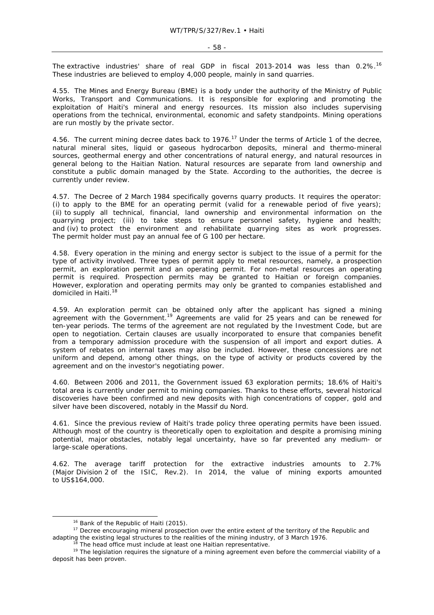The extractive industries' share of real GDP in fiscal 2013-2014 was less than 0.2%.<sup>16</sup> These industries are believed to employ 4,000 people, mainly in sand quarries.

4.55. The Mines and Energy Bureau (BME) is a body under the authority of the Ministry of Public Works, Transport and Communications. It is responsible for exploring and promoting the exploitation of Haiti's mineral and energy resources. Its mission also includes supervising operations from the technical, environmental, economic and safety standpoints. Mining operations are run mostly by the private sector.

4.56. The current mining decree dates back to 1976.<sup>17</sup> Under the terms of Article 1 of the decree, natural mineral sites, liquid or gaseous hydrocarbon deposits, mineral and thermo-mineral sources, geothermal energy and other concentrations of natural energy, and natural resources in general belong to the Haitian Nation. Natural resources are separate from land ownership and constitute a public domain managed by the State. According to the authorities, the decree is currently under review.

4.57. The Decree of 2 March 1984 specifically governs quarry products. It requires the operator: (i) to apply to the BME for an operating permit (valid for a renewable period of five years); (ii) to supply all technical, financial, land ownership and environmental information on the quarrying project; (iii) to take steps to ensure personnel safety, hygiene and health; and (iv) to protect the environment and rehabilitate quarrying sites as work progresses. The permit holder must pay an annual fee of G 100 per hectare.

4.58. Every operation in the mining and energy sector is subject to the issue of a permit for the type of activity involved. Three types of permit apply to metal resources, namely, a prospection permit, an exploration permit and an operating permit. For non-metal resources an operating permit is required. Prospection permits may be granted to Haitian or foreign companies. However, exploration and operating permits may only be granted to companies established and domiciled in Haiti.18

4.59. An exploration permit can be obtained only after the applicant has signed a mining agreement with the Government.<sup>19</sup> Agreements are valid for 25 years and can be renewed for ten-year periods. The terms of the agreement are not regulated by the Investment Code, but are open to negotiation. Certain clauses are usually incorporated to ensure that companies benefit from a temporary admission procedure with the suspension of all import and export duties. A system of rebates on internal taxes may also be included. However, these concessions are not uniform and depend, among other things, on the type of activity or products covered by the agreement and on the investor's negotiating power.

4.60. Between 2006 and 2011, the Government issued 63 exploration permits; 18.6% of Haiti's total area is currently under permit to mining companies. Thanks to these efforts, several historical discoveries have been confirmed and new deposits with high concentrations of copper, gold and silver have been discovered, notably in the Massif du Nord.

4.61. Since the previous review of Haiti's trade policy three operating permits have been issued. Although most of the country is theoretically open to exploitation and despite a promising mining potential, major obstacles, notably legal uncertainty, have so far prevented any medium- or large-scale operations.

4.62. The average tariff protection for the extractive industries amounts to 2.7% (Major Division 2 of the ISIC, Rev.2). In 2014, the value of mining exports amounted to US\$164,000.

 <sup>16</sup> Bank of the Republic of Haiti (2015)*.*

<sup>&</sup>lt;sup>17</sup> Decree encouraging mineral prospection over the entire extent of the territory of the Republic and adapting the existing legal structures to the realities of the mining industry, of 3 March 1976.

 $18$  The head office must include at least one Haitian representative.<br> $19$  The legislation requires the signature of a mining agreement even before the commercial viability of a deposit has been proven.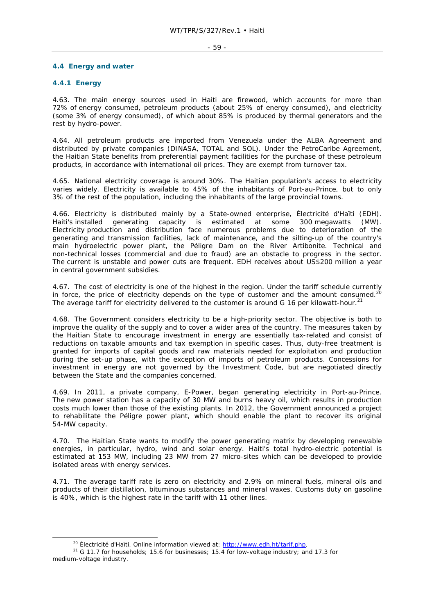### **4.4 Energy and water**

## **4.4.1 Energy**

4.63. The main energy sources used in Haiti are firewood, which accounts for more than 72% of energy consumed, petroleum products (about 25% of energy consumed), and electricity (some 3% of energy consumed), of which about 85% is produced by thermal generators and the rest by hydro-power.

4.64. All petroleum products are imported from Venezuela under the ALBA Agreement and distributed by private companies (DINASA, TOTAL and SOL). Under the PetroCaribe Agreement, the Haitian State benefits from preferential payment facilities for the purchase of these petroleum products, in accordance with international oil prices. They are exempt from turnover tax.

4.65. National electricity coverage is around 30%. The Haitian population's access to electricity varies widely. Electricity is available to 45% of the inhabitants of Port-au-Prince, but to only 3% of the rest of the population, including the inhabitants of the large provincial towns.

4.66. Electricity is distributed mainly by a State-owned enterprise, Électricité d'Haïti (EDH). Haiti's installed generating capacity is estimated at some 300 megawatts (MW). Electricity production and distribution face numerous problems due to deterioration of the generating and transmission facilities, lack of maintenance, and the silting-up of the country's main hydroelectric power plant, the Péligre Dam on the River Artibonite. Technical and non-technical losses (commercial and due to fraud) are an obstacle to progress in the sector. The current is unstable and power cuts are frequent. EDH receives about US\$200 million a year in central government subsidies.

4.67. The cost of electricity is one of the highest in the region. Under the tariff schedule currently in force, the price of electricity depends on the type of customer and the amount consumed.<sup>20</sup> The average tariff for electricity delivered to the customer is around G 16 per kilowatt-hour.<sup>21</sup>

4.68. The Government considers electricity to be a high-priority sector. The objective is both to improve the quality of the supply and to cover a wider area of the country. The measures taken by the Haitian State to encourage investment in energy are essentially tax-related and consist of reductions on taxable amounts and tax exemption in specific cases. Thus, duty-free treatment is granted for imports of capital goods and raw materials needed for exploitation and production during the set-up phase, with the exception of imports of petroleum products. Concessions for investment in energy are not governed by the Investment Code, but are negotiated directly between the State and the companies concerned.

4.69. In 2011, a private company, E-Power, began generating electricity in Port-au-Prince. The new power station has a capacity of 30 MW and burns heavy oil, which results in production costs much lower than those of the existing plants. In 2012, the Government announced a project to rehabilitate the Péligre power plant, which should enable the plant to recover its original 54-MW capacity.

4.70. The Haitian State wants to modify the power generating matrix by developing renewable energies, in particular, hydro, wind and solar energy. Haiti's total hydro-electric potential is estimated at 153 MW, including 23 MW from 27 micro-sites which can be developed to provide isolated areas with energy services.

4.71. The average tariff rate is zero on electricity and 2.9% on mineral fuels, mineral oils and products of their distillation, bituminous substances and mineral waxes. Customs duty on gasoline is 40%, which is the highest rate in the tariff with 11 other lines.

<sup>&</sup>lt;sup>20</sup> Électricité d'Haïti. Online information viewed at:  $\frac{http://www.edh.htm/1arif.php.}{G$ <br><sup>21</sup> G 11.7 for households; 15.6 for businesses; 15.4 for low-voltage industry; and 17.3 for medium-voltage industry.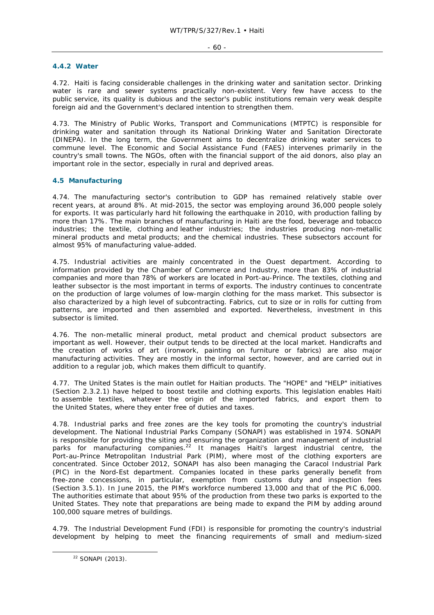### **4.4.2 Water**

4.72. Haiti is facing considerable challenges in the drinking water and sanitation sector. Drinking water is rare and sewer systems practically non-existent. Very few have access to the public service, its quality is dubious and the sector's public institutions remain very weak despite foreign aid and the Government's declared intention to strengthen them.

4.73. The Ministry of Public Works, Transport and Communications (MTPTC) is responsible for drinking water and sanitation through its National Drinking Water and Sanitation Directorate (DINEPA). In the long term, the Government aims to decentralize drinking water services to commune level. The Economic and Social Assistance Fund (FAES) intervenes primarily in the country's small towns. The NGOs, often with the financial support of the aid donors, also play an important role in the sector, especially in rural and deprived areas.

## **4.5 Manufacturing**

4.74. The manufacturing sector's contribution to GDP has remained relatively stable over recent years, at around 8%. At mid-2015, the sector was employing around 36,000 people solely for exports. It was particularly hard hit following the earthquake in 2010, with production falling by more than 17%. The main branches of manufacturing in Haiti are the food, beverage and tobacco industries; the textile, clothing and leather industries; the industries producing non-metallic mineral products and metal products; and the chemical industries. These subsectors account for almost 95% of manufacturing value-added.

4.75. Industrial activities are mainly concentrated in the Ouest department. According to information provided by the Chamber of Commerce and Industry, more than 83% of industrial companies and more than 78% of workers are located in Port-au-Prince. The textiles, clothing and leather subsector is the most important in terms of exports. The industry continues to concentrate on the production of large volumes of low-margin clothing for the mass market. This subsector is also characterized by a high level of subcontracting. Fabrics, cut to size or in rolls for cutting from patterns, are imported and then assembled and exported. Nevertheless, investment in this subsector is limited.

4.76. The non-metallic mineral product, metal product and chemical product subsectors are important as well. However, their output tends to be directed at the local market. Handicrafts and the creation of works of art (ironwork, painting on furniture or fabrics) are also major manufacturing activities. They are mostly in the informal sector, however, and are carried out in addition to a regular job, which makes them difficult to quantify.

4.77. The United States is the main outlet for Haitian products. The "HOPE" and "HELP" initiatives (Section 2.3.2.1) have helped to boost textile and clothing exports. This legislation enables Haiti to assemble textiles, whatever the origin of the imported fabrics, and export them to the United States, where they enter free of duties and taxes.

4.78. Industrial parks and free zones are the key tools for promoting the country's industrial development. The National Industrial Parks Company (SONAPI) was established in 1974. SONAPI is responsible for providing the siting and ensuring the organization and management of industrial parks for manufacturing companies.<sup>22</sup> It manages Haiti's largest industrial centre, the Port-au-Prince Metropolitan Industrial Park (PIM), where most of the clothing exporters are concentrated. Since October 2012, SONAPI has also been managing the Caracol Industrial Park (PIC) in the Nord-Est department. Companies located in these parks generally benefit from free-zone concessions, in particular, exemption from customs duty and inspection fees (Section 3.5.1). In June 2015, the PIM's workforce numbered 13,000 and that of the PIC 6,000. The authorities estimate that about 95% of the production from these two parks is exported to the United States. They note that preparations are being made to expand the PIM by adding around 100,000 square metres of buildings.

4.79. The Industrial Development Fund (FDI) is responsible for promoting the country's industrial development by helping to meet the financing requirements of small and medium-sized

 <sup>22</sup> SONAPI (2013).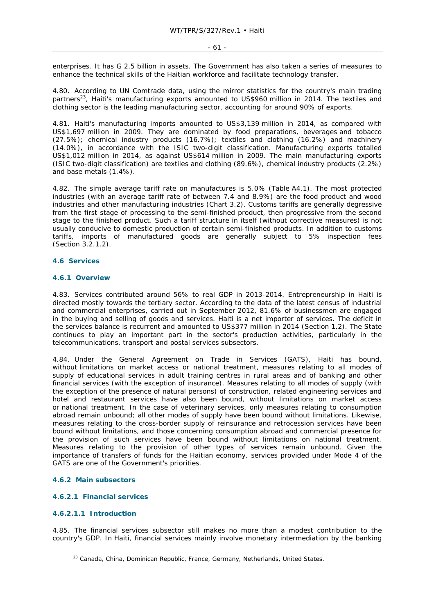enterprises. It has G 2.5 billion in assets. The Government has also taken a series of measures to enhance the technical skills of the Haitian workforce and facilitate technology transfer.

4.80. According to UN Comtrade data, using the mirror statistics for the country's main trading partners<sup>23</sup>, Haiti's manufacturing exports amounted to US\$960 million in 2014. The textiles and clothing sector is the leading manufacturing sector, accounting for around 90% of exports.

4.81. Haiti's manufacturing imports amounted to US\$3,139 million in 2014, as compared with US\$1,697 million in 2009. They are dominated by food preparations, beverages and tobacco (27.5%); chemical industry products (16.7%); textiles and clothing (16.2%) and machinery (14.0%), in accordance with the ISIC two-digit classification. Manufacturing exports totalled US\$1,012 million in 2014, as against US\$614 million in 2009. The main manufacturing exports (ISIC two-digit classification) are textiles and clothing (89.6%), chemical industry products (2.2%) and base metals (1.4%).

4.82. The simple average tariff rate on manufactures is 5.0% (Table A4.1). The most protected industries (with an average tariff rate of between 7.4 and 8.9%) are the food product and wood industries and other manufacturing industries (Chart 3.2). Customs tariffs are generally degressive from the first stage of processing to the semi-finished product, then progressive from the second stage to the finished product. Such a tariff structure in itself (without corrective measures) is not usually conducive to domestic production of certain semi-finished products. In addition to customs tariffs, imports of manufactured goods are generally subject to 5% inspection fees (Section 3.2.1.2).

## **4.6 Services**

### **4.6.1 Overview**

4.83. Services contributed around 56% to real GDP in 2013-2014. Entrepreneurship in Haiti is directed mostly towards the tertiary sector. According to the data of the latest census of industrial and commercial enterprises, carried out in September 2012, 81.6% of businessmen are engaged in the buying and selling of goods and services. Haiti is a net importer of services. The deficit in the services balance is recurrent and amounted to US\$377 million in 2014 (Section 1.2). The State continues to play an important part in the sector's production activities, particularly in the telecommunications, transport and postal services subsectors.

4.84. Under the General Agreement on Trade in Services (GATS), Haiti has bound, without limitations on market access or national treatment, measures relating to all modes of supply of educational services in adult training centres in rural areas and of banking and other financial services (with the exception of insurance). Measures relating to all modes of supply (with the exception of the presence of natural persons) of construction, related engineering services and hotel and restaurant services have also been bound, without limitations on market access or national treatment. In the case of veterinary services, only measures relating to consumption abroad remain unbound; all other modes of supply have been bound without limitations. Likewise, measures relating to the cross-border supply of reinsurance and retrocession services have been bound without limitations, and those concerning consumption abroad and commercial presence for the provision of such services have been bound without limitations on national treatment. Measures relating to the provision of other types of services remain unbound. Given the importance of transfers of funds for the Haitian economy, services provided under Mode 4 of the GATS are one of the Government's priorities.

### **4.6.2 Main subsectors**

### **4.6.2.1 Financial services**

### **4.6.2.1.1 Introduction**

4.85. The financial services subsector still makes no more than a modest contribution to the country's GDP. In Haiti, financial services mainly involve monetary intermediation by the banking

<sup>&</sup>lt;sup>23</sup> Canada, China, Dominican Republic, France, Germany, Netherlands, United States.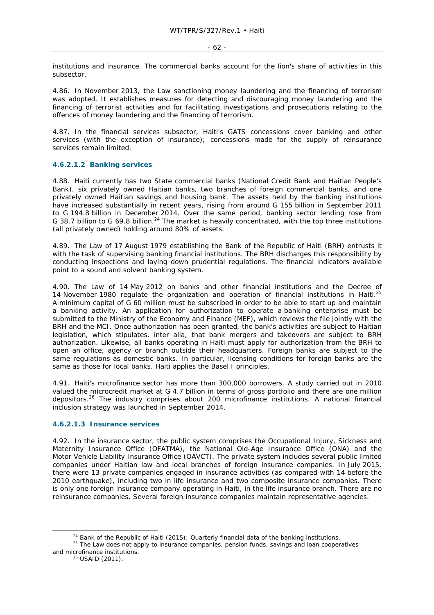institutions and insurance. The commercial banks account for the lion's share of activities in this subsector.

4.86. In November 2013, the Law sanctioning money laundering and the financing of terrorism was adopted. It establishes measures for detecting and discouraging money laundering and the financing of terrorist activities and for facilitating investigations and prosecutions relating to the offences of money laundering and the financing of terrorism.

4.87. In the financial services subsector, Haiti's GATS concessions cover banking and other services (with the exception of insurance); concessions made for the supply of reinsurance services remain limited.

## **4.6.2.1.2 Banking services**

4.88. Haiti currently has two State commercial banks (National Credit Bank and Haitian People's Bank), six privately owned Haitian banks, two branches of foreign commercial banks, and one privately owned Haitian savings and housing bank. The assets held by the banking institutions have increased substantially in recent years, rising from around G 155 billion in September 2011 to G 194.8 billion in December 2014. Over the same period, banking sector lending rose from G 38.7 billion to G 69.8 billion.<sup>24</sup> The market is heavily concentrated, with the top three institutions (all privately owned) holding around 80% of assets.

4.89. The Law of 17 August 1979 establishing the Bank of the Republic of Haiti (BRH) entrusts it with the task of supervising banking financial institutions. The BRH discharges this responsibility by conducting inspections and laying down prudential regulations. The financial indicators available point to a sound and solvent banking system.

4.90. The Law of 14 May 2012 on banks and other financial institutions and the Decree of 14 November 1980 regulate the organization and operation of financial institutions in Haiti.<sup>25</sup> A minimum capital of G 60 million must be subscribed in order to be able to start up and maintain a banking activity. An application for authorization to operate a banking enterprise must be submitted to the Ministry of the Economy and Finance (MEF), which reviews the file jointly with the BRH and the MCI. Once authorization has been granted, the bank's activities are subject to Haitian legislation, which stipulates, *inter alia*, that bank mergers and takeovers are subject to BRH authorization. Likewise, all banks operating in Haiti must apply for authorization from the BRH to open an office, agency or branch outside their headquarters. Foreign banks are subject to the same regulations as domestic banks. In particular, licensing conditions for foreign banks are the same as those for local banks. Haiti applies the Basel I principles.

4.91. Haiti's microfinance sector has more than 300,000 borrowers. A study carried out in 2010 valued the microcredit market at G 4.7 billion in terms of gross portfolio and there are one million depositors.26 The industry comprises about 200 microfinance institutions. A national financial inclusion strategy was launched in September 2014.

### **4.6.2.1.3 Insurance services**

4.92. In the insurance sector, the public system comprises the Occupational Injury, Sickness and Maternity Insurance Office (OFATMA), the National Old-Age Insurance Office (ONA) and the Motor Vehicle Liability Insurance Office (OAVCT). The private system includes several public limited companies under Haitian law and local branches of foreign insurance companies. In July 2015, there were 13 private companies engaged in insurance activities (as compared with 14 before the 2010 earthquake), including two in life insurance and two composite insurance companies. There is only one foreign insurance company operating in Haiti, in the life insurance branch. There are no reinsurance companies. Several foreign insurance companies maintain representative agencies.

<sup>&</sup>lt;sup>24</sup> Bank of the Republic of Haiti (2015): Quarterly financial data of the banking institutions.<br><sup>25</sup> The Law does not apply to insurance companies, pension funds, savings and loan cooperatives and microfinance institutions.<br><sup>26</sup> USAID (2011).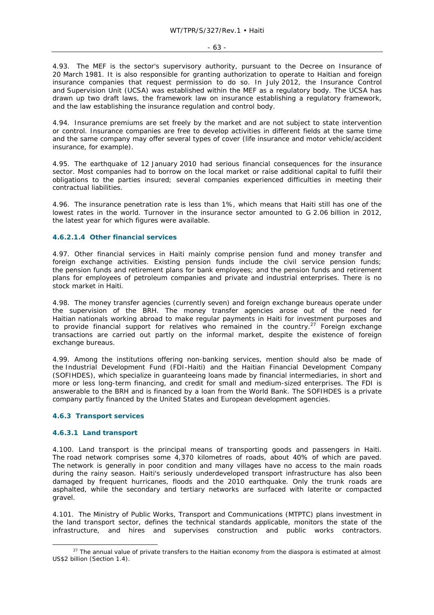4.93. The MEF is the sector's supervisory authority, pursuant to the Decree on Insurance of 20 March 1981. It is also responsible for granting authorization to operate to Haitian and foreign insurance companies that request permission to do so. In July 2012, the Insurance Control and Supervision Unit (UCSA) was established within the MEF as a regulatory body. The UCSA has drawn up two draft laws, the framework law on insurance establishing a regulatory framework, and the law establishing the insurance regulation and control body.

4.94. Insurance premiums are set freely by the market and are not subject to state intervention or control. Insurance companies are free to develop activities in different fields at the same time and the same company may offer several types of cover (life insurance and motor vehicle/accident insurance, for example).

4.95. The earthquake of 12 January 2010 had serious financial consequences for the insurance sector. Most companies had to borrow on the local market or raise additional capital to fulfil their obligations to the parties insured; several companies experienced difficulties in meeting their contractual liabilities.

4.96. The insurance penetration rate is less than 1%, which means that Haiti still has one of the lowest rates in the world. Turnover in the insurance sector amounted to G 2.06 billion in 2012, the latest year for which figures were available.

## **4.6.2.1.4 Other financial services**

4.97. Other financial services in Haiti mainly comprise pension fund and money transfer and foreign exchange activities. Existing pension funds include the civil service pension funds; the pension funds and retirement plans for bank employees; and the pension funds and retirement plans for employees of petroleum companies and private and industrial enterprises. There is no stock market in Haiti.

4.98. The money transfer agencies (currently seven) and foreign exchange bureaus operate under the supervision of the BRH. The money transfer agencies arose out of the need for Haitian nationals working abroad to make regular payments in Haiti for investment purposes and to provide financial support for relatives who remained in the country.<sup>27</sup> Foreign exchange transactions are carried out partly on the informal market, despite the existence of foreign exchange bureaus.

4.99. Among the institutions offering non-banking services, mention should also be made of the Industrial Development Fund (FDI-Haiti) and the Haitian Financial Development Company (SOFIHDES), which specialize in guaranteeing loans made by financial intermediaries, in short and more or less long-term financing, and credit for small and medium-sized enterprises. The FDI is answerable to the BRH and is financed by a loan from the World Bank. The SOFIHDES is a private company partly financed by the United States and European development agencies.

### **4.6.3 Transport services**

### **4.6.3.1 Land transport**

4.100. Land transport is the principal means of transporting goods and passengers in Haiti. The road network comprises some 4,370 kilometres of roads, about 40% of which are paved. The network is generally in poor condition and many villages have no access to the main roads during the rainy season. Haiti's seriously underdeveloped transport infrastructure has also been damaged by frequent hurricanes, floods and the 2010 earthquake. Only the trunk roads are asphalted, while the secondary and tertiary networks are surfaced with laterite or compacted gravel.

4.101. The Ministry of Public Works, Transport and Communications (MTPTC) plans investment in the land transport sector, defines the technical standards applicable, monitors the state of the infrastructure, and hires and supervises construction and public works contractors.

<sup>&</sup>lt;sup>27</sup> The annual value of private transfers to the Haitian economy from the diaspora is estimated at almost US\$2 billion (Section 1.4).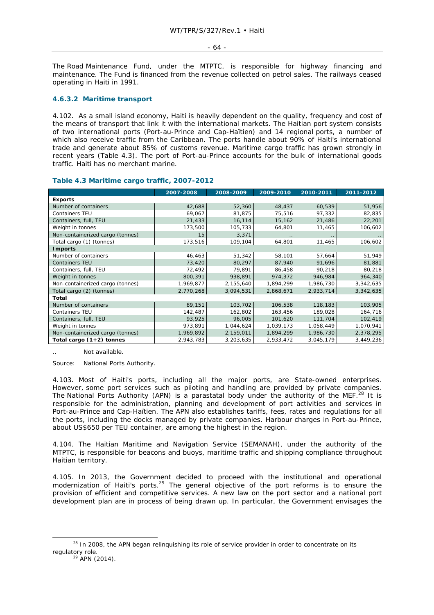#### - 64 -

The Road Maintenance Fund, under the MTPTC, is responsible for highway financing and maintenance. The Fund is financed from the revenue collected on petrol sales. The railways ceased operating in Haiti in 1991.

### **4.6.3.2 Maritime transport**

4.102. As a small island economy, Haiti is heavily dependent on the quality, frequency and cost of the means of transport that link it with the international markets. The Haitian port system consists of two international ports (Port-au-Prince and Cap-Haïtien) and 14 regional ports, a number of which also receive traffic from the Caribbean. The ports handle about 90% of Haiti's international trade and generate about 85% of customs revenue. Maritime cargo traffic has grown strongly in recent years (Table 4.3). The port of Port-au-Prince accounts for the bulk of international goods traffic. Haiti *has* no merchant marine.

|                                  | 2007-2008 | 2008-2009 | 2009-2010 | 2010-2011 | 2011-2012 |  |  |  |
|----------------------------------|-----------|-----------|-----------|-----------|-----------|--|--|--|
| <b>Exports</b>                   |           |           |           |           |           |  |  |  |
| Number of containers             | 42,688    | 52,360    | 48,437    | 60,539    | 51,956    |  |  |  |
| <b>Containers TEU</b>            | 69,067    | 81,875    | 75,516    | 97,332    | 82,835    |  |  |  |
| Containers, full, TEU            | 21,433    | 16,114    | 15,162    | 21,486    | 22,201    |  |  |  |
| Weight in tonnes                 | 173,500   | 105,733   | 64,801    | 11,465    | 106,602   |  |  |  |
| Non-containerized cargo (tonnes) | 15        | 3,371     |           | $\cdot$ . |           |  |  |  |
| Total cargo (1) (tonnes)         | 173,516   | 109,104   | 64,801    | 11,465    | 106,602   |  |  |  |
| <b>Imports</b>                   |           |           |           |           |           |  |  |  |
| Number of containers             | 46,463    | 51,342    | 58,101    | 57,664    | 51,949    |  |  |  |
| <b>Containers TEU</b>            | 73,420    | 80,297    | 87,940    | 91,696    | 81,881    |  |  |  |
| Containers, full, TEU            | 72,492    | 79,891    | 86,458    | 90,218    | 80,218    |  |  |  |
| Weight in tonnes                 | 800,391   | 938,891   | 974,372   | 946,984   | 964,340   |  |  |  |
| Non-containerized cargo (tonnes) | 1,969,877 | 2,155,640 | 1,894,299 | 1,986,730 | 3,342,635 |  |  |  |
| Total cargo (2) (tonnes)         | 2,770,268 | 3,094,531 | 2,868,671 | 2,933,714 | 3,342,635 |  |  |  |
| Total                            |           |           |           |           |           |  |  |  |
| Number of containers             | 89,151    | 103,702   | 106,538   | 118,183   | 103,905   |  |  |  |
| <b>Containers TEU</b>            | 142,487   | 162,802   | 163,456   | 189,028   | 164,716   |  |  |  |
| Containers, full, TEU            | 93,925    | 96,005    | 101,620   | 111,704   | 102,419   |  |  |  |
| Weight in tonnes                 | 973,891   | 1,044,624 | 1,039,173 | 1,058,449 | 1,070,941 |  |  |  |
| Non-containerized cargo (tonnes) | 1,969,892 | 2,159,011 | 1,894,299 | 1,986,730 | 2,378,295 |  |  |  |
| Total cargo (1+2) tonnes         | 2,943,783 | 3,203,635 | 2,933,472 | 3,045,179 | 3,449,236 |  |  |  |

## **Table 4.3 Maritime cargo traffic, 2007-2012**

Not available.

Source: National Ports Authority.

4.103. Most of Haiti's ports, including all the major ports, are State-owned enterprises. However, some port services such as piloting and handling are provided by private companies. The National Ports Authority (APN) is a parastatal body under the authority of the MEF.<sup>28</sup> It is responsible for the administration, planning and development of port activities and services in Port-au-Prince and Cap-Haïtien. The APN also establishes tariffs, fees, rates and regulations for all the ports, including the docks managed by private companies. Harbour charges in Port-au-Prince, about US\$650 per TEU container, are among the highest in the region.

4.104. The Haitian Maritime and Navigation Service (SEMANAH), under the authority of the MTPTC, is responsible for beacons and buoys, maritime traffic and shipping compliance throughout Haitian territory.

4.105. In 2013, the Government decided to proceed with the institutional and operational modernization of Haiti's ports.<sup>29</sup> The general objective of the port reforms is to ensure the provision of efficient and competitive services. A new law on the port sector and a national port development plan are in process of being drawn up. In particular, the Government envisages the

<sup>&</sup>lt;sup>28</sup> In 2008, the APN began relinquishing its role of service provider in order to concentrate on its regulatory role.<br> $^{29}$  APN (2014).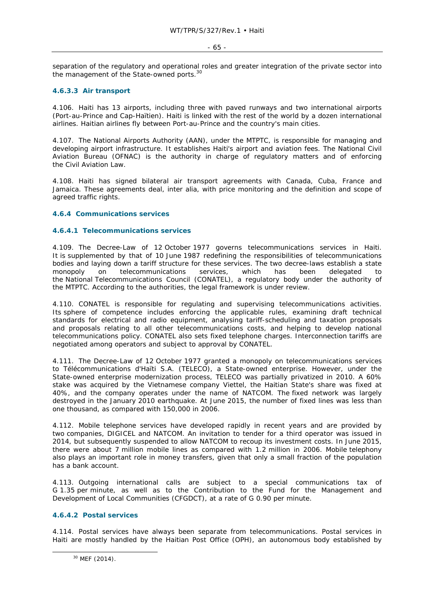### - 65 -

separation of the regulatory and operational roles and greater integration of the private sector into the management of the State-owned ports.30

## **4.6.3.3 Air transport**

4.106. Haiti has 13 airports, including three with paved runways and two international airports (Port-au-Prince and Cap-Haïtien). Haiti is linked with the rest of the world by a dozen international airlines. Haitian airlines fly between Port-au-Prince and the country's main cities.

4.107. The National Airports Authority (AAN), under the MTPTC, is responsible for managing and developing airport infrastructure. It establishes Haiti's airport and aviation fees. The National Civil Aviation Bureau (OFNAC) is the authority in charge of regulatory matters and of enforcing the Civil Aviation Law.

4.108. Haiti has signed bilateral air transport agreements with Canada, Cuba, France and Jamaica. These agreements deal, *inter alia*, with price monitoring and the definition and scope of agreed traffic rights.

## **4.6.4 Communications services**

### **4.6.4.1 Telecommunications services**

4.109. The Decree-Law of 12 October 1977 governs telecommunications services in Haiti. It is supplemented by that of 10 June 1987 redefining the responsibilities of telecommunications bodies and laying down a tariff structure for these services. The two decree-laws establish a state monopoly on telecommunications services, which has been delegated to the National Telecommunications Council (CONATEL), a regulatory body under the authority of the MTPTC. According to the authorities, the legal framework is under review.

4.110. CONATEL is responsible for regulating and supervising telecommunications activities. Its sphere of competence includes enforcing the applicable rules, examining draft technical standards for electrical and radio equipment, analysing tariff-scheduling and taxation proposals and proposals relating to all other telecommunications costs, and helping to develop national telecommunications policy. CONATEL also sets fixed telephone charges. Interconnection tariffs are negotiated among operators and subject to approval by CONATEL.

4.111. The Decree-Law of 12 October 1977 granted a monopoly on telecommunications services to Télécommunications d'Haïti S.A. (TELECO), a State-owned enterprise. However, under the State-owned enterprise modernization process, TELECO was partially privatized in 2010. A 60% stake was acquired by the Vietnamese company Viettel, the Haitian State's share was fixed at 40%, and the company operates under the name of NATCOM. The fixed network was largely destroyed in the January 2010 earthquake. At June 2015, the number of fixed lines was less than one thousand, as compared with 150,000 in 2006.

4.112. Mobile telephone services have developed rapidly in recent years and are provided by two companies, DIGICEL and NATCOM. An invitation to tender for a third operator was issued in 2014, but subsequently suspended to allow NATCOM to recoup its investment costs. In June 2015, there were about 7 million mobile lines as compared with 1.2 million in 2006. Mobile telephony also plays an important role in money transfers, given that only a small fraction of the population has a bank account.

4.113. Outgoing international calls are subject to a special communications tax of G 1.35 per minute, as well as to the Contribution to the Fund for the Management and Development of Local Communities (CFGDCT), at a rate of G 0.90 per minute.

## **4.6.4.2 Postal services**

4.114. Postal services have always been separate from telecommunications. Postal services in Haiti are mostly handled by the Haitian Post Office (OPH), an autonomous body established by

 <sup>30</sup> MEF (2014).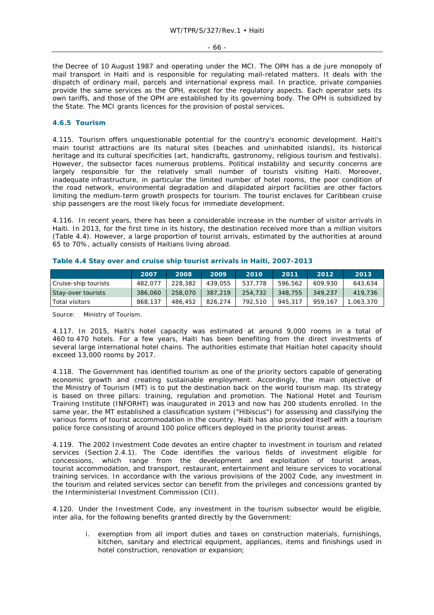- 66 -

the Decree of 10 August 1987 and operating under the MCI. The OPH has a *de jure* monopoly of mail transport in Haiti and is responsible for regulating mail-related matters. It deals with the dispatch of ordinary mail, parcels and international express mail. In practice, private companies provide the same services as the OPH, except for the regulatory aspects. Each operator sets its own tariffs, and those of the OPH are established by its governing body. The OPH is subsidized by the State. The MCI grants licences for the provision of postal services.

## **4.6.5 Tourism**

4.115. Tourism offers unquestionable potential for the country's economic development. Haiti's main tourist attractions are its natural sites (beaches and uninhabited islands), its historical heritage and its cultural specificities (art, handicrafts, gastronomy, religious tourism and festivals). However, the subsector faces numerous problems. Political instability and security concerns are largely responsible for the relatively small number of tourists visiting Haiti. Moreover, inadequate infrastructure, in particular the limited number of hotel rooms, the poor condition of the road network, environmental degradation and dilapidated airport facilities are other factors limiting the medium-term growth prospects for tourism. The tourist enclaves for Caribbean cruise ship passengers are the most likely focus for immediate development.

4.116. In recent years, there has been a considerable increase in the number of visitor arrivals in Haiti. In 2013, for the first time in its history, the destination received more than a million visitors (Table 4.4). However, a large proportion of tourist arrivals, estimated by the authorities at around 65 to 70%, actually consists of Haitians living abroad.

|                      | 2007    | 2008    | 2009    | 2010    | 2011    | 2012    | 2013      |
|----------------------|---------|---------|---------|---------|---------|---------|-----------|
| Cruise-ship tourists | 482.077 | 228,382 | 439.055 | 537,778 | 596.562 | 609,930 | 643.634   |
| Stay-over tourists   | 386,060 | 258,070 | 387.219 | 254,732 | 348,755 | 349,237 | 419.736   |
| Total visitors       | 868,137 | 486,452 | 826.274 | 792,510 | 945,317 | 959,167 | 1.063.370 |

## **Table 4.4 Stay over and cruise ship tourist arrivals in Haiti, 2007-2013**

Source: Ministry of Tourism.

4.117. In 2015, Haiti's hotel capacity was estimated at around 9,000 rooms in a total of 460 to 470 hotels. For a few years, Haiti has been benefiting from the direct investments of several large international hotel chains. The authorities estimate that Haitian hotel capacity should exceed 13,000 rooms by 2017.

4.118. The Government has identified tourism as one of the priority sectors capable of generating economic growth and creating sustainable employment. Accordingly, the main objective of the Ministry of Tourism (MT) is to put the destination back on the world tourism map. Its strategy is based on three pillars: training, regulation and promotion. The National Hotel and Tourism Training Institute (INFORHT) was inaugurated in 2013 and now has 200 students enrolled. In the same year, the MT established a classification system ("Hibiscus") for assessing and classifying the various forms of tourist accommodation in the country. Haiti has also provided itself with a tourism police force consisting of around 100 police officers deployed in the priority tourist areas.

4.119. The 2002 Investment Code devotes an entire chapter to investment in tourism and related services (Section 2.4.1). The Code identifies the various fields of investment eligible for concessions, which range from the development and exploitation of tourist areas, tourist accommodation, and transport, restaurant, entertainment and leisure services to vocational training services. In accordance with the various provisions of the 2002 Code, any investment in the tourism and related services sector can benefit from the privileges and concessions granted by the Interministerial Investment Commission (CII).

4.120. Under the Investment Code, any investment in the tourism subsector would be eligible, *inter alia*, for the following benefits granted directly by the Government:

i. exemption from all import duties and taxes on construction materials, furnishings, kitchen, sanitary and electrical equipment, appliances, items and finishings used in hotel construction, renovation or expansion;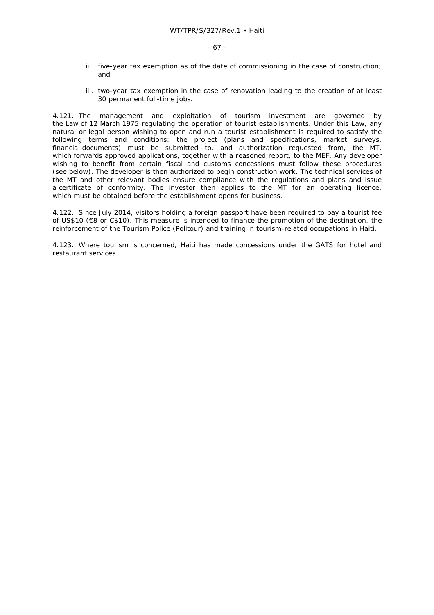- ii. five-year tax exemption as of the date of commissioning in the case of construction; and
- iii. two-year tax exemption in the case of renovation leading to the creation of at least 30 permanent full-time jobs.

4.121. The management and exploitation of tourism investment are governed by the Law of 12 March 1975 regulating the operation of tourist establishments. Under this Law, any natural or legal person wishing to open and run a tourist establishment is required to satisfy the following terms and conditions: the project (plans and specifications, market surveys, financial documents) must be submitted to, and authorization requested from, the MT, which forwards approved applications, together with a reasoned report, to the MEF. Any developer wishing to benefit from certain fiscal and customs concessions must follow these procedures (see below). The developer is then authorized to begin construction work. The technical services of the MT and other relevant bodies ensure compliance with the regulations and plans and issue a certificate of conformity. The investor then applies to the MT for an operating licence, which must be obtained before the establishment opens for business.

4.122. Since July 2014, visitors holding a foreign passport have been required to pay a tourist fee of US\$10 (€8 or C\$10). This measure is intended to finance the promotion of the destination, the reinforcement of the Tourism Police (Politour) and training in tourism-related occupations in Haiti.

4.123. Where tourism is concerned, Haiti has made concessions under the GATS for hotel and restaurant services.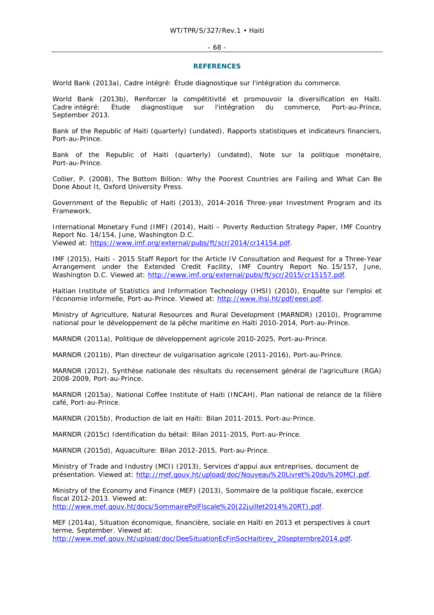#### - 68 -

#### **REFERENCES**

World Bank (2013a), *Cadre intégré: Étude diagnostique sur l'intégration du commerce*.

World Bank (2013b), *Renforcer la compétitivité et promouvoir la diversification en Haïti. Cadre intégré: Étude diagnostique sur l'intégration du commerce*, Port-au-Prince, September 2013.

Bank of the Republic of Haiti (quarterly) (undated), *Rapports statistiques et indicateurs financiers*, Port-au-Prince.

Bank of the Republic of Haiti (quarterly) (undated), *Note sur la politique monétaire*, Port-au-Prince.

Collier, P. (2008), *The Bottom Billion: Why the Poorest Countries are Failing and What Can Be Done About It*, Oxford University Press.

Government of the Republic of Haiti (2013), *2014-2016 Three-year Investment Program and its Framework.*

International Monetary Fund (IMF) (2014), *Haiti – Poverty Reduction Strategy Paper, IMF Country Report No. 14/154*, June, Washington D.C. Viewed at: https://www.imf.org/external/pubs/ft/scr/2014/cr14154.pdf.

IMF (2015), *Haiti - 2015 Staff Report for the Article IV Consultation and Request for a Three-Year Arrangement under the Extended Credit Facility, IMF Country Report No. 15/157*, June, Washington D.C. Viewed at: http://www.imf.org/external/pubs/ft/scr/2015/cr15157.pdf.

Haitian Institute of Statistics and Information Technology (IHSI) (2010), *Enquête sur l'emploi et l'économie informelle,* Port-au-Prince. Viewed at: http://www.ihsi.ht/pdf/eeei.pdf.

Ministry of Agriculture, Natural Resources and Rural Development (MARNDR) (2010), *Programme national pour le développement de la pêche maritime en Haïti 2010-2014*, Port-au-Prince.

MARNDR (2011a), *Politique de développement agricole 2010-2025*, Port-au-Prince.

MARNDR (2011b), *Plan directeur de vulgarisation agricole (2011-2016)*, Port-au-Prince.

MARNDR (2012), *Synthèse nationale des résultats du recensement général de l'agriculture (RGA) 2008-2009*, Port-au-Prince.

MARNDR (2015a), National Coffee Institute of Haiti (INCAH), *Plan national de relance de la filière café*, Port-au-Prince.

MARNDR (2015b), *Production de lait en Haïti: Bilan 2011-2015*, Port-au-Prince.

MARNDR (2015c) *Identification du bétail: Bilan 2011-2015*, Port-au-Prince.

MARNDR (2015d), *Aquaculture: Bilan 2012-2015*, Port-au-Prince.

Ministry of Trade and Industry (MCI) (2013), *Services d'appui aux entreprises, document de présentation.* Viewed at: http://mef.gouv.ht/upload/doc/Nouveau%20Livret%20du%20MCI.pdf.

Ministry of the Economy and Finance (MEF) (2013), *Sommaire de la politique fiscale, exercice fiscal 2012-2013*. Viewed at: http://www.mef.gouv.ht/docs/SommairePolFiscale%20(22juillet2014%20RT).pdf.

MEF (2014a), *Situation économique, financière, sociale en Haïti en 2013 et perspectives à court terme*, September. Viewed at: http://www.mef.gouv.ht/upload/doc/DeeSituationEcFinSocHaitirev\_20septembre2014.pdf.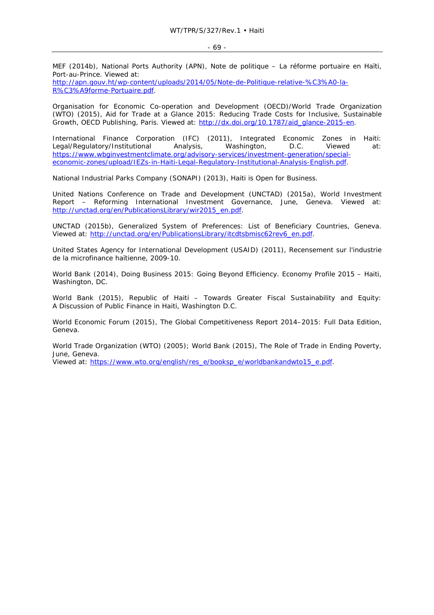MEF (2014b), National Ports Authority (APN), *Note de politique – La réforme portuaire en Haïti*, Port-au-Prince. Viewed at:

http://apn.gouv.ht/wp-content/uploads/2014/05/Note-de-Politique-relative-%C3%A0-la-R%C3%A9forme-Portuaire.pdf.

Organisation for Economic Co-operation and Development (OECD)/World Trade Organization (WTO) (2015), *Aid for Trade at a Glance 2015: Reducing Trade Costs for Inclusive, Sustainable Growth*, OECD Publishing, Paris. Viewed at: http://dx.doi.org/10.1787/aid\_glance-2015-en.

International Finance Corporation (IFC) (2011), *Integrated Economic Zones in Haiti: Legal/Regulatory/Institutional Analysis*, Washington, D.C. Viewed at: https://www.wbginvestmentclimate.org/advisory-services/investment-generation/specialeconomic-zones/upload/IEZs-in-Haiti-Legal-Regulatory-Institutional-Analysis-English.pdf.

National Industrial Parks Company (SONAPI) (2013), *Haiti is Open for Business*.

United Nations Conference on Trade and Development (UNCTAD) (2015a), *World Investment Report – Reforming International Investment Governance*, June, Geneva. Viewed at: http://unctad.org/en/PublicationsLibrary/wir2015\_en.pdf.

UNCTAD (2015b), *Generalized System of Preferences: List of Beneficiary Countries*, Geneva. Viewed at: http://unctad.org/en/PublicationsLibrary/itcdtsbmisc62rev6\_en.pdf.

United States Agency for International Development (USAID) (2011), *Recensement sur l'industrie de la microfinance haïtienne, 2009-10*.

World Bank (2014), *Doing Business 2015: Going Beyond Efficiency. Economy Profile 2015 – Haiti,*  Washington, DC.

World Bank (2015), *Republic of Haiti – Towards Greater Fiscal Sustainability and Equity: A Discussion of Public Finance in Haiti*, Washington D.C.

World Economic Forum (2015), *The Global Competitiveness Report 2014–2015: Full Data Edition*, Geneva.

World Trade Organization (WTO) (2005); World Bank (2015), *The Role of Trade in Ending Poverty*, June, Geneva.

Viewed at: https://www.wto.org/english/res\_e/booksp\_e/worldbankandwto15\_e.pdf.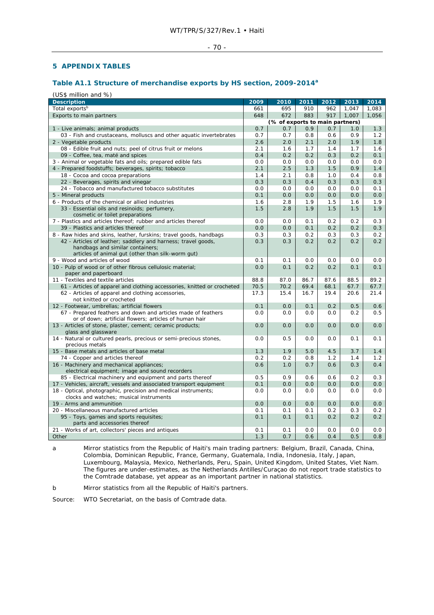### - 70 -

### **5 APPENDIX TABLES**

## **Table A1.1 Structure of merchandise exports by HS section, 2009-2014<sup>a</sup>**

(US\$ million and %)

| Total exports <sup>b</sup><br>695<br>910<br>962<br>1,047<br>1,083<br>661<br>917<br>Exports to main partners<br>648<br>672<br>883<br>1,007<br>1,056<br>(% of exports to main partners)<br>0.7<br>0.9<br>0.7<br>0.7<br>1.0<br>1.3<br>1 - Live animals; animal products<br>03 - Fish and crustaceans, molluscs and other aquatic invertebrates<br>0.7<br>0.7<br>0.8<br>0.6<br>0.9<br>1.2<br>1.9<br>2 - Vegetable products<br>2.6<br>2.0<br>2.1<br>2.0<br>1.8<br>08 - Edible fruit and nuts; peel of citrus fruit or melons<br>2.1<br>1.6<br>1.7<br>1.4<br>1.7<br>1.6<br>0.1<br>09 - Coffee, tea, maté and spices<br>0.4<br>0.2<br>0.2<br>0.3<br>0.2<br>3 - Animal or vegetable fats and oils; prepared edible fats<br>0.0<br>0.0<br>0.0<br>0.0<br>0.0<br>0.0<br>1.4<br>4 - Prepared foodstuffs; beverages, spirits; tobacco<br>2.1<br>2.5<br>1.3<br>1.5<br>0.9<br>18 - Cocoa and cocoa preparations<br>1.4<br>2.1<br>0.8<br>1.0<br>0.4<br>0.8<br>22 - Beverages, spirits and vinegar<br>0.3<br>0.3<br>0.4<br>0.3<br>0.3<br>0.3<br>0.0<br>0.0<br>0.1<br>24 - Tobacco and manufactured tobacco substitutes<br>0.0<br>0.0<br>0.0<br>0.0<br>5 - Mineral products<br>0.1<br>0.0<br>0.0<br>0.0<br>0.0<br>1.9<br>1.5<br>1.9<br>6 - Products of the chemical or allied industries<br>1.6<br>2.8<br>1.6<br>1.5<br>1.9<br>33 - Essential oils and resinoids; perfumery,<br>2.8<br>1.9<br>1.5<br>1.5<br>cosmetic or toilet preparations<br>7 - Plastics and articles thereof; rubber and articles thereof<br>0.0<br>0.0<br>0.2<br>0.2<br>0.3<br>0.1<br>0.2<br>39 - Plastics and articles thereof<br>0.0<br>0.0<br>0.1<br>0.2<br>0.3<br>8 - Raw hides and skins, leather, furskins; travel goods, handbags<br>0.3<br>0.3<br>0.2<br>0.3<br>0.3<br>0.2<br>0.3<br>0.2<br>42 - Articles of leather; saddlery and harness; travel goods,<br>0.3<br>0.2<br>0.2<br>0.2<br>handbags and similar containers;<br>articles of animal gut (other than silk-worm gut)<br>9 - Wood and articles of wood<br>0.1<br>0.0<br>0.0<br>0.1<br>0.0<br>0.0<br>10 - Pulp of wood or of other fibrous cellulosic material;<br>0.0<br>0.1<br>0.2<br>0.1<br>0.2<br>0.1<br>paper and paperboard<br>89.2<br>11 - Textiles and textile articles<br>88.8<br>87.0<br>86.7<br>87.6<br>88.5<br>67.7<br>61 - Articles of apparel and clothing accessories, knitted or crocheted<br>70.5<br>70.2<br>69.4<br>68.1<br>67.7<br>17.3<br>62 - Articles of apparel and clothing accessories,<br>15.4<br>16.7<br>19.4<br>20.6<br>21.4<br>not knitted or crocheted<br>12 - Footwear, umbrellas; artificial flowers<br>0.1<br>0.0<br>0.1<br>0.2<br>0.5<br>0.6<br>67 - Prepared feathers and down and articles made of feathers<br>0.0<br>0.0<br>0.0<br>0.0<br>0.2<br>0.5<br>or of down; artificial flowers; articles of human hair<br>13 - Articles of stone, plaster, cement; ceramic products;<br>0.0<br>0.0<br>0.0<br>0.0<br>0.0<br>0.0<br>glass and glassware<br>14 - Natural or cultured pearls, precious or semi-precious stones,<br>0.0<br>0.5<br>0.0<br>0.1<br>0.0<br>0.1<br>precious metals<br>15 - Base metals and articles of base metal<br>1.3<br>1.9<br>5.0<br>4.5<br>1.4<br>3.7<br>74 - Copper and articles thereof<br>0.2<br>0.2<br>0.8<br>1.2<br>1.4<br>1.2<br>16 - Machinery and mechanical appliances;<br>0.6<br>1.0<br>0.6<br>0.3<br>0.4<br>0.7<br>electrical equipment; image and sound recorders<br>85 - Electrical machinery and equipment and parts thereof<br>0.5<br>0.9<br>0.6<br>0.2<br>0.3<br>0.6<br>17 - Vehicles, aircraft, vessels and associated transport equipment<br>0.1<br>0.0<br>0.0<br>0.0<br>0.0<br>0.0<br>18 - Optical, photographic, precision and medical instruments;<br>0.0<br>0.0<br>0.0<br>0.0<br>0.0<br>0.0<br>clocks and watches; musical instruments<br>19 - Arms and ammunition<br>0.0<br>0.0<br>0.0<br>0.0<br>0.0<br>0.0<br>20 - Miscellaneous manufactured articles<br>0.1<br>0.1<br>0.1<br>0.2<br>0.3<br>0.2<br>0.1<br>0.2<br>0.2<br>0.2<br>95 - Toys, games and sports requisites;<br>0.1<br>0.1<br>parts and accessories thereof<br>0.0<br>21 - Works of art, collectors' pieces and antiques<br>0.1<br>0.1<br>0.0<br>0.0<br>0.0 | <b>Description</b> | 2009 | 2010 | 2011 | 2012 | 2013 | 2014 |
|----------------------------------------------------------------------------------------------------------------------------------------------------------------------------------------------------------------------------------------------------------------------------------------------------------------------------------------------------------------------------------------------------------------------------------------------------------------------------------------------------------------------------------------------------------------------------------------------------------------------------------------------------------------------------------------------------------------------------------------------------------------------------------------------------------------------------------------------------------------------------------------------------------------------------------------------------------------------------------------------------------------------------------------------------------------------------------------------------------------------------------------------------------------------------------------------------------------------------------------------------------------------------------------------------------------------------------------------------------------------------------------------------------------------------------------------------------------------------------------------------------------------------------------------------------------------------------------------------------------------------------------------------------------------------------------------------------------------------------------------------------------------------------------------------------------------------------------------------------------------------------------------------------------------------------------------------------------------------------------------------------------------------------------------------------------------------------------------------------------------------------------------------------------------------------------------------------------------------------------------------------------------------------------------------------------------------------------------------------------------------------------------------------------------------------------------------------------------------------------------------------------------------------------------------------------------------------------------------------------------------------------------------------------------------------------------------------------------------------------------------------------------------------------------------------------------------------------------------------------------------------------------------------------------------------------------------------------------------------------------------------------------------------------------------------------------------------------------------------------------------------------------------------------------------------------------------------------------------------------------------------------------------------------------------------------------------------------------------------------------------------------------------------------------------------------------------------------------------------------------------------------------------------------------------------------------------------------------------------------------------------------------------------------------------------------------------------------------------------------------------------------------------------------------------------------------------------------------------------------------------------------------------------------------------------------------------------------------------------------------------------------------------------------------------------------------------------------------------------------------------|--------------------|------|------|------|------|------|------|
|                                                                                                                                                                                                                                                                                                                                                                                                                                                                                                                                                                                                                                                                                                                                                                                                                                                                                                                                                                                                                                                                                                                                                                                                                                                                                                                                                                                                                                                                                                                                                                                                                                                                                                                                                                                                                                                                                                                                                                                                                                                                                                                                                                                                                                                                                                                                                                                                                                                                                                                                                                                                                                                                                                                                                                                                                                                                                                                                                                                                                                                                                                                                                                                                                                                                                                                                                                                                                                                                                                                                                                                                                                                                                                                                                                                                                                                                                                                                                                                                                                                                                                                            |                    |      |      |      |      |      |      |
|                                                                                                                                                                                                                                                                                                                                                                                                                                                                                                                                                                                                                                                                                                                                                                                                                                                                                                                                                                                                                                                                                                                                                                                                                                                                                                                                                                                                                                                                                                                                                                                                                                                                                                                                                                                                                                                                                                                                                                                                                                                                                                                                                                                                                                                                                                                                                                                                                                                                                                                                                                                                                                                                                                                                                                                                                                                                                                                                                                                                                                                                                                                                                                                                                                                                                                                                                                                                                                                                                                                                                                                                                                                                                                                                                                                                                                                                                                                                                                                                                                                                                                                            |                    |      |      |      |      |      |      |
|                                                                                                                                                                                                                                                                                                                                                                                                                                                                                                                                                                                                                                                                                                                                                                                                                                                                                                                                                                                                                                                                                                                                                                                                                                                                                                                                                                                                                                                                                                                                                                                                                                                                                                                                                                                                                                                                                                                                                                                                                                                                                                                                                                                                                                                                                                                                                                                                                                                                                                                                                                                                                                                                                                                                                                                                                                                                                                                                                                                                                                                                                                                                                                                                                                                                                                                                                                                                                                                                                                                                                                                                                                                                                                                                                                                                                                                                                                                                                                                                                                                                                                                            |                    |      |      |      |      |      |      |
|                                                                                                                                                                                                                                                                                                                                                                                                                                                                                                                                                                                                                                                                                                                                                                                                                                                                                                                                                                                                                                                                                                                                                                                                                                                                                                                                                                                                                                                                                                                                                                                                                                                                                                                                                                                                                                                                                                                                                                                                                                                                                                                                                                                                                                                                                                                                                                                                                                                                                                                                                                                                                                                                                                                                                                                                                                                                                                                                                                                                                                                                                                                                                                                                                                                                                                                                                                                                                                                                                                                                                                                                                                                                                                                                                                                                                                                                                                                                                                                                                                                                                                                            |                    |      |      |      |      |      |      |
|                                                                                                                                                                                                                                                                                                                                                                                                                                                                                                                                                                                                                                                                                                                                                                                                                                                                                                                                                                                                                                                                                                                                                                                                                                                                                                                                                                                                                                                                                                                                                                                                                                                                                                                                                                                                                                                                                                                                                                                                                                                                                                                                                                                                                                                                                                                                                                                                                                                                                                                                                                                                                                                                                                                                                                                                                                                                                                                                                                                                                                                                                                                                                                                                                                                                                                                                                                                                                                                                                                                                                                                                                                                                                                                                                                                                                                                                                                                                                                                                                                                                                                                            |                    |      |      |      |      |      |      |
|                                                                                                                                                                                                                                                                                                                                                                                                                                                                                                                                                                                                                                                                                                                                                                                                                                                                                                                                                                                                                                                                                                                                                                                                                                                                                                                                                                                                                                                                                                                                                                                                                                                                                                                                                                                                                                                                                                                                                                                                                                                                                                                                                                                                                                                                                                                                                                                                                                                                                                                                                                                                                                                                                                                                                                                                                                                                                                                                                                                                                                                                                                                                                                                                                                                                                                                                                                                                                                                                                                                                                                                                                                                                                                                                                                                                                                                                                                                                                                                                                                                                                                                            |                    |      |      |      |      |      |      |
|                                                                                                                                                                                                                                                                                                                                                                                                                                                                                                                                                                                                                                                                                                                                                                                                                                                                                                                                                                                                                                                                                                                                                                                                                                                                                                                                                                                                                                                                                                                                                                                                                                                                                                                                                                                                                                                                                                                                                                                                                                                                                                                                                                                                                                                                                                                                                                                                                                                                                                                                                                                                                                                                                                                                                                                                                                                                                                                                                                                                                                                                                                                                                                                                                                                                                                                                                                                                                                                                                                                                                                                                                                                                                                                                                                                                                                                                                                                                                                                                                                                                                                                            |                    |      |      |      |      |      |      |
|                                                                                                                                                                                                                                                                                                                                                                                                                                                                                                                                                                                                                                                                                                                                                                                                                                                                                                                                                                                                                                                                                                                                                                                                                                                                                                                                                                                                                                                                                                                                                                                                                                                                                                                                                                                                                                                                                                                                                                                                                                                                                                                                                                                                                                                                                                                                                                                                                                                                                                                                                                                                                                                                                                                                                                                                                                                                                                                                                                                                                                                                                                                                                                                                                                                                                                                                                                                                                                                                                                                                                                                                                                                                                                                                                                                                                                                                                                                                                                                                                                                                                                                            |                    |      |      |      |      |      |      |
|                                                                                                                                                                                                                                                                                                                                                                                                                                                                                                                                                                                                                                                                                                                                                                                                                                                                                                                                                                                                                                                                                                                                                                                                                                                                                                                                                                                                                                                                                                                                                                                                                                                                                                                                                                                                                                                                                                                                                                                                                                                                                                                                                                                                                                                                                                                                                                                                                                                                                                                                                                                                                                                                                                                                                                                                                                                                                                                                                                                                                                                                                                                                                                                                                                                                                                                                                                                                                                                                                                                                                                                                                                                                                                                                                                                                                                                                                                                                                                                                                                                                                                                            |                    |      |      |      |      |      |      |
|                                                                                                                                                                                                                                                                                                                                                                                                                                                                                                                                                                                                                                                                                                                                                                                                                                                                                                                                                                                                                                                                                                                                                                                                                                                                                                                                                                                                                                                                                                                                                                                                                                                                                                                                                                                                                                                                                                                                                                                                                                                                                                                                                                                                                                                                                                                                                                                                                                                                                                                                                                                                                                                                                                                                                                                                                                                                                                                                                                                                                                                                                                                                                                                                                                                                                                                                                                                                                                                                                                                                                                                                                                                                                                                                                                                                                                                                                                                                                                                                                                                                                                                            |                    |      |      |      |      |      |      |
|                                                                                                                                                                                                                                                                                                                                                                                                                                                                                                                                                                                                                                                                                                                                                                                                                                                                                                                                                                                                                                                                                                                                                                                                                                                                                                                                                                                                                                                                                                                                                                                                                                                                                                                                                                                                                                                                                                                                                                                                                                                                                                                                                                                                                                                                                                                                                                                                                                                                                                                                                                                                                                                                                                                                                                                                                                                                                                                                                                                                                                                                                                                                                                                                                                                                                                                                                                                                                                                                                                                                                                                                                                                                                                                                                                                                                                                                                                                                                                                                                                                                                                                            |                    |      |      |      |      |      |      |
|                                                                                                                                                                                                                                                                                                                                                                                                                                                                                                                                                                                                                                                                                                                                                                                                                                                                                                                                                                                                                                                                                                                                                                                                                                                                                                                                                                                                                                                                                                                                                                                                                                                                                                                                                                                                                                                                                                                                                                                                                                                                                                                                                                                                                                                                                                                                                                                                                                                                                                                                                                                                                                                                                                                                                                                                                                                                                                                                                                                                                                                                                                                                                                                                                                                                                                                                                                                                                                                                                                                                                                                                                                                                                                                                                                                                                                                                                                                                                                                                                                                                                                                            |                    |      |      |      |      |      |      |
|                                                                                                                                                                                                                                                                                                                                                                                                                                                                                                                                                                                                                                                                                                                                                                                                                                                                                                                                                                                                                                                                                                                                                                                                                                                                                                                                                                                                                                                                                                                                                                                                                                                                                                                                                                                                                                                                                                                                                                                                                                                                                                                                                                                                                                                                                                                                                                                                                                                                                                                                                                                                                                                                                                                                                                                                                                                                                                                                                                                                                                                                                                                                                                                                                                                                                                                                                                                                                                                                                                                                                                                                                                                                                                                                                                                                                                                                                                                                                                                                                                                                                                                            |                    |      |      |      |      |      |      |
|                                                                                                                                                                                                                                                                                                                                                                                                                                                                                                                                                                                                                                                                                                                                                                                                                                                                                                                                                                                                                                                                                                                                                                                                                                                                                                                                                                                                                                                                                                                                                                                                                                                                                                                                                                                                                                                                                                                                                                                                                                                                                                                                                                                                                                                                                                                                                                                                                                                                                                                                                                                                                                                                                                                                                                                                                                                                                                                                                                                                                                                                                                                                                                                                                                                                                                                                                                                                                                                                                                                                                                                                                                                                                                                                                                                                                                                                                                                                                                                                                                                                                                                            |                    |      |      |      |      |      |      |
|                                                                                                                                                                                                                                                                                                                                                                                                                                                                                                                                                                                                                                                                                                                                                                                                                                                                                                                                                                                                                                                                                                                                                                                                                                                                                                                                                                                                                                                                                                                                                                                                                                                                                                                                                                                                                                                                                                                                                                                                                                                                                                                                                                                                                                                                                                                                                                                                                                                                                                                                                                                                                                                                                                                                                                                                                                                                                                                                                                                                                                                                                                                                                                                                                                                                                                                                                                                                                                                                                                                                                                                                                                                                                                                                                                                                                                                                                                                                                                                                                                                                                                                            |                    |      |      |      |      |      |      |
|                                                                                                                                                                                                                                                                                                                                                                                                                                                                                                                                                                                                                                                                                                                                                                                                                                                                                                                                                                                                                                                                                                                                                                                                                                                                                                                                                                                                                                                                                                                                                                                                                                                                                                                                                                                                                                                                                                                                                                                                                                                                                                                                                                                                                                                                                                                                                                                                                                                                                                                                                                                                                                                                                                                                                                                                                                                                                                                                                                                                                                                                                                                                                                                                                                                                                                                                                                                                                                                                                                                                                                                                                                                                                                                                                                                                                                                                                                                                                                                                                                                                                                                            |                    |      |      |      |      |      |      |
|                                                                                                                                                                                                                                                                                                                                                                                                                                                                                                                                                                                                                                                                                                                                                                                                                                                                                                                                                                                                                                                                                                                                                                                                                                                                                                                                                                                                                                                                                                                                                                                                                                                                                                                                                                                                                                                                                                                                                                                                                                                                                                                                                                                                                                                                                                                                                                                                                                                                                                                                                                                                                                                                                                                                                                                                                                                                                                                                                                                                                                                                                                                                                                                                                                                                                                                                                                                                                                                                                                                                                                                                                                                                                                                                                                                                                                                                                                                                                                                                                                                                                                                            |                    |      |      |      |      |      |      |
|                                                                                                                                                                                                                                                                                                                                                                                                                                                                                                                                                                                                                                                                                                                                                                                                                                                                                                                                                                                                                                                                                                                                                                                                                                                                                                                                                                                                                                                                                                                                                                                                                                                                                                                                                                                                                                                                                                                                                                                                                                                                                                                                                                                                                                                                                                                                                                                                                                                                                                                                                                                                                                                                                                                                                                                                                                                                                                                                                                                                                                                                                                                                                                                                                                                                                                                                                                                                                                                                                                                                                                                                                                                                                                                                                                                                                                                                                                                                                                                                                                                                                                                            |                    |      |      |      |      |      |      |
|                                                                                                                                                                                                                                                                                                                                                                                                                                                                                                                                                                                                                                                                                                                                                                                                                                                                                                                                                                                                                                                                                                                                                                                                                                                                                                                                                                                                                                                                                                                                                                                                                                                                                                                                                                                                                                                                                                                                                                                                                                                                                                                                                                                                                                                                                                                                                                                                                                                                                                                                                                                                                                                                                                                                                                                                                                                                                                                                                                                                                                                                                                                                                                                                                                                                                                                                                                                                                                                                                                                                                                                                                                                                                                                                                                                                                                                                                                                                                                                                                                                                                                                            |                    |      |      |      |      |      |      |
|                                                                                                                                                                                                                                                                                                                                                                                                                                                                                                                                                                                                                                                                                                                                                                                                                                                                                                                                                                                                                                                                                                                                                                                                                                                                                                                                                                                                                                                                                                                                                                                                                                                                                                                                                                                                                                                                                                                                                                                                                                                                                                                                                                                                                                                                                                                                                                                                                                                                                                                                                                                                                                                                                                                                                                                                                                                                                                                                                                                                                                                                                                                                                                                                                                                                                                                                                                                                                                                                                                                                                                                                                                                                                                                                                                                                                                                                                                                                                                                                                                                                                                                            |                    |      |      |      |      |      |      |
|                                                                                                                                                                                                                                                                                                                                                                                                                                                                                                                                                                                                                                                                                                                                                                                                                                                                                                                                                                                                                                                                                                                                                                                                                                                                                                                                                                                                                                                                                                                                                                                                                                                                                                                                                                                                                                                                                                                                                                                                                                                                                                                                                                                                                                                                                                                                                                                                                                                                                                                                                                                                                                                                                                                                                                                                                                                                                                                                                                                                                                                                                                                                                                                                                                                                                                                                                                                                                                                                                                                                                                                                                                                                                                                                                                                                                                                                                                                                                                                                                                                                                                                            |                    |      |      |      |      |      |      |
|                                                                                                                                                                                                                                                                                                                                                                                                                                                                                                                                                                                                                                                                                                                                                                                                                                                                                                                                                                                                                                                                                                                                                                                                                                                                                                                                                                                                                                                                                                                                                                                                                                                                                                                                                                                                                                                                                                                                                                                                                                                                                                                                                                                                                                                                                                                                                                                                                                                                                                                                                                                                                                                                                                                                                                                                                                                                                                                                                                                                                                                                                                                                                                                                                                                                                                                                                                                                                                                                                                                                                                                                                                                                                                                                                                                                                                                                                                                                                                                                                                                                                                                            |                    |      |      |      |      |      |      |
|                                                                                                                                                                                                                                                                                                                                                                                                                                                                                                                                                                                                                                                                                                                                                                                                                                                                                                                                                                                                                                                                                                                                                                                                                                                                                                                                                                                                                                                                                                                                                                                                                                                                                                                                                                                                                                                                                                                                                                                                                                                                                                                                                                                                                                                                                                                                                                                                                                                                                                                                                                                                                                                                                                                                                                                                                                                                                                                                                                                                                                                                                                                                                                                                                                                                                                                                                                                                                                                                                                                                                                                                                                                                                                                                                                                                                                                                                                                                                                                                                                                                                                                            |                    |      |      |      |      |      |      |
|                                                                                                                                                                                                                                                                                                                                                                                                                                                                                                                                                                                                                                                                                                                                                                                                                                                                                                                                                                                                                                                                                                                                                                                                                                                                                                                                                                                                                                                                                                                                                                                                                                                                                                                                                                                                                                                                                                                                                                                                                                                                                                                                                                                                                                                                                                                                                                                                                                                                                                                                                                                                                                                                                                                                                                                                                                                                                                                                                                                                                                                                                                                                                                                                                                                                                                                                                                                                                                                                                                                                                                                                                                                                                                                                                                                                                                                                                                                                                                                                                                                                                                                            |                    |      |      |      |      |      |      |
|                                                                                                                                                                                                                                                                                                                                                                                                                                                                                                                                                                                                                                                                                                                                                                                                                                                                                                                                                                                                                                                                                                                                                                                                                                                                                                                                                                                                                                                                                                                                                                                                                                                                                                                                                                                                                                                                                                                                                                                                                                                                                                                                                                                                                                                                                                                                                                                                                                                                                                                                                                                                                                                                                                                                                                                                                                                                                                                                                                                                                                                                                                                                                                                                                                                                                                                                                                                                                                                                                                                                                                                                                                                                                                                                                                                                                                                                                                                                                                                                                                                                                                                            |                    |      |      |      |      |      |      |
|                                                                                                                                                                                                                                                                                                                                                                                                                                                                                                                                                                                                                                                                                                                                                                                                                                                                                                                                                                                                                                                                                                                                                                                                                                                                                                                                                                                                                                                                                                                                                                                                                                                                                                                                                                                                                                                                                                                                                                                                                                                                                                                                                                                                                                                                                                                                                                                                                                                                                                                                                                                                                                                                                                                                                                                                                                                                                                                                                                                                                                                                                                                                                                                                                                                                                                                                                                                                                                                                                                                                                                                                                                                                                                                                                                                                                                                                                                                                                                                                                                                                                                                            |                    |      |      |      |      |      |      |
|                                                                                                                                                                                                                                                                                                                                                                                                                                                                                                                                                                                                                                                                                                                                                                                                                                                                                                                                                                                                                                                                                                                                                                                                                                                                                                                                                                                                                                                                                                                                                                                                                                                                                                                                                                                                                                                                                                                                                                                                                                                                                                                                                                                                                                                                                                                                                                                                                                                                                                                                                                                                                                                                                                                                                                                                                                                                                                                                                                                                                                                                                                                                                                                                                                                                                                                                                                                                                                                                                                                                                                                                                                                                                                                                                                                                                                                                                                                                                                                                                                                                                                                            |                    |      |      |      |      |      |      |
|                                                                                                                                                                                                                                                                                                                                                                                                                                                                                                                                                                                                                                                                                                                                                                                                                                                                                                                                                                                                                                                                                                                                                                                                                                                                                                                                                                                                                                                                                                                                                                                                                                                                                                                                                                                                                                                                                                                                                                                                                                                                                                                                                                                                                                                                                                                                                                                                                                                                                                                                                                                                                                                                                                                                                                                                                                                                                                                                                                                                                                                                                                                                                                                                                                                                                                                                                                                                                                                                                                                                                                                                                                                                                                                                                                                                                                                                                                                                                                                                                                                                                                                            |                    |      |      |      |      |      |      |
|                                                                                                                                                                                                                                                                                                                                                                                                                                                                                                                                                                                                                                                                                                                                                                                                                                                                                                                                                                                                                                                                                                                                                                                                                                                                                                                                                                                                                                                                                                                                                                                                                                                                                                                                                                                                                                                                                                                                                                                                                                                                                                                                                                                                                                                                                                                                                                                                                                                                                                                                                                                                                                                                                                                                                                                                                                                                                                                                                                                                                                                                                                                                                                                                                                                                                                                                                                                                                                                                                                                                                                                                                                                                                                                                                                                                                                                                                                                                                                                                                                                                                                                            |                    |      |      |      |      |      |      |
|                                                                                                                                                                                                                                                                                                                                                                                                                                                                                                                                                                                                                                                                                                                                                                                                                                                                                                                                                                                                                                                                                                                                                                                                                                                                                                                                                                                                                                                                                                                                                                                                                                                                                                                                                                                                                                                                                                                                                                                                                                                                                                                                                                                                                                                                                                                                                                                                                                                                                                                                                                                                                                                                                                                                                                                                                                                                                                                                                                                                                                                                                                                                                                                                                                                                                                                                                                                                                                                                                                                                                                                                                                                                                                                                                                                                                                                                                                                                                                                                                                                                                                                            |                    |      |      |      |      |      |      |
|                                                                                                                                                                                                                                                                                                                                                                                                                                                                                                                                                                                                                                                                                                                                                                                                                                                                                                                                                                                                                                                                                                                                                                                                                                                                                                                                                                                                                                                                                                                                                                                                                                                                                                                                                                                                                                                                                                                                                                                                                                                                                                                                                                                                                                                                                                                                                                                                                                                                                                                                                                                                                                                                                                                                                                                                                                                                                                                                                                                                                                                                                                                                                                                                                                                                                                                                                                                                                                                                                                                                                                                                                                                                                                                                                                                                                                                                                                                                                                                                                                                                                                                            |                    |      |      |      |      |      |      |
|                                                                                                                                                                                                                                                                                                                                                                                                                                                                                                                                                                                                                                                                                                                                                                                                                                                                                                                                                                                                                                                                                                                                                                                                                                                                                                                                                                                                                                                                                                                                                                                                                                                                                                                                                                                                                                                                                                                                                                                                                                                                                                                                                                                                                                                                                                                                                                                                                                                                                                                                                                                                                                                                                                                                                                                                                                                                                                                                                                                                                                                                                                                                                                                                                                                                                                                                                                                                                                                                                                                                                                                                                                                                                                                                                                                                                                                                                                                                                                                                                                                                                                                            |                    |      |      |      |      |      |      |
|                                                                                                                                                                                                                                                                                                                                                                                                                                                                                                                                                                                                                                                                                                                                                                                                                                                                                                                                                                                                                                                                                                                                                                                                                                                                                                                                                                                                                                                                                                                                                                                                                                                                                                                                                                                                                                                                                                                                                                                                                                                                                                                                                                                                                                                                                                                                                                                                                                                                                                                                                                                                                                                                                                                                                                                                                                                                                                                                                                                                                                                                                                                                                                                                                                                                                                                                                                                                                                                                                                                                                                                                                                                                                                                                                                                                                                                                                                                                                                                                                                                                                                                            |                    |      |      |      |      |      |      |
|                                                                                                                                                                                                                                                                                                                                                                                                                                                                                                                                                                                                                                                                                                                                                                                                                                                                                                                                                                                                                                                                                                                                                                                                                                                                                                                                                                                                                                                                                                                                                                                                                                                                                                                                                                                                                                                                                                                                                                                                                                                                                                                                                                                                                                                                                                                                                                                                                                                                                                                                                                                                                                                                                                                                                                                                                                                                                                                                                                                                                                                                                                                                                                                                                                                                                                                                                                                                                                                                                                                                                                                                                                                                                                                                                                                                                                                                                                                                                                                                                                                                                                                            |                    |      |      |      |      |      |      |
|                                                                                                                                                                                                                                                                                                                                                                                                                                                                                                                                                                                                                                                                                                                                                                                                                                                                                                                                                                                                                                                                                                                                                                                                                                                                                                                                                                                                                                                                                                                                                                                                                                                                                                                                                                                                                                                                                                                                                                                                                                                                                                                                                                                                                                                                                                                                                                                                                                                                                                                                                                                                                                                                                                                                                                                                                                                                                                                                                                                                                                                                                                                                                                                                                                                                                                                                                                                                                                                                                                                                                                                                                                                                                                                                                                                                                                                                                                                                                                                                                                                                                                                            |                    |      |      |      |      |      |      |
|                                                                                                                                                                                                                                                                                                                                                                                                                                                                                                                                                                                                                                                                                                                                                                                                                                                                                                                                                                                                                                                                                                                                                                                                                                                                                                                                                                                                                                                                                                                                                                                                                                                                                                                                                                                                                                                                                                                                                                                                                                                                                                                                                                                                                                                                                                                                                                                                                                                                                                                                                                                                                                                                                                                                                                                                                                                                                                                                                                                                                                                                                                                                                                                                                                                                                                                                                                                                                                                                                                                                                                                                                                                                                                                                                                                                                                                                                                                                                                                                                                                                                                                            |                    |      |      |      |      |      |      |
|                                                                                                                                                                                                                                                                                                                                                                                                                                                                                                                                                                                                                                                                                                                                                                                                                                                                                                                                                                                                                                                                                                                                                                                                                                                                                                                                                                                                                                                                                                                                                                                                                                                                                                                                                                                                                                                                                                                                                                                                                                                                                                                                                                                                                                                                                                                                                                                                                                                                                                                                                                                                                                                                                                                                                                                                                                                                                                                                                                                                                                                                                                                                                                                                                                                                                                                                                                                                                                                                                                                                                                                                                                                                                                                                                                                                                                                                                                                                                                                                                                                                                                                            |                    |      |      |      |      |      |      |
|                                                                                                                                                                                                                                                                                                                                                                                                                                                                                                                                                                                                                                                                                                                                                                                                                                                                                                                                                                                                                                                                                                                                                                                                                                                                                                                                                                                                                                                                                                                                                                                                                                                                                                                                                                                                                                                                                                                                                                                                                                                                                                                                                                                                                                                                                                                                                                                                                                                                                                                                                                                                                                                                                                                                                                                                                                                                                                                                                                                                                                                                                                                                                                                                                                                                                                                                                                                                                                                                                                                                                                                                                                                                                                                                                                                                                                                                                                                                                                                                                                                                                                                            |                    |      |      |      |      |      |      |
|                                                                                                                                                                                                                                                                                                                                                                                                                                                                                                                                                                                                                                                                                                                                                                                                                                                                                                                                                                                                                                                                                                                                                                                                                                                                                                                                                                                                                                                                                                                                                                                                                                                                                                                                                                                                                                                                                                                                                                                                                                                                                                                                                                                                                                                                                                                                                                                                                                                                                                                                                                                                                                                                                                                                                                                                                                                                                                                                                                                                                                                                                                                                                                                                                                                                                                                                                                                                                                                                                                                                                                                                                                                                                                                                                                                                                                                                                                                                                                                                                                                                                                                            |                    |      |      |      |      |      |      |
|                                                                                                                                                                                                                                                                                                                                                                                                                                                                                                                                                                                                                                                                                                                                                                                                                                                                                                                                                                                                                                                                                                                                                                                                                                                                                                                                                                                                                                                                                                                                                                                                                                                                                                                                                                                                                                                                                                                                                                                                                                                                                                                                                                                                                                                                                                                                                                                                                                                                                                                                                                                                                                                                                                                                                                                                                                                                                                                                                                                                                                                                                                                                                                                                                                                                                                                                                                                                                                                                                                                                                                                                                                                                                                                                                                                                                                                                                                                                                                                                                                                                                                                            |                    |      |      |      |      |      |      |
|                                                                                                                                                                                                                                                                                                                                                                                                                                                                                                                                                                                                                                                                                                                                                                                                                                                                                                                                                                                                                                                                                                                                                                                                                                                                                                                                                                                                                                                                                                                                                                                                                                                                                                                                                                                                                                                                                                                                                                                                                                                                                                                                                                                                                                                                                                                                                                                                                                                                                                                                                                                                                                                                                                                                                                                                                                                                                                                                                                                                                                                                                                                                                                                                                                                                                                                                                                                                                                                                                                                                                                                                                                                                                                                                                                                                                                                                                                                                                                                                                                                                                                                            |                    |      |      |      |      |      |      |
|                                                                                                                                                                                                                                                                                                                                                                                                                                                                                                                                                                                                                                                                                                                                                                                                                                                                                                                                                                                                                                                                                                                                                                                                                                                                                                                                                                                                                                                                                                                                                                                                                                                                                                                                                                                                                                                                                                                                                                                                                                                                                                                                                                                                                                                                                                                                                                                                                                                                                                                                                                                                                                                                                                                                                                                                                                                                                                                                                                                                                                                                                                                                                                                                                                                                                                                                                                                                                                                                                                                                                                                                                                                                                                                                                                                                                                                                                                                                                                                                                                                                                                                            |                    |      |      |      |      |      |      |
|                                                                                                                                                                                                                                                                                                                                                                                                                                                                                                                                                                                                                                                                                                                                                                                                                                                                                                                                                                                                                                                                                                                                                                                                                                                                                                                                                                                                                                                                                                                                                                                                                                                                                                                                                                                                                                                                                                                                                                                                                                                                                                                                                                                                                                                                                                                                                                                                                                                                                                                                                                                                                                                                                                                                                                                                                                                                                                                                                                                                                                                                                                                                                                                                                                                                                                                                                                                                                                                                                                                                                                                                                                                                                                                                                                                                                                                                                                                                                                                                                                                                                                                            |                    |      |      |      |      |      |      |
|                                                                                                                                                                                                                                                                                                                                                                                                                                                                                                                                                                                                                                                                                                                                                                                                                                                                                                                                                                                                                                                                                                                                                                                                                                                                                                                                                                                                                                                                                                                                                                                                                                                                                                                                                                                                                                                                                                                                                                                                                                                                                                                                                                                                                                                                                                                                                                                                                                                                                                                                                                                                                                                                                                                                                                                                                                                                                                                                                                                                                                                                                                                                                                                                                                                                                                                                                                                                                                                                                                                                                                                                                                                                                                                                                                                                                                                                                                                                                                                                                                                                                                                            |                    |      |      |      |      |      |      |
|                                                                                                                                                                                                                                                                                                                                                                                                                                                                                                                                                                                                                                                                                                                                                                                                                                                                                                                                                                                                                                                                                                                                                                                                                                                                                                                                                                                                                                                                                                                                                                                                                                                                                                                                                                                                                                                                                                                                                                                                                                                                                                                                                                                                                                                                                                                                                                                                                                                                                                                                                                                                                                                                                                                                                                                                                                                                                                                                                                                                                                                                                                                                                                                                                                                                                                                                                                                                                                                                                                                                                                                                                                                                                                                                                                                                                                                                                                                                                                                                                                                                                                                            |                    |      |      |      |      |      |      |
|                                                                                                                                                                                                                                                                                                                                                                                                                                                                                                                                                                                                                                                                                                                                                                                                                                                                                                                                                                                                                                                                                                                                                                                                                                                                                                                                                                                                                                                                                                                                                                                                                                                                                                                                                                                                                                                                                                                                                                                                                                                                                                                                                                                                                                                                                                                                                                                                                                                                                                                                                                                                                                                                                                                                                                                                                                                                                                                                                                                                                                                                                                                                                                                                                                                                                                                                                                                                                                                                                                                                                                                                                                                                                                                                                                                                                                                                                                                                                                                                                                                                                                                            |                    |      |      |      |      |      |      |
|                                                                                                                                                                                                                                                                                                                                                                                                                                                                                                                                                                                                                                                                                                                                                                                                                                                                                                                                                                                                                                                                                                                                                                                                                                                                                                                                                                                                                                                                                                                                                                                                                                                                                                                                                                                                                                                                                                                                                                                                                                                                                                                                                                                                                                                                                                                                                                                                                                                                                                                                                                                                                                                                                                                                                                                                                                                                                                                                                                                                                                                                                                                                                                                                                                                                                                                                                                                                                                                                                                                                                                                                                                                                                                                                                                                                                                                                                                                                                                                                                                                                                                                            |                    |      |      |      |      |      |      |
|                                                                                                                                                                                                                                                                                                                                                                                                                                                                                                                                                                                                                                                                                                                                                                                                                                                                                                                                                                                                                                                                                                                                                                                                                                                                                                                                                                                                                                                                                                                                                                                                                                                                                                                                                                                                                                                                                                                                                                                                                                                                                                                                                                                                                                                                                                                                                                                                                                                                                                                                                                                                                                                                                                                                                                                                                                                                                                                                                                                                                                                                                                                                                                                                                                                                                                                                                                                                                                                                                                                                                                                                                                                                                                                                                                                                                                                                                                                                                                                                                                                                                                                            | Other              | 1.3  | 0.7  | 0.6  | 0.4  | 0.5  | 0.8  |

a Mirror statistics from the Republic of Haiti's main trading partners: Belgium, Brazil, Canada, China, Colombia, Dominican Republic, France, Germany, Guatemala, India, Indonesia, Italy, Japan, Luxembourg, Malaysia, Mexico, Netherlands, Peru, Spain, United Kingdom, United States, Viet Nam. The figures are under-estimates, as the Netherlands Antilles/Curaçao do not report trade statistics to the Comtrade database, yet appear as an important partner in national statistics.

b Mirror statistics from all the Republic of Haiti's partners.

Source: WTO Secretariat, on the basis of Comtrade data.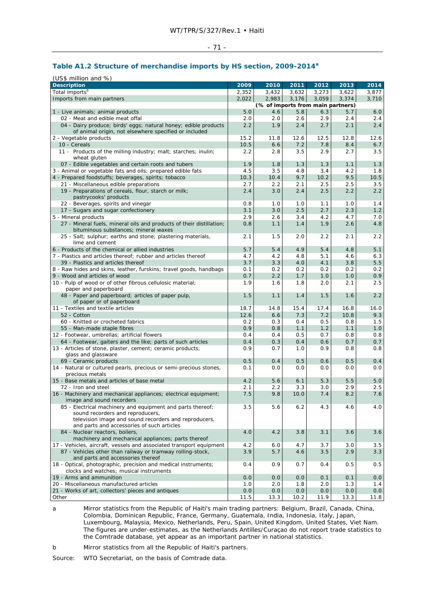#### - 71 -

# **Table A1.2 Structure of merchandise imports by HS section, 2009-2014<sup>a</sup>**

| (US\$ million and %)                                                                                                     |                                   |            |       |       |       |       |  |  |
|--------------------------------------------------------------------------------------------------------------------------|-----------------------------------|------------|-------|-------|-------|-------|--|--|
| <b>Description</b>                                                                                                       | 2009                              | 2010       | 2011  | 2012  | 2013  | 2014  |  |  |
| Total imports <sup>b</sup>                                                                                               | 2,352                             | 3,432      | 3,632 | 3,273 | 3,622 | 3,877 |  |  |
| Imports from main partners                                                                                               | 2,022                             | 2,983      | 3,176 | 3,059 | 3,374 | 3,710 |  |  |
|                                                                                                                          | (% of imports from main partners) |            |       |       |       |       |  |  |
| 1 - Live animals; animal products                                                                                        | 5.0                               | 4.6        | 5.8   | 6.3   | 5.7   | 6.0   |  |  |
| 02 - Meat and edible meat offal                                                                                          | 2.0                               | 2.0        | 2.6   | 2.9   | 2.4   | 2.4   |  |  |
| 04 - Dairy produce; birds' eggs; natural honey; edible products<br>of animal origin, not elsewhere specified or included | 2.2                               | 1.9        | 2.4   | 2.7   | 2.1   | 2.4   |  |  |
| 2 - Vegetable products                                                                                                   | 15.2                              | 11.8       | 12.6  | 12.5  | 12.8  | 12.6  |  |  |
| 10 - Cereals                                                                                                             | 10.5                              | 6.6        | 7.2   | 7.8   | 8.4   | 6.7   |  |  |
| 11 - Products of the milling industry; malt; starches; inulin;                                                           | 2.2                               | 2.8        | 3.5   | 2.9   | 2.7   | 3.5   |  |  |
| wheat gluten                                                                                                             |                                   |            |       |       |       |       |  |  |
| 07 - Edible vegetables and certain roots and tubers                                                                      | 1.9                               | 1.8        | 1.3   | 1.3   | 1.1   | 1.3   |  |  |
| 3 - Animal or vegetable fats and oils; prepared edible fats                                                              | 4.5                               | 3.5        | 4.8   | 3.4   | 4.2   | 1.8   |  |  |
| 4 - Prepared foodstuffs; beverages, spirits; tobacco                                                                     | 10.3                              | 10.4       | 9.7   | 10.2  | 9.5   | 10.5  |  |  |
| 21 - Miscellaneous edible preparations                                                                                   | 2.7                               | 2.2        | 2.1   | 2.5   | 2.5   | 3.5   |  |  |
| 19 - Preparations of cereals, flour, starch or milk;                                                                     | 2.4                               | 3.0        | 2.4   | 2.5   | 2.2   | 2.2   |  |  |
| pastrycooks' products                                                                                                    |                                   |            |       |       |       |       |  |  |
| 22 - Beverages, spirits and vinegar                                                                                      | 0.8                               | 1.0        | 1.0   | 1.1   | 1.0   | 1.4   |  |  |
| 17 - Sugars and sugar confectionery                                                                                      | 3.1                               | 3.0        | 2.5   | 2.7   | 2.3   | 1.2   |  |  |
| 5 - Mineral products                                                                                                     | 2.9                               | 2.6        | 3.4   | 4.2   | 4.7   | 7.0   |  |  |
| 27 - Mineral fuels, mineral oils and products of their distillation;                                                     | 0.8                               | 1.1        | 1.4   | 1.9   | 2.6   | 4.8   |  |  |
| bituminous substances; mineral waxes                                                                                     |                                   |            |       |       |       |       |  |  |
| 25 - Salt; sulphur; earths and stone; plastering materials,                                                              | 2.1                               | 1.5        | 2.0   | 2.2   | 2.1   | 2.2   |  |  |
| lime and cement                                                                                                          | 5.7                               |            | 4.9   | 5.4   | 4.8   | 5.1   |  |  |
| 6 - Products of the chemical or allied industries<br>7 - Plastics and articles thereof: rubber and articles thereof      | 4.7                               | 5.4<br>4.2 | 4.8   | 5.1   | 4.6   | 6.3   |  |  |
| 39 - Plastics and articles thereof                                                                                       | 3.7                               | 3.3        | 4.0   | 4.1   | 3.8   | 5.5   |  |  |
| 8 - Raw hides and skins, leather, furskins; travel goods, handbags                                                       | 0.1                               | 0.2        | 0.2   | 0.2   | 0.2   | 0.2   |  |  |
| 9 - Wood and articles of wood                                                                                            | 0.7                               | 2.2        | 1.7   | 1.0   | 1.0   | 0.9   |  |  |
| 10 - Pulp of wood or of other fibrous cellulosic material;                                                               | 1.9                               | 1.6        | 1.8   | 2.0   | 2.1   | 2.5   |  |  |
| paper and paperboard                                                                                                     |                                   |            |       |       |       |       |  |  |
| 48 - Paper and paperboard; articles of paper pulp,                                                                       | 1.5                               | 1.1        | 1.4   | 1.5   | 1.6   | 2.2   |  |  |
| of paper or of paperboard                                                                                                |                                   |            |       |       |       |       |  |  |
| 11 - Textiles and textile articles                                                                                       | 18.7                              | 14.8       | 15.4  | 17.4  | 16.8  | 16.0  |  |  |
| 52 - Cotton                                                                                                              | 12.6                              | 6.6        | 7.3   | 7.2   | 10.8  | 9.3   |  |  |
| 60 - Knitted or crocheted fabrics                                                                                        | 0.2                               | 0.3        | 0.4   | 0.5   | 0.8   | 1.5   |  |  |
| 55 - Man-made staple fibres                                                                                              | 0.9                               | 0.8        | 1.1   | 1.2   | 1.1   | 1.0   |  |  |
| 12 - Footwear, umbrellas; artificial flowers                                                                             | 0.4                               | 0.4        | 0.5   | 0.7   | 0.8   | 0.8   |  |  |
| 64 - Footwear, gaiters and the like; parts of such articles                                                              | 0.4                               | 0.3        | 0.4   | 0.6   | 0.7   | 0.7   |  |  |
| 13 - Articles of stone, plaster, cement; ceramic products;                                                               | 0.9                               | 0.7        | 1.0   | 0.9   | 0.8   | 0.8   |  |  |
| glass and glassware                                                                                                      |                                   |            |       |       |       |       |  |  |
| 69 - Ceramic products                                                                                                    | 0.5                               | 0.4        | 0.5   | 0.6   | 0.5   | 0.4   |  |  |
| 14 - Natural or cultured pearls, precious or semi-precious stones,<br>precious metals                                    | 0.1                               | 0.0        | 0.0   | 0.0   | 0.0   | 0.0   |  |  |
| 15 - Base metals and articles of base metal                                                                              | 4.2                               | 5.6        | 6.1   | 5.3   | 5.5   | 5.0   |  |  |
| 72 - Iron and steel                                                                                                      | 2.1                               | 2.2        | 3.3   | 3.0   | 2.9   | 2.5   |  |  |
| 16 - Machinery and mechanical appliances; electrical equipment;                                                          | 7.5                               | 9.8        | 10.0  | 7.4   | 8.2   | 7.6   |  |  |
| image and sound recorders                                                                                                |                                   |            |       |       |       |       |  |  |
| 85 - Electrical machinery and equipment and parts thereof;                                                               | 3.5                               | 5.6        | 6.2   | 4.3   | 4.6   | 4.0   |  |  |
| sound recorders and reproducers,                                                                                         |                                   |            |       |       |       |       |  |  |
| television image and sound recorders and reproducers,                                                                    |                                   |            |       |       |       |       |  |  |
| and parts and accessories of such articles                                                                               |                                   |            |       |       |       |       |  |  |
| 84 - Nuclear reactors, boilers,                                                                                          | 4.0                               | 4.2        | 3.8   | 3.1   | 3.6   | 3.6   |  |  |
| machinery and mechanical appliances; parts thereof                                                                       |                                   |            |       |       |       |       |  |  |
| 17 - Vehicles, aircraft, vessels and associated transport equipment                                                      | 4.2                               | 6.0        | 4.7   | 3.7   | 3.0   | 3.5   |  |  |
| 87 - Vehicles other than railway or tramway rolling-stock,                                                               | 3.9                               | 5.7        | 4.6   | 3.5   | 2.9   | 3.3   |  |  |
| and parts and accessories thereof                                                                                        |                                   |            |       |       |       |       |  |  |
| 18 - Optical, photographic, precision and medical instruments;<br>clocks and watches; musical instruments                | 0.4                               | 0.9        | 0.7   | 0.4   | 0.5   | 0.5   |  |  |
| 19 - Arms and ammunition                                                                                                 | 0.0                               | 0.0        | 0.0   | 0.1   | 0.1   | 0.0   |  |  |
| 20 - Miscellaneous manufactured articles                                                                                 | 1.0                               | 2.0        | 1.8   | 2.0   | 1.3   | 1.4   |  |  |
| 21 - Works of art, collectors' pieces and antiques                                                                       | 0.0                               | 0.0        | 0.0   | 0.0   | 0.0   | 0.0   |  |  |
| Other                                                                                                                    | 11.5                              | 13.3       | 10.2  | 11.9  | 13.3  | 11.8  |  |  |

a Mirror statistics from the Republic of Haiti's main trading partners: Belgium, Brazil, Canada, China, Colombia, Dominican Republic, France, Germany, Guatemala, India, Indonesia, Italy, Japan, Luxembourg, Malaysia, Mexico, Netherlands, Peru, Spain, United Kingdom, United States, Viet Nam. The figures are under-estimates, as the Netherlands Antilles/Curaçao do not report trade statistics to the Comtrade database, yet appear as an important partner in national statistics.

b Mirror statistics from all the Republic of Haiti's partners.

Source: WTO Secretariat, on the basis of Comtrade data.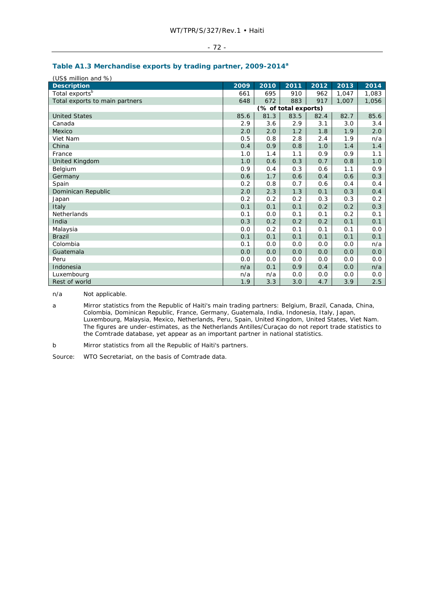# **Table A1.3 Merchandise exports by trading partner, 2009-2014a**

| (US\$ million and %)           |      |      |                      |      |       |       |
|--------------------------------|------|------|----------------------|------|-------|-------|
| <b>Description</b>             | 2009 | 2010 | 2011                 | 2012 | 2013  | 2014  |
| Total exports <sup>b</sup>     | 661  | 695  | 910                  | 962  | 1.047 | 1,083 |
| Total exports to main partners | 648  | 672  | 883                  | 917  | 1.007 | 1,056 |
|                                |      |      | (% of total exports) |      |       |       |
| <b>United States</b>           | 85.6 | 81.3 | 83.5                 | 82.4 | 82.7  | 85.6  |
| Canada                         | 2.9  | 3.6  | 2.9                  | 3.1  | 3.0   | 3.4   |
| Mexico                         | 2.0  | 2.0  | 1.2                  | 1.8  | 1.9   | 2.0   |
| Viet Nam                       | 0.5  | 0.8  | 2.8                  | 2.4  | 1.9   | n/a   |
| China                          | 0.4  | 0.9  | 0.8                  | 1.0  | 1.4   | 1.4   |
| France                         | 1.0  | 1.4  | 1.1                  | 0.9  | 0.9   | 1.1   |
| United Kingdom                 | 1.0  | 0.6  | 0.3                  | 0.7  | 0.8   | 1.0   |
| Belgium                        | 0.9  | 0.4  | 0.3                  | 0.6  | 1.1   | 0.9   |
| Germany                        | 0.6  | 1.7  | 0.6                  | 0.4  | 0.6   | 0.3   |
| Spain                          | 0.2  | 0.8  | 0.7                  | 0.6  | 0.4   | 0.4   |
| Dominican Republic             | 2.0  | 2.3  | 1.3                  | 0.1  | 0.3   | 0.4   |
| Japan                          | 0.2  | 0.2  | 0.2                  | 0.3  | 0.3   | 0.2   |
| Italy                          | 0.1  | 0.1  | 0.1                  | 0.2  | 0.2   | 0.3   |
| <b>Netherlands</b>             | 0.1  | 0.0  | 0.1                  | 0.1  | 0.2   | 0.1   |
| India                          | 0.3  | 0.2  | 0.2                  | 0.2  | 0.1   | 0.1   |
| Malaysia                       | 0.0  | 0.2  | 0.1                  | 0.1  | 0.1   | 0.0   |
| <b>Brazil</b>                  | 0.1  | 0.1  | 0.1                  | 0.1  | 0.1   | 0.1   |
| Colombia                       | 0.1  | 0.0  | 0.0                  | 0.0  | 0.0   | n/a   |
| Guatemala                      | 0.0  | 0.0  | 0.0                  | 0.0  | 0.0   | 0.0   |
| Peru                           | 0.0  | 0.0  | 0.0                  | 0.0  | 0.0   | 0.0   |
| Indonesia                      | n/a  | 0.1  | 0.9                  | 0.4  | 0.0   | n/a   |
| Luxembourg                     | n/a  | n/a  | 0.0                  | 0.0  | 0.0   | 0.0   |
| Rest of world                  | 1.9  | 3.3  | 3.0                  | 4.7  | 3.9   | 2.5   |

n/a Not applicable.

a Mirror statistics from the Republic of Haiti's main trading partners: Belgium, Brazil, Canada, China, Colombia, Dominican Republic, France, Germany, Guatemala, India, Indonesia, Italy, Japan, Luxembourg, Malaysia, Mexico, Netherlands, Peru, Spain, United Kingdom, United States, Viet Nam. The figures are under-estimates, as the Netherlands Antilles/Curaçao do not report trade statistics to the Comtrade database, yet appear as an important partner in national statistics.

b Mirror statistics from all the Republic of Haiti's partners.

Source: WTO Secretariat, on the basis of Comtrade data.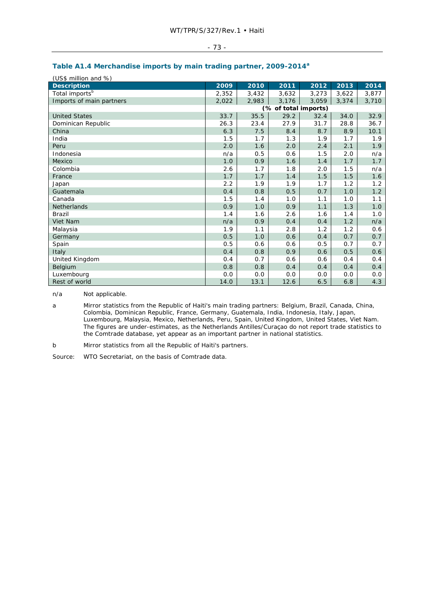### **Table A1.4 Merchandise imports by main trading partner, 2009-2014<sup>a</sup>**

| (US\$ million and %)       |       |       |                      |       |       |       |  |
|----------------------------|-------|-------|----------------------|-------|-------|-------|--|
| <b>Description</b>         | 2009  | 2010  | 2011                 | 2012  | 2013  | 2014  |  |
| Total imports <sup>b</sup> | 2,352 | 3,432 | 3,632                | 3,273 | 3,622 | 3,877 |  |
| Imports of main partners   | 2,022 | 2,983 | 3,176                | 3,059 | 3,374 | 3,710 |  |
|                            |       |       | (% of total imports) |       |       |       |  |
| <b>United States</b>       | 33.7  | 35.5  | 29.2                 | 32.4  | 34.0  | 32.9  |  |
| Dominican Republic         | 26.3  | 23.4  | 27.9                 | 31.7  | 28.8  | 36.7  |  |
| China                      | 6.3   | 7.5   | 8.4                  | 8.7   | 8.9   | 10.1  |  |
| India                      | 1.5   | 1.7   | 1.3                  | 1.9   | 1.7   | 1.9   |  |
| Peru                       | 2.0   | 1.6   | 2.0                  | 2.4   | 2.1   | 1.9   |  |
| Indonesia                  | n/a   | 0.5   | 0.6                  | 1.5   | 2.0   | n/a   |  |
| Mexico                     | 1.0   | 0.9   | 1.6                  | 1.4   | 1.7   | 1.7   |  |
| Colombia                   | 2.6   | 1.7   | 1.8                  | 2.0   | 1.5   | n/a   |  |
| France                     | 1.7   | 1.7   | 1.4                  | 1.5   | 1.5   | 1.6   |  |
| Japan                      | 2.2   | 1.9   | 1.9                  | 1.7   | 1.2   | 1.2   |  |
| Guatemala                  | 0.4   | 0.8   | 0.5                  | 0.7   | 1.0   | 1.2   |  |
| Canada                     | 1.5   | 1.4   | 1.0                  | 1.1   | 1.0   | 1.1   |  |
| <b>Netherlands</b>         | 0.9   | 1.0   | 0.9                  | 1.1   | 1.3   | 1.0   |  |
| <b>Brazil</b>              | 1.4   | 1.6   | 2.6                  | 1.6   | 1.4   | 1.0   |  |
| Viet Nam                   | n/a   | 0.9   | 0.4                  | 0.4   | 1.2   | n/a   |  |
| Malaysia                   | 1.9   | 1.1   | 2.8                  | 1.2   | 1.2   | 0.6   |  |
| Germany                    | 0.5   | 1.0   | 0.6                  | 0.4   | 0.7   | 0.7   |  |
| Spain                      | 0.5   | 0.6   | 0.6                  | 0.5   | 0.7   | 0.7   |  |
| Italy                      | 0.4   | 0.8   | 0.9                  | 0.6   | 0.5   | 0.6   |  |
| United Kingdom             | 0.4   | 0.7   | 0.6                  | 0.6   | 0.4   | 0.4   |  |
| Belgium                    | 0.8   | 0.8   | 0.4                  | 0.4   | 0.4   | 0.4   |  |
| Luxembourg                 | 0.0   | 0.0   | 0.0                  | 0.0   | 0.0   | 0.0   |  |
| Rest of world              | 14.0  | 13.1  | 12.6                 | 6.5   | 6.8   | 4.3   |  |

n/a Not applicable.

a Mirror statistics from the Republic of Haiti's main trading partners: Belgium, Brazil, Canada, China, Colombia, Dominican Republic, France, Germany, Guatemala, India, Indonesia, Italy, Japan, Luxembourg, Malaysia, Mexico, Netherlands, Peru, Spain, United Kingdom, United States, Viet Nam. The figures are under-estimates, as the Netherlands Antilles/Curaçao do not report trade statistics to the Comtrade database, yet appear as an important partner in national statistics.

b Mirror statistics from all the Republic of Haiti's partners.

Source: WTO Secretariat, on the basis of Comtrade data.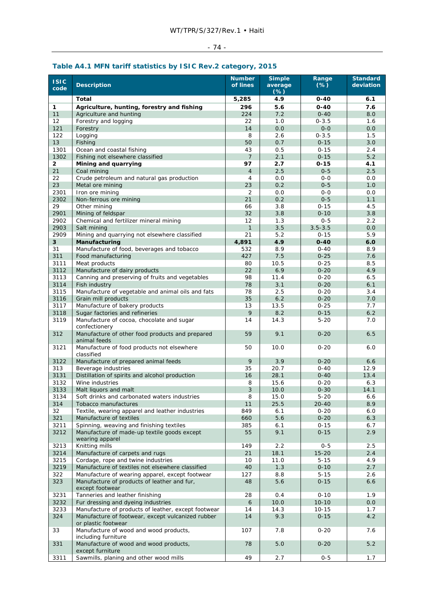# - 74 -

## **Table A4.1 MFN tariff statistics by ISIC Rev.2 category, 2015**

| <b>ISIC</b><br>code | <b>Description</b>                                                                                       | <b>Number</b><br>of lines | <b>Simple</b><br>average<br>$(*)$ | Range<br>$(*)$        | <b>Standard</b><br>deviation |
|---------------------|----------------------------------------------------------------------------------------------------------|---------------------------|-----------------------------------|-----------------------|------------------------------|
|                     | Total                                                                                                    | 5,285                     | 4.9                               | $0 - 40$              | 6.1                          |
| 1                   | Agriculture, hunting, forestry and fishing                                                               | 296                       | 5.6                               | $0 - 40$              | 7.6                          |
| 11                  | Agriculture and hunting                                                                                  | 224                       | 7.2                               | $0 - 40$              | 8.0                          |
| 12                  | Forestry and logging                                                                                     | 22                        | 1.0                               | $0 - 3.5$             | 1.6                          |
| 121                 | Forestry                                                                                                 | 14                        | 0.0                               | $0 - 0$               | 0.0                          |
| 122                 | Logging                                                                                                  | 8                         | 2.6                               | $0 - 3.5$             | 1.5                          |
| 13                  | Fishing                                                                                                  | 50                        | 0.7                               | $0 - 15$              | 3.0                          |
| 1301                | Ocean and coastal fishing                                                                                | 43                        | 0.5                               | $0 - 15$              | 2.4                          |
| 1302                | Fishing not elsewhere classified                                                                         | $\overline{7}$            | 2.1                               | $0 - 15$              | 5.2                          |
| $\mathbf{2}$        | Mining and quarrying                                                                                     | 97<br>$\overline{4}$      | 2.7<br>2.5                        | $0 - 15$              | 4.1                          |
| 21<br>22            | Coal mining<br>Crude petroleum and natural gas production                                                | $\overline{4}$            | 0.0                               | $0 - 5$<br>$0 - 0$    | 2.5<br>0.0                   |
| 23                  | Metal ore mining                                                                                         | 23                        | 0.2                               | $0 - 5$               | 1.0                          |
| 2301                | Iron ore mining                                                                                          | 2                         | 0.0                               | $0 - 0$               | 0.0                          |
| 2302                | Non-ferrous ore mining                                                                                   | 21                        | 0.2                               | $0 - 5$               | 1.1                          |
| 29                  | Other mining                                                                                             | 66                        | 3.8                               | $0 - 15$              | 4.5                          |
| 2901                | Mining of feldspar                                                                                       | 32                        | 3.8                               | $0 - 10$              | 3.8                          |
| 2902                | Chemical and fertilizer mineral mining                                                                   | 12                        | 1.3                               | $0 - 5$               | 2.2                          |
| 2903                | Salt mining                                                                                              | 1                         | 3.5                               | $3.5 - 3.5$           | 0.0                          |
| 2909                | Mining and quarrying not elsewhere classified                                                            | 21                        | 5.2                               | $0 - 15$              | 5.9                          |
| 3                   | Manufacturing                                                                                            | 4,891                     | 4.9                               | $0 - 40$              | 6.0                          |
| 31                  | Manufacture of food, beverages and tobacco                                                               | 532                       | 8.9                               | $0 - 40$              | 8.9                          |
| 311                 | Food manufacturing                                                                                       | 427                       | 7.5                               | $0 - 25$              | 7.6                          |
| 3111<br>3112        | Meat products<br>Manufacture of dairy products                                                           | 80<br>22                  | 10.5<br>6.9                       | $0 - 25$<br>$0 - 20$  | 8.5<br>4.9                   |
| 3113                | Canning and preserving of fruits and vegetables                                                          | 98                        | 11.4                              | $0 - 20$              | 6.5                          |
| 3114                | Fish industry                                                                                            | 78                        | 3.1                               | $0 - 20$              | 6.1                          |
| 3115                | Manufacture of vegetable and animal oils and fats                                                        | 78                        | 2.5                               | $0 - 20$              | 3.4                          |
| 3116                | Grain mill products                                                                                      | 35                        | 6.2                               | $0 - 20$              | 7.0                          |
| 3117                | Manufacture of bakery products                                                                           | 13                        | 13.5                              | $0 - 25$              | 7.7                          |
| 3118                | Sugar factories and refineries                                                                           | 9                         | 8.2                               | $0 - 15$              | 6.2                          |
| 3119                | Manufacture of cocoa, chocolate and sugar<br>confectionery                                               | 14                        | 14.3                              | $5 - 20$              | 7.0                          |
| 312                 | Manufacture of other food products and prepared<br>animal feeds                                          | 59                        | 9.1                               | $0 - 20$              | 6.5                          |
| 3121                | Manufacture of food products not elsewhere<br>classified                                                 | 50                        | 10.0                              | $0 - 20$              | 6.0                          |
| 3122                | Manufacture of prepared animal feeds                                                                     | 9                         | 3.9                               | $0 - 20$              | 6.6                          |
| 313                 | Beverage industries                                                                                      | 35                        | 20.7                              | $0 - 40$              | 12.9                         |
| 3131                | Distillation of spirits and alcohol production                                                           | 16                        | 28.1                              | $0 - 40$              | 13.4                         |
| 3132<br>3133        | Wine industries                                                                                          | 8<br>3                    | 15.6<br>10.0                      | $0 - 20$<br>$0 - 30$  | 6.3<br>14.1                  |
| 3134                | Malt liquors and malt<br>Soft drinks and carbonated waters industries                                    | 8                         | 15.0                              | $5 - 20$              | 6.6                          |
| 314                 | Tobacco manufactures                                                                                     | 11                        | 25.5                              | $20 - 40$             | 8.9                          |
| 32                  | Textile, wearing apparel and leather industries                                                          | 849                       | 6.1                               | $0 - 20$              | 6.0                          |
| 321                 | Manufacture of textiles                                                                                  | 660                       | 5.6                               | $0 - 20$              | 6.3                          |
| 3211                | Spinning, weaving and finishing textiles                                                                 | 385                       | 6.1                               | $0 - 15$              | 6.7                          |
| 3212                | Manufacture of made-up textile goods except<br>wearing apparel                                           | 55                        | 9.1                               | $0 - 15$              | 2.9                          |
| 3213                | Knitting mills                                                                                           | 149                       | 2.2                               | $0 - 5$               | 2.5                          |
| 3214                | Manufacture of carpets and rugs                                                                          | 21                        | 18.1                              | $15 - 20$             | 2.4                          |
| 3215                | Cordage, rope and twine industries                                                                       | 10                        | 11.0                              | $5 - 15$              | 4.9                          |
| 3219                | Manufacture of textiles not elsewhere classified                                                         | 40                        | 1.3                               | $0 - 10$              | 2.7                          |
| 322                 | Manufacture of wearing apparel, except footwear                                                          | 127                       | 8.8                               | $5 - 15$              | 2.6                          |
| 323                 | Manufacture of products of leather and fur,<br>except footwear                                           | 48                        | 5.6                               | $0 - 15$              | 6.6                          |
| 3231                | Tanneries and leather finishing                                                                          | 28                        | $0.4$                             | $0 - 10$              | 1.9                          |
| 3232                | Fur dressing and dyeing industries                                                                       | 6                         | 10.0                              | $10 - 10$             | 0.0                          |
| 3233<br>324         | Manufacture of products of leather, except footwear<br>Manufacture of footwear, except vulcanized rubber | 14<br>14                  | 14.3<br>9.3                       | $10 - 15$<br>$0 - 15$ | 1.7<br>4.2                   |
|                     | or plastic footwear<br>Manufacture of wood and wood products,                                            | 107                       | 7.8                               | $0 - 20$              | 7.6                          |
| 33                  | including furniture                                                                                      |                           |                                   |                       |                              |
| 331                 | Manufacture of wood and wood products,<br>except furniture                                               | 78                        | 5.0                               | $0 - 20$              | 5.2                          |
| 3311                | Sawmills, planing and other wood mills                                                                   | 49                        | 2.7                               | $0 - 5$               | 1.7                          |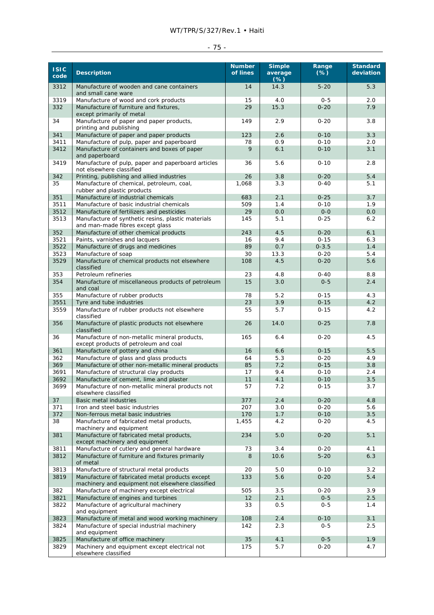### WT/TPR/S/327/Rev.1 • Haiti

| $\sim$ |  |
|--------|--|
|--------|--|

| 3312<br>Manufacture of wooden and cane containers<br>14<br>14.3<br>$5 - 20$<br>5.3<br>and small cane ware<br>3319<br>Manufacture of wood and cork products<br>15<br>4.0<br>$0 - 5$<br>2.0<br>332<br>15.3<br>7.9<br>Manufacture of furniture and fixtures,<br>29<br>$0 - 20$<br>except primarily of metal<br>Manufacture of paper and paper products,<br>2.9<br>3.8<br>34<br>149<br>$0 - 20$<br>printing and publishing<br>Manufacture of paper and paper products<br>2.6<br>3.3<br>341<br>123<br>$0 - 10$<br>0.9<br>3411<br>Manufacture of pulp, paper and paperboard<br>78<br>$0 - 10$<br>2.0<br>6.1<br>3412<br>Manufacture of containers and boxes of paper<br>9<br>$0 - 10$<br>3.1<br>and paperboard<br>3419<br>Manufacture of pulp, paper and paperboard articles<br>5.6<br>$0 - 10$<br>2.8<br>36<br>not elsewhere classified<br>Printing, publishing and allied industries<br>26<br>3.8<br>$0 - 20$<br>5.4<br>342<br>35<br>Manufacture of chemical, petroleum, coal,<br>1,068<br>3.3<br>$0 - 40$<br>5.1<br>rubber and plastic products<br>351<br>Manufacture of industrial chemicals<br>2.1<br>3.7<br>683<br>$0 - 25$<br>3511<br>Manufacture of basic industrial chemicals<br>509<br>1.4<br>$0 - 10$<br>1.9<br>3512<br>29<br>0.0<br>$0 - 0$<br>0.0<br>Manufacture of fertilizers and pesticides<br>3513<br>Manufacture of synthetic resins, plastic materials<br>5.1<br>$0 - 25$<br>145<br>6.2<br>and man-made fibres except glass<br>352<br>Manufacture of other chemical products<br>4.5<br>6.1<br>243<br>$0 - 20$<br>3521<br>Paints, varnishes and lacquers<br>9.4<br>$0 - 15$<br>6.3<br>16<br>0.7<br>1.4<br>3522<br>89<br>$0 - 3.5$<br>Manufacture of drugs and medicines<br>3523<br>30<br>13.3<br>$0 - 20$<br>5.4<br>Manufacture of soap<br>3529<br>Manufacture of chemical products not elsewhere<br>108<br>4.5<br>$0 - 20$<br>5.6<br>classified<br>353<br>Petroleum refineries<br>23<br>4.8<br>$0 - 40$<br>8.8<br>354<br>Manufacture of miscellaneous products of petroleum<br>15<br>3.0<br>$0 - 5$<br>2.4<br>and coal<br>Manufacture of rubber products<br>78<br>5.2<br>$0 - 15$<br>4.3<br>355<br>3.9<br>4.2<br>3551<br>Tyre and tube industries<br>23<br>$0 - 15$<br>3559<br>Manufacture of rubber products not elsewhere<br>5.7<br>4.2<br>55<br>$0 - 15$<br>classified<br>356<br>14.0<br>$0 - 25$<br>7.8<br>Manufacture of plastic products not elsewhere<br>26<br>classified<br>Manufacture of non-metallic mineral products,<br>165<br>4.5<br>36<br>6.4<br>$0 - 20$<br>except products of petroleum and coal<br>361<br>Manufacture of pottery and china<br>6.6<br>5.5<br>16<br>$0 - 15$<br>362<br>Manufacture of glass and glass products<br>64<br>5.3<br>$0 - 20$<br>4.9<br>7.2<br>3.8<br>369<br>Manufacture of other non-metallic mineral products<br>85<br>$0 - 15$<br>9.4<br>3691<br>Manufacture of structural clay products<br>17<br>$0 - 10$<br>2.4<br>3692<br>Manufacture of cement, lime and plaster<br>11<br>4.1<br>3.5<br>$0 - 10$<br>Manufacture of non-metallic mineral products not<br>57<br>7.2<br>$0 - 15$<br>3.7<br>3699<br>elsewhere classified<br>37<br>Basic metal industries<br>377<br>2.4<br>$0 - 20$<br>4.8<br>Iron and steel basic industries<br>207<br>3.0<br>$0 - 20$<br>5.6<br>371<br>372<br>Non-ferrous metal basic industries<br>170<br>1.7<br>$0 - 10$<br>3.5<br>38<br>4.2<br>$0 - 20$<br>4.5<br>Manufacture of fabricated metal products,<br>1,455<br>machinery and equipment<br>Manufacture of fabricated metal products.<br>5.0<br>5.1<br>381<br>234<br>$0 - 20$<br>except machinery and equipment<br>Manufacture of cutlery and general hardware<br>73<br>$0 - 20$<br>3811<br>3.4<br>4.1<br>Manufacture of furniture and fixtures primarily<br>10.6<br>$5 - 20$<br>6.3<br>3812<br>8<br>of metal<br>Manufacture of structural metal products<br>5.0<br>$0 - 10$<br>3.2<br>3813<br>20<br>5.4<br>3819<br>Manufacture of fabricated metal products except<br>5.6<br>$0 - 20$<br>133<br>machinery and equipment not elsewhere classified<br>3.9<br>382<br>Manufacture of machinery except electrical<br>505<br>3.5<br>$0 - 20$<br>3821<br>Manufacture of engines and turbines<br>12<br>2.1<br>$0 - 5$<br>2.5<br>3822<br>Manufacture of agricultural machinery<br>33<br>0.5<br>$0 - 5$<br>1.4<br>and equipment<br>2.4<br>$0 - 10$<br>3.1<br>3823<br>Manufacture of metal and wood working machinery<br>108<br>Manufacture of special industrial machinery<br>2.3<br>$0 - 5$<br>2.5<br>3824<br>142<br>and equipment<br>Manufacture of office machinery<br>3825<br>35<br>4.1<br>$0 - 5$<br>1.9<br>3829<br>Machinery and equipment except electrical not<br>5.7<br>$0 - 20$<br>4.7<br>175<br>elsewhere classified | ISIC<br>code | <b>Description</b> | <b>Number</b><br>of lines | <b>Simple</b><br>average<br>$(\%)$ | Range<br>$(\%)$ | <b>Standard</b><br>deviation |
|------------------------------------------------------------------------------------------------------------------------------------------------------------------------------------------------------------------------------------------------------------------------------------------------------------------------------------------------------------------------------------------------------------------------------------------------------------------------------------------------------------------------------------------------------------------------------------------------------------------------------------------------------------------------------------------------------------------------------------------------------------------------------------------------------------------------------------------------------------------------------------------------------------------------------------------------------------------------------------------------------------------------------------------------------------------------------------------------------------------------------------------------------------------------------------------------------------------------------------------------------------------------------------------------------------------------------------------------------------------------------------------------------------------------------------------------------------------------------------------------------------------------------------------------------------------------------------------------------------------------------------------------------------------------------------------------------------------------------------------------------------------------------------------------------------------------------------------------------------------------------------------------------------------------------------------------------------------------------------------------------------------------------------------------------------------------------------------------------------------------------------------------------------------------------------------------------------------------------------------------------------------------------------------------------------------------------------------------------------------------------------------------------------------------------------------------------------------------------------------------------------------------------------------------------------------------------------------------------------------------------------------------------------------------------------------------------------------------------------------------------------------------------------------------------------------------------------------------------------------------------------------------------------------------------------------------------------------------------------------------------------------------------------------------------------------------------------------------------------------------------------------------------------------------------------------------------------------------------------------------------------------------------------------------------------------------------------------------------------------------------------------------------------------------------------------------------------------------------------------------------------------------------------------------------------------------------------------------------------------------------------------------------------------------------------------------------------------------------------------------------------------------------------------------------------------------------------------------------------------------------------------------------------------------------------------------------------------------------------------------------------------------------------------------------------------------------------------------------------------------------------------------------------------------------------------------------------------------------------------------------------------------------------------------------------------------------------------------------------------------------------------------------------------------------------------------------------------------------------------------------------------------------------------------------------------------------------------------------------------------------------------------------------|--------------|--------------------|---------------------------|------------------------------------|-----------------|------------------------------|
|                                                                                                                                                                                                                                                                                                                                                                                                                                                                                                                                                                                                                                                                                                                                                                                                                                                                                                                                                                                                                                                                                                                                                                                                                                                                                                                                                                                                                                                                                                                                                                                                                                                                                                                                                                                                                                                                                                                                                                                                                                                                                                                                                                                                                                                                                                                                                                                                                                                                                                                                                                                                                                                                                                                                                                                                                                                                                                                                                                                                                                                                                                                                                                                                                                                                                                                                                                                                                                                                                                                                                                                                                                                                                                                                                                                                                                                                                                                                                                                                                                                                                                                                                                                                                                                                                                                                                                                                                                                                                                                                                                                                                                                            |              |                    |                           |                                    |                 |                              |
|                                                                                                                                                                                                                                                                                                                                                                                                                                                                                                                                                                                                                                                                                                                                                                                                                                                                                                                                                                                                                                                                                                                                                                                                                                                                                                                                                                                                                                                                                                                                                                                                                                                                                                                                                                                                                                                                                                                                                                                                                                                                                                                                                                                                                                                                                                                                                                                                                                                                                                                                                                                                                                                                                                                                                                                                                                                                                                                                                                                                                                                                                                                                                                                                                                                                                                                                                                                                                                                                                                                                                                                                                                                                                                                                                                                                                                                                                                                                                                                                                                                                                                                                                                                                                                                                                                                                                                                                                                                                                                                                                                                                                                                            |              |                    |                           |                                    |                 |                              |
|                                                                                                                                                                                                                                                                                                                                                                                                                                                                                                                                                                                                                                                                                                                                                                                                                                                                                                                                                                                                                                                                                                                                                                                                                                                                                                                                                                                                                                                                                                                                                                                                                                                                                                                                                                                                                                                                                                                                                                                                                                                                                                                                                                                                                                                                                                                                                                                                                                                                                                                                                                                                                                                                                                                                                                                                                                                                                                                                                                                                                                                                                                                                                                                                                                                                                                                                                                                                                                                                                                                                                                                                                                                                                                                                                                                                                                                                                                                                                                                                                                                                                                                                                                                                                                                                                                                                                                                                                                                                                                                                                                                                                                                            |              |                    |                           |                                    |                 |                              |
|                                                                                                                                                                                                                                                                                                                                                                                                                                                                                                                                                                                                                                                                                                                                                                                                                                                                                                                                                                                                                                                                                                                                                                                                                                                                                                                                                                                                                                                                                                                                                                                                                                                                                                                                                                                                                                                                                                                                                                                                                                                                                                                                                                                                                                                                                                                                                                                                                                                                                                                                                                                                                                                                                                                                                                                                                                                                                                                                                                                                                                                                                                                                                                                                                                                                                                                                                                                                                                                                                                                                                                                                                                                                                                                                                                                                                                                                                                                                                                                                                                                                                                                                                                                                                                                                                                                                                                                                                                                                                                                                                                                                                                                            |              |                    |                           |                                    |                 |                              |
|                                                                                                                                                                                                                                                                                                                                                                                                                                                                                                                                                                                                                                                                                                                                                                                                                                                                                                                                                                                                                                                                                                                                                                                                                                                                                                                                                                                                                                                                                                                                                                                                                                                                                                                                                                                                                                                                                                                                                                                                                                                                                                                                                                                                                                                                                                                                                                                                                                                                                                                                                                                                                                                                                                                                                                                                                                                                                                                                                                                                                                                                                                                                                                                                                                                                                                                                                                                                                                                                                                                                                                                                                                                                                                                                                                                                                                                                                                                                                                                                                                                                                                                                                                                                                                                                                                                                                                                                                                                                                                                                                                                                                                                            |              |                    |                           |                                    |                 |                              |
|                                                                                                                                                                                                                                                                                                                                                                                                                                                                                                                                                                                                                                                                                                                                                                                                                                                                                                                                                                                                                                                                                                                                                                                                                                                                                                                                                                                                                                                                                                                                                                                                                                                                                                                                                                                                                                                                                                                                                                                                                                                                                                                                                                                                                                                                                                                                                                                                                                                                                                                                                                                                                                                                                                                                                                                                                                                                                                                                                                                                                                                                                                                                                                                                                                                                                                                                                                                                                                                                                                                                                                                                                                                                                                                                                                                                                                                                                                                                                                                                                                                                                                                                                                                                                                                                                                                                                                                                                                                                                                                                                                                                                                                            |              |                    |                           |                                    |                 |                              |
|                                                                                                                                                                                                                                                                                                                                                                                                                                                                                                                                                                                                                                                                                                                                                                                                                                                                                                                                                                                                                                                                                                                                                                                                                                                                                                                                                                                                                                                                                                                                                                                                                                                                                                                                                                                                                                                                                                                                                                                                                                                                                                                                                                                                                                                                                                                                                                                                                                                                                                                                                                                                                                                                                                                                                                                                                                                                                                                                                                                                                                                                                                                                                                                                                                                                                                                                                                                                                                                                                                                                                                                                                                                                                                                                                                                                                                                                                                                                                                                                                                                                                                                                                                                                                                                                                                                                                                                                                                                                                                                                                                                                                                                            |              |                    |                           |                                    |                 |                              |
|                                                                                                                                                                                                                                                                                                                                                                                                                                                                                                                                                                                                                                                                                                                                                                                                                                                                                                                                                                                                                                                                                                                                                                                                                                                                                                                                                                                                                                                                                                                                                                                                                                                                                                                                                                                                                                                                                                                                                                                                                                                                                                                                                                                                                                                                                                                                                                                                                                                                                                                                                                                                                                                                                                                                                                                                                                                                                                                                                                                                                                                                                                                                                                                                                                                                                                                                                                                                                                                                                                                                                                                                                                                                                                                                                                                                                                                                                                                                                                                                                                                                                                                                                                                                                                                                                                                                                                                                                                                                                                                                                                                                                                                            |              |                    |                           |                                    |                 |                              |
|                                                                                                                                                                                                                                                                                                                                                                                                                                                                                                                                                                                                                                                                                                                                                                                                                                                                                                                                                                                                                                                                                                                                                                                                                                                                                                                                                                                                                                                                                                                                                                                                                                                                                                                                                                                                                                                                                                                                                                                                                                                                                                                                                                                                                                                                                                                                                                                                                                                                                                                                                                                                                                                                                                                                                                                                                                                                                                                                                                                                                                                                                                                                                                                                                                                                                                                                                                                                                                                                                                                                                                                                                                                                                                                                                                                                                                                                                                                                                                                                                                                                                                                                                                                                                                                                                                                                                                                                                                                                                                                                                                                                                                                            |              |                    |                           |                                    |                 |                              |
|                                                                                                                                                                                                                                                                                                                                                                                                                                                                                                                                                                                                                                                                                                                                                                                                                                                                                                                                                                                                                                                                                                                                                                                                                                                                                                                                                                                                                                                                                                                                                                                                                                                                                                                                                                                                                                                                                                                                                                                                                                                                                                                                                                                                                                                                                                                                                                                                                                                                                                                                                                                                                                                                                                                                                                                                                                                                                                                                                                                                                                                                                                                                                                                                                                                                                                                                                                                                                                                                                                                                                                                                                                                                                                                                                                                                                                                                                                                                                                                                                                                                                                                                                                                                                                                                                                                                                                                                                                                                                                                                                                                                                                                            |              |                    |                           |                                    |                 |                              |
|                                                                                                                                                                                                                                                                                                                                                                                                                                                                                                                                                                                                                                                                                                                                                                                                                                                                                                                                                                                                                                                                                                                                                                                                                                                                                                                                                                                                                                                                                                                                                                                                                                                                                                                                                                                                                                                                                                                                                                                                                                                                                                                                                                                                                                                                                                                                                                                                                                                                                                                                                                                                                                                                                                                                                                                                                                                                                                                                                                                                                                                                                                                                                                                                                                                                                                                                                                                                                                                                                                                                                                                                                                                                                                                                                                                                                                                                                                                                                                                                                                                                                                                                                                                                                                                                                                                                                                                                                                                                                                                                                                                                                                                            |              |                    |                           |                                    |                 |                              |
|                                                                                                                                                                                                                                                                                                                                                                                                                                                                                                                                                                                                                                                                                                                                                                                                                                                                                                                                                                                                                                                                                                                                                                                                                                                                                                                                                                                                                                                                                                                                                                                                                                                                                                                                                                                                                                                                                                                                                                                                                                                                                                                                                                                                                                                                                                                                                                                                                                                                                                                                                                                                                                                                                                                                                                                                                                                                                                                                                                                                                                                                                                                                                                                                                                                                                                                                                                                                                                                                                                                                                                                                                                                                                                                                                                                                                                                                                                                                                                                                                                                                                                                                                                                                                                                                                                                                                                                                                                                                                                                                                                                                                                                            |              |                    |                           |                                    |                 |                              |
|                                                                                                                                                                                                                                                                                                                                                                                                                                                                                                                                                                                                                                                                                                                                                                                                                                                                                                                                                                                                                                                                                                                                                                                                                                                                                                                                                                                                                                                                                                                                                                                                                                                                                                                                                                                                                                                                                                                                                                                                                                                                                                                                                                                                                                                                                                                                                                                                                                                                                                                                                                                                                                                                                                                                                                                                                                                                                                                                                                                                                                                                                                                                                                                                                                                                                                                                                                                                                                                                                                                                                                                                                                                                                                                                                                                                                                                                                                                                                                                                                                                                                                                                                                                                                                                                                                                                                                                                                                                                                                                                                                                                                                                            |              |                    |                           |                                    |                 |                              |
|                                                                                                                                                                                                                                                                                                                                                                                                                                                                                                                                                                                                                                                                                                                                                                                                                                                                                                                                                                                                                                                                                                                                                                                                                                                                                                                                                                                                                                                                                                                                                                                                                                                                                                                                                                                                                                                                                                                                                                                                                                                                                                                                                                                                                                                                                                                                                                                                                                                                                                                                                                                                                                                                                                                                                                                                                                                                                                                                                                                                                                                                                                                                                                                                                                                                                                                                                                                                                                                                                                                                                                                                                                                                                                                                                                                                                                                                                                                                                                                                                                                                                                                                                                                                                                                                                                                                                                                                                                                                                                                                                                                                                                                            |              |                    |                           |                                    |                 |                              |
|                                                                                                                                                                                                                                                                                                                                                                                                                                                                                                                                                                                                                                                                                                                                                                                                                                                                                                                                                                                                                                                                                                                                                                                                                                                                                                                                                                                                                                                                                                                                                                                                                                                                                                                                                                                                                                                                                                                                                                                                                                                                                                                                                                                                                                                                                                                                                                                                                                                                                                                                                                                                                                                                                                                                                                                                                                                                                                                                                                                                                                                                                                                                                                                                                                                                                                                                                                                                                                                                                                                                                                                                                                                                                                                                                                                                                                                                                                                                                                                                                                                                                                                                                                                                                                                                                                                                                                                                                                                                                                                                                                                                                                                            |              |                    |                           |                                    |                 |                              |
|                                                                                                                                                                                                                                                                                                                                                                                                                                                                                                                                                                                                                                                                                                                                                                                                                                                                                                                                                                                                                                                                                                                                                                                                                                                                                                                                                                                                                                                                                                                                                                                                                                                                                                                                                                                                                                                                                                                                                                                                                                                                                                                                                                                                                                                                                                                                                                                                                                                                                                                                                                                                                                                                                                                                                                                                                                                                                                                                                                                                                                                                                                                                                                                                                                                                                                                                                                                                                                                                                                                                                                                                                                                                                                                                                                                                                                                                                                                                                                                                                                                                                                                                                                                                                                                                                                                                                                                                                                                                                                                                                                                                                                                            |              |                    |                           |                                    |                 |                              |
|                                                                                                                                                                                                                                                                                                                                                                                                                                                                                                                                                                                                                                                                                                                                                                                                                                                                                                                                                                                                                                                                                                                                                                                                                                                                                                                                                                                                                                                                                                                                                                                                                                                                                                                                                                                                                                                                                                                                                                                                                                                                                                                                                                                                                                                                                                                                                                                                                                                                                                                                                                                                                                                                                                                                                                                                                                                                                                                                                                                                                                                                                                                                                                                                                                                                                                                                                                                                                                                                                                                                                                                                                                                                                                                                                                                                                                                                                                                                                                                                                                                                                                                                                                                                                                                                                                                                                                                                                                                                                                                                                                                                                                                            |              |                    |                           |                                    |                 |                              |
|                                                                                                                                                                                                                                                                                                                                                                                                                                                                                                                                                                                                                                                                                                                                                                                                                                                                                                                                                                                                                                                                                                                                                                                                                                                                                                                                                                                                                                                                                                                                                                                                                                                                                                                                                                                                                                                                                                                                                                                                                                                                                                                                                                                                                                                                                                                                                                                                                                                                                                                                                                                                                                                                                                                                                                                                                                                                                                                                                                                                                                                                                                                                                                                                                                                                                                                                                                                                                                                                                                                                                                                                                                                                                                                                                                                                                                                                                                                                                                                                                                                                                                                                                                                                                                                                                                                                                                                                                                                                                                                                                                                                                                                            |              |                    |                           |                                    |                 |                              |
|                                                                                                                                                                                                                                                                                                                                                                                                                                                                                                                                                                                                                                                                                                                                                                                                                                                                                                                                                                                                                                                                                                                                                                                                                                                                                                                                                                                                                                                                                                                                                                                                                                                                                                                                                                                                                                                                                                                                                                                                                                                                                                                                                                                                                                                                                                                                                                                                                                                                                                                                                                                                                                                                                                                                                                                                                                                                                                                                                                                                                                                                                                                                                                                                                                                                                                                                                                                                                                                                                                                                                                                                                                                                                                                                                                                                                                                                                                                                                                                                                                                                                                                                                                                                                                                                                                                                                                                                                                                                                                                                                                                                                                                            |              |                    |                           |                                    |                 |                              |
|                                                                                                                                                                                                                                                                                                                                                                                                                                                                                                                                                                                                                                                                                                                                                                                                                                                                                                                                                                                                                                                                                                                                                                                                                                                                                                                                                                                                                                                                                                                                                                                                                                                                                                                                                                                                                                                                                                                                                                                                                                                                                                                                                                                                                                                                                                                                                                                                                                                                                                                                                                                                                                                                                                                                                                                                                                                                                                                                                                                                                                                                                                                                                                                                                                                                                                                                                                                                                                                                                                                                                                                                                                                                                                                                                                                                                                                                                                                                                                                                                                                                                                                                                                                                                                                                                                                                                                                                                                                                                                                                                                                                                                                            |              |                    |                           |                                    |                 |                              |
|                                                                                                                                                                                                                                                                                                                                                                                                                                                                                                                                                                                                                                                                                                                                                                                                                                                                                                                                                                                                                                                                                                                                                                                                                                                                                                                                                                                                                                                                                                                                                                                                                                                                                                                                                                                                                                                                                                                                                                                                                                                                                                                                                                                                                                                                                                                                                                                                                                                                                                                                                                                                                                                                                                                                                                                                                                                                                                                                                                                                                                                                                                                                                                                                                                                                                                                                                                                                                                                                                                                                                                                                                                                                                                                                                                                                                                                                                                                                                                                                                                                                                                                                                                                                                                                                                                                                                                                                                                                                                                                                                                                                                                                            |              |                    |                           |                                    |                 |                              |
|                                                                                                                                                                                                                                                                                                                                                                                                                                                                                                                                                                                                                                                                                                                                                                                                                                                                                                                                                                                                                                                                                                                                                                                                                                                                                                                                                                                                                                                                                                                                                                                                                                                                                                                                                                                                                                                                                                                                                                                                                                                                                                                                                                                                                                                                                                                                                                                                                                                                                                                                                                                                                                                                                                                                                                                                                                                                                                                                                                                                                                                                                                                                                                                                                                                                                                                                                                                                                                                                                                                                                                                                                                                                                                                                                                                                                                                                                                                                                                                                                                                                                                                                                                                                                                                                                                                                                                                                                                                                                                                                                                                                                                                            |              |                    |                           |                                    |                 |                              |
|                                                                                                                                                                                                                                                                                                                                                                                                                                                                                                                                                                                                                                                                                                                                                                                                                                                                                                                                                                                                                                                                                                                                                                                                                                                                                                                                                                                                                                                                                                                                                                                                                                                                                                                                                                                                                                                                                                                                                                                                                                                                                                                                                                                                                                                                                                                                                                                                                                                                                                                                                                                                                                                                                                                                                                                                                                                                                                                                                                                                                                                                                                                                                                                                                                                                                                                                                                                                                                                                                                                                                                                                                                                                                                                                                                                                                                                                                                                                                                                                                                                                                                                                                                                                                                                                                                                                                                                                                                                                                                                                                                                                                                                            |              |                    |                           |                                    |                 |                              |
|                                                                                                                                                                                                                                                                                                                                                                                                                                                                                                                                                                                                                                                                                                                                                                                                                                                                                                                                                                                                                                                                                                                                                                                                                                                                                                                                                                                                                                                                                                                                                                                                                                                                                                                                                                                                                                                                                                                                                                                                                                                                                                                                                                                                                                                                                                                                                                                                                                                                                                                                                                                                                                                                                                                                                                                                                                                                                                                                                                                                                                                                                                                                                                                                                                                                                                                                                                                                                                                                                                                                                                                                                                                                                                                                                                                                                                                                                                                                                                                                                                                                                                                                                                                                                                                                                                                                                                                                                                                                                                                                                                                                                                                            |              |                    |                           |                                    |                 |                              |
|                                                                                                                                                                                                                                                                                                                                                                                                                                                                                                                                                                                                                                                                                                                                                                                                                                                                                                                                                                                                                                                                                                                                                                                                                                                                                                                                                                                                                                                                                                                                                                                                                                                                                                                                                                                                                                                                                                                                                                                                                                                                                                                                                                                                                                                                                                                                                                                                                                                                                                                                                                                                                                                                                                                                                                                                                                                                                                                                                                                                                                                                                                                                                                                                                                                                                                                                                                                                                                                                                                                                                                                                                                                                                                                                                                                                                                                                                                                                                                                                                                                                                                                                                                                                                                                                                                                                                                                                                                                                                                                                                                                                                                                            |              |                    |                           |                                    |                 |                              |
|                                                                                                                                                                                                                                                                                                                                                                                                                                                                                                                                                                                                                                                                                                                                                                                                                                                                                                                                                                                                                                                                                                                                                                                                                                                                                                                                                                                                                                                                                                                                                                                                                                                                                                                                                                                                                                                                                                                                                                                                                                                                                                                                                                                                                                                                                                                                                                                                                                                                                                                                                                                                                                                                                                                                                                                                                                                                                                                                                                                                                                                                                                                                                                                                                                                                                                                                                                                                                                                                                                                                                                                                                                                                                                                                                                                                                                                                                                                                                                                                                                                                                                                                                                                                                                                                                                                                                                                                                                                                                                                                                                                                                                                            |              |                    |                           |                                    |                 |                              |
|                                                                                                                                                                                                                                                                                                                                                                                                                                                                                                                                                                                                                                                                                                                                                                                                                                                                                                                                                                                                                                                                                                                                                                                                                                                                                                                                                                                                                                                                                                                                                                                                                                                                                                                                                                                                                                                                                                                                                                                                                                                                                                                                                                                                                                                                                                                                                                                                                                                                                                                                                                                                                                                                                                                                                                                                                                                                                                                                                                                                                                                                                                                                                                                                                                                                                                                                                                                                                                                                                                                                                                                                                                                                                                                                                                                                                                                                                                                                                                                                                                                                                                                                                                                                                                                                                                                                                                                                                                                                                                                                                                                                                                                            |              |                    |                           |                                    |                 |                              |
|                                                                                                                                                                                                                                                                                                                                                                                                                                                                                                                                                                                                                                                                                                                                                                                                                                                                                                                                                                                                                                                                                                                                                                                                                                                                                                                                                                                                                                                                                                                                                                                                                                                                                                                                                                                                                                                                                                                                                                                                                                                                                                                                                                                                                                                                                                                                                                                                                                                                                                                                                                                                                                                                                                                                                                                                                                                                                                                                                                                                                                                                                                                                                                                                                                                                                                                                                                                                                                                                                                                                                                                                                                                                                                                                                                                                                                                                                                                                                                                                                                                                                                                                                                                                                                                                                                                                                                                                                                                                                                                                                                                                                                                            |              |                    |                           |                                    |                 |                              |
|                                                                                                                                                                                                                                                                                                                                                                                                                                                                                                                                                                                                                                                                                                                                                                                                                                                                                                                                                                                                                                                                                                                                                                                                                                                                                                                                                                                                                                                                                                                                                                                                                                                                                                                                                                                                                                                                                                                                                                                                                                                                                                                                                                                                                                                                                                                                                                                                                                                                                                                                                                                                                                                                                                                                                                                                                                                                                                                                                                                                                                                                                                                                                                                                                                                                                                                                                                                                                                                                                                                                                                                                                                                                                                                                                                                                                                                                                                                                                                                                                                                                                                                                                                                                                                                                                                                                                                                                                                                                                                                                                                                                                                                            |              |                    |                           |                                    |                 |                              |
|                                                                                                                                                                                                                                                                                                                                                                                                                                                                                                                                                                                                                                                                                                                                                                                                                                                                                                                                                                                                                                                                                                                                                                                                                                                                                                                                                                                                                                                                                                                                                                                                                                                                                                                                                                                                                                                                                                                                                                                                                                                                                                                                                                                                                                                                                                                                                                                                                                                                                                                                                                                                                                                                                                                                                                                                                                                                                                                                                                                                                                                                                                                                                                                                                                                                                                                                                                                                                                                                                                                                                                                                                                                                                                                                                                                                                                                                                                                                                                                                                                                                                                                                                                                                                                                                                                                                                                                                                                                                                                                                                                                                                                                            |              |                    |                           |                                    |                 |                              |
|                                                                                                                                                                                                                                                                                                                                                                                                                                                                                                                                                                                                                                                                                                                                                                                                                                                                                                                                                                                                                                                                                                                                                                                                                                                                                                                                                                                                                                                                                                                                                                                                                                                                                                                                                                                                                                                                                                                                                                                                                                                                                                                                                                                                                                                                                                                                                                                                                                                                                                                                                                                                                                                                                                                                                                                                                                                                                                                                                                                                                                                                                                                                                                                                                                                                                                                                                                                                                                                                                                                                                                                                                                                                                                                                                                                                                                                                                                                                                                                                                                                                                                                                                                                                                                                                                                                                                                                                                                                                                                                                                                                                                                                            |              |                    |                           |                                    |                 |                              |
|                                                                                                                                                                                                                                                                                                                                                                                                                                                                                                                                                                                                                                                                                                                                                                                                                                                                                                                                                                                                                                                                                                                                                                                                                                                                                                                                                                                                                                                                                                                                                                                                                                                                                                                                                                                                                                                                                                                                                                                                                                                                                                                                                                                                                                                                                                                                                                                                                                                                                                                                                                                                                                                                                                                                                                                                                                                                                                                                                                                                                                                                                                                                                                                                                                                                                                                                                                                                                                                                                                                                                                                                                                                                                                                                                                                                                                                                                                                                                                                                                                                                                                                                                                                                                                                                                                                                                                                                                                                                                                                                                                                                                                                            |              |                    |                           |                                    |                 |                              |
|                                                                                                                                                                                                                                                                                                                                                                                                                                                                                                                                                                                                                                                                                                                                                                                                                                                                                                                                                                                                                                                                                                                                                                                                                                                                                                                                                                                                                                                                                                                                                                                                                                                                                                                                                                                                                                                                                                                                                                                                                                                                                                                                                                                                                                                                                                                                                                                                                                                                                                                                                                                                                                                                                                                                                                                                                                                                                                                                                                                                                                                                                                                                                                                                                                                                                                                                                                                                                                                                                                                                                                                                                                                                                                                                                                                                                                                                                                                                                                                                                                                                                                                                                                                                                                                                                                                                                                                                                                                                                                                                                                                                                                                            |              |                    |                           |                                    |                 |                              |
|                                                                                                                                                                                                                                                                                                                                                                                                                                                                                                                                                                                                                                                                                                                                                                                                                                                                                                                                                                                                                                                                                                                                                                                                                                                                                                                                                                                                                                                                                                                                                                                                                                                                                                                                                                                                                                                                                                                                                                                                                                                                                                                                                                                                                                                                                                                                                                                                                                                                                                                                                                                                                                                                                                                                                                                                                                                                                                                                                                                                                                                                                                                                                                                                                                                                                                                                                                                                                                                                                                                                                                                                                                                                                                                                                                                                                                                                                                                                                                                                                                                                                                                                                                                                                                                                                                                                                                                                                                                                                                                                                                                                                                                            |              |                    |                           |                                    |                 |                              |
|                                                                                                                                                                                                                                                                                                                                                                                                                                                                                                                                                                                                                                                                                                                                                                                                                                                                                                                                                                                                                                                                                                                                                                                                                                                                                                                                                                                                                                                                                                                                                                                                                                                                                                                                                                                                                                                                                                                                                                                                                                                                                                                                                                                                                                                                                                                                                                                                                                                                                                                                                                                                                                                                                                                                                                                                                                                                                                                                                                                                                                                                                                                                                                                                                                                                                                                                                                                                                                                                                                                                                                                                                                                                                                                                                                                                                                                                                                                                                                                                                                                                                                                                                                                                                                                                                                                                                                                                                                                                                                                                                                                                                                                            |              |                    |                           |                                    |                 |                              |
|                                                                                                                                                                                                                                                                                                                                                                                                                                                                                                                                                                                                                                                                                                                                                                                                                                                                                                                                                                                                                                                                                                                                                                                                                                                                                                                                                                                                                                                                                                                                                                                                                                                                                                                                                                                                                                                                                                                                                                                                                                                                                                                                                                                                                                                                                                                                                                                                                                                                                                                                                                                                                                                                                                                                                                                                                                                                                                                                                                                                                                                                                                                                                                                                                                                                                                                                                                                                                                                                                                                                                                                                                                                                                                                                                                                                                                                                                                                                                                                                                                                                                                                                                                                                                                                                                                                                                                                                                                                                                                                                                                                                                                                            |              |                    |                           |                                    |                 |                              |
|                                                                                                                                                                                                                                                                                                                                                                                                                                                                                                                                                                                                                                                                                                                                                                                                                                                                                                                                                                                                                                                                                                                                                                                                                                                                                                                                                                                                                                                                                                                                                                                                                                                                                                                                                                                                                                                                                                                                                                                                                                                                                                                                                                                                                                                                                                                                                                                                                                                                                                                                                                                                                                                                                                                                                                                                                                                                                                                                                                                                                                                                                                                                                                                                                                                                                                                                                                                                                                                                                                                                                                                                                                                                                                                                                                                                                                                                                                                                                                                                                                                                                                                                                                                                                                                                                                                                                                                                                                                                                                                                                                                                                                                            |              |                    |                           |                                    |                 |                              |
|                                                                                                                                                                                                                                                                                                                                                                                                                                                                                                                                                                                                                                                                                                                                                                                                                                                                                                                                                                                                                                                                                                                                                                                                                                                                                                                                                                                                                                                                                                                                                                                                                                                                                                                                                                                                                                                                                                                                                                                                                                                                                                                                                                                                                                                                                                                                                                                                                                                                                                                                                                                                                                                                                                                                                                                                                                                                                                                                                                                                                                                                                                                                                                                                                                                                                                                                                                                                                                                                                                                                                                                                                                                                                                                                                                                                                                                                                                                                                                                                                                                                                                                                                                                                                                                                                                                                                                                                                                                                                                                                                                                                                                                            |              |                    |                           |                                    |                 |                              |
|                                                                                                                                                                                                                                                                                                                                                                                                                                                                                                                                                                                                                                                                                                                                                                                                                                                                                                                                                                                                                                                                                                                                                                                                                                                                                                                                                                                                                                                                                                                                                                                                                                                                                                                                                                                                                                                                                                                                                                                                                                                                                                                                                                                                                                                                                                                                                                                                                                                                                                                                                                                                                                                                                                                                                                                                                                                                                                                                                                                                                                                                                                                                                                                                                                                                                                                                                                                                                                                                                                                                                                                                                                                                                                                                                                                                                                                                                                                                                                                                                                                                                                                                                                                                                                                                                                                                                                                                                                                                                                                                                                                                                                                            |              |                    |                           |                                    |                 |                              |
|                                                                                                                                                                                                                                                                                                                                                                                                                                                                                                                                                                                                                                                                                                                                                                                                                                                                                                                                                                                                                                                                                                                                                                                                                                                                                                                                                                                                                                                                                                                                                                                                                                                                                                                                                                                                                                                                                                                                                                                                                                                                                                                                                                                                                                                                                                                                                                                                                                                                                                                                                                                                                                                                                                                                                                                                                                                                                                                                                                                                                                                                                                                                                                                                                                                                                                                                                                                                                                                                                                                                                                                                                                                                                                                                                                                                                                                                                                                                                                                                                                                                                                                                                                                                                                                                                                                                                                                                                                                                                                                                                                                                                                                            |              |                    |                           |                                    |                 |                              |
|                                                                                                                                                                                                                                                                                                                                                                                                                                                                                                                                                                                                                                                                                                                                                                                                                                                                                                                                                                                                                                                                                                                                                                                                                                                                                                                                                                                                                                                                                                                                                                                                                                                                                                                                                                                                                                                                                                                                                                                                                                                                                                                                                                                                                                                                                                                                                                                                                                                                                                                                                                                                                                                                                                                                                                                                                                                                                                                                                                                                                                                                                                                                                                                                                                                                                                                                                                                                                                                                                                                                                                                                                                                                                                                                                                                                                                                                                                                                                                                                                                                                                                                                                                                                                                                                                                                                                                                                                                                                                                                                                                                                                                                            |              |                    |                           |                                    |                 |                              |
|                                                                                                                                                                                                                                                                                                                                                                                                                                                                                                                                                                                                                                                                                                                                                                                                                                                                                                                                                                                                                                                                                                                                                                                                                                                                                                                                                                                                                                                                                                                                                                                                                                                                                                                                                                                                                                                                                                                                                                                                                                                                                                                                                                                                                                                                                                                                                                                                                                                                                                                                                                                                                                                                                                                                                                                                                                                                                                                                                                                                                                                                                                                                                                                                                                                                                                                                                                                                                                                                                                                                                                                                                                                                                                                                                                                                                                                                                                                                                                                                                                                                                                                                                                                                                                                                                                                                                                                                                                                                                                                                                                                                                                                            |              |                    |                           |                                    |                 |                              |
|                                                                                                                                                                                                                                                                                                                                                                                                                                                                                                                                                                                                                                                                                                                                                                                                                                                                                                                                                                                                                                                                                                                                                                                                                                                                                                                                                                                                                                                                                                                                                                                                                                                                                                                                                                                                                                                                                                                                                                                                                                                                                                                                                                                                                                                                                                                                                                                                                                                                                                                                                                                                                                                                                                                                                                                                                                                                                                                                                                                                                                                                                                                                                                                                                                                                                                                                                                                                                                                                                                                                                                                                                                                                                                                                                                                                                                                                                                                                                                                                                                                                                                                                                                                                                                                                                                                                                                                                                                                                                                                                                                                                                                                            |              |                    |                           |                                    |                 |                              |
|                                                                                                                                                                                                                                                                                                                                                                                                                                                                                                                                                                                                                                                                                                                                                                                                                                                                                                                                                                                                                                                                                                                                                                                                                                                                                                                                                                                                                                                                                                                                                                                                                                                                                                                                                                                                                                                                                                                                                                                                                                                                                                                                                                                                                                                                                                                                                                                                                                                                                                                                                                                                                                                                                                                                                                                                                                                                                                                                                                                                                                                                                                                                                                                                                                                                                                                                                                                                                                                                                                                                                                                                                                                                                                                                                                                                                                                                                                                                                                                                                                                                                                                                                                                                                                                                                                                                                                                                                                                                                                                                                                                                                                                            |              |                    |                           |                                    |                 |                              |
|                                                                                                                                                                                                                                                                                                                                                                                                                                                                                                                                                                                                                                                                                                                                                                                                                                                                                                                                                                                                                                                                                                                                                                                                                                                                                                                                                                                                                                                                                                                                                                                                                                                                                                                                                                                                                                                                                                                                                                                                                                                                                                                                                                                                                                                                                                                                                                                                                                                                                                                                                                                                                                                                                                                                                                                                                                                                                                                                                                                                                                                                                                                                                                                                                                                                                                                                                                                                                                                                                                                                                                                                                                                                                                                                                                                                                                                                                                                                                                                                                                                                                                                                                                                                                                                                                                                                                                                                                                                                                                                                                                                                                                                            |              |                    |                           |                                    |                 |                              |
|                                                                                                                                                                                                                                                                                                                                                                                                                                                                                                                                                                                                                                                                                                                                                                                                                                                                                                                                                                                                                                                                                                                                                                                                                                                                                                                                                                                                                                                                                                                                                                                                                                                                                                                                                                                                                                                                                                                                                                                                                                                                                                                                                                                                                                                                                                                                                                                                                                                                                                                                                                                                                                                                                                                                                                                                                                                                                                                                                                                                                                                                                                                                                                                                                                                                                                                                                                                                                                                                                                                                                                                                                                                                                                                                                                                                                                                                                                                                                                                                                                                                                                                                                                                                                                                                                                                                                                                                                                                                                                                                                                                                                                                            |              |                    |                           |                                    |                 |                              |
|                                                                                                                                                                                                                                                                                                                                                                                                                                                                                                                                                                                                                                                                                                                                                                                                                                                                                                                                                                                                                                                                                                                                                                                                                                                                                                                                                                                                                                                                                                                                                                                                                                                                                                                                                                                                                                                                                                                                                                                                                                                                                                                                                                                                                                                                                                                                                                                                                                                                                                                                                                                                                                                                                                                                                                                                                                                                                                                                                                                                                                                                                                                                                                                                                                                                                                                                                                                                                                                                                                                                                                                                                                                                                                                                                                                                                                                                                                                                                                                                                                                                                                                                                                                                                                                                                                                                                                                                                                                                                                                                                                                                                                                            |              |                    |                           |                                    |                 |                              |